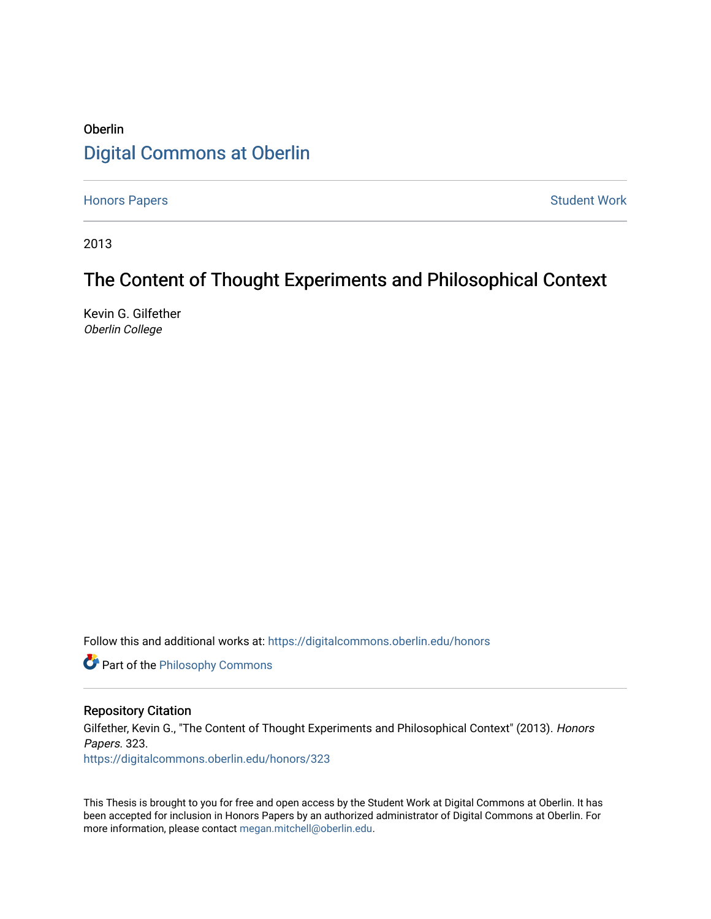# Oberlin [Digital Commons at Oberlin](https://digitalcommons.oberlin.edu/)

[Honors Papers](https://digitalcommons.oberlin.edu/honors) **Student Work** 

2013

# The Content of Thought Experiments and Philosophical Context

Kevin G. Gilfether Oberlin College

Follow this and additional works at: [https://digitalcommons.oberlin.edu/honors](https://digitalcommons.oberlin.edu/honors?utm_source=digitalcommons.oberlin.edu%2Fhonors%2F323&utm_medium=PDF&utm_campaign=PDFCoverPages) 

**Part of the Philosophy Commons** 

#### Repository Citation

Gilfether, Kevin G., "The Content of Thought Experiments and Philosophical Context" (2013). Honors Papers. 323.

[https://digitalcommons.oberlin.edu/honors/323](https://digitalcommons.oberlin.edu/honors/323?utm_source=digitalcommons.oberlin.edu%2Fhonors%2F323&utm_medium=PDF&utm_campaign=PDFCoverPages) 

This Thesis is brought to you for free and open access by the Student Work at Digital Commons at Oberlin. It has been accepted for inclusion in Honors Papers by an authorized administrator of Digital Commons at Oberlin. For more information, please contact [megan.mitchell@oberlin.edu.](mailto:megan.mitchell@oberlin.edu)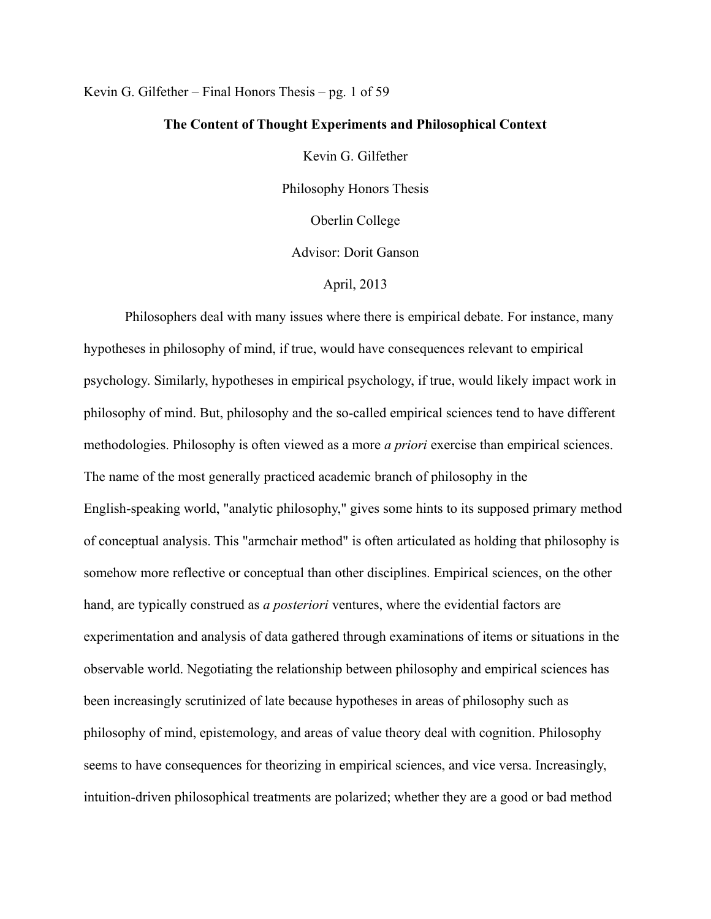# Kevin G. Gilfether – Final Honors Thesis – pg. 1 of 59

#### **The Content of Thought Experiments and Philosophical Context**

Kevin G. Gilfether

Philosophy Honors Thesis

Oberlin College

Advisor: Dorit Ganson

April, 2013

Philosophers deal with many issues where there is empirical debate. For instance, many hypotheses in philosophy of mind, if true, would have consequences relevant to empirical psychology. Similarly, hypotheses in empirical psychology, if true, would likely impact work in philosophy of mind. But, philosophy and the so-called empirical sciences tend to have different methodologies. Philosophy is often viewed as a more *a priori* exercise than empirical sciences. The name of the most generally practiced academic branch of philosophy in the English-speaking world, "analytic philosophy," gives some hints to its supposed primary method of conceptual analysis. This "armchair method" is often articulated as holding that philosophy is somehow more reflective or conceptual than other disciplines. Empirical sciences, on the other hand, are typically construed as *a posteriori* ventures, where the evidential factors are experimentation and analysis of data gathered through examinations of items or situations in the observable world. Negotiating the relationship between philosophy and empirical sciences has been increasingly scrutinized of late because hypotheses in areas of philosophy such as philosophy of mind, epistemology, and areas of value theory deal with cognition. Philosophy seems to have consequences for theorizing in empirical sciences, and vice versa. Increasingly, intuition-driven philosophical treatments are polarized; whether they are a good or bad method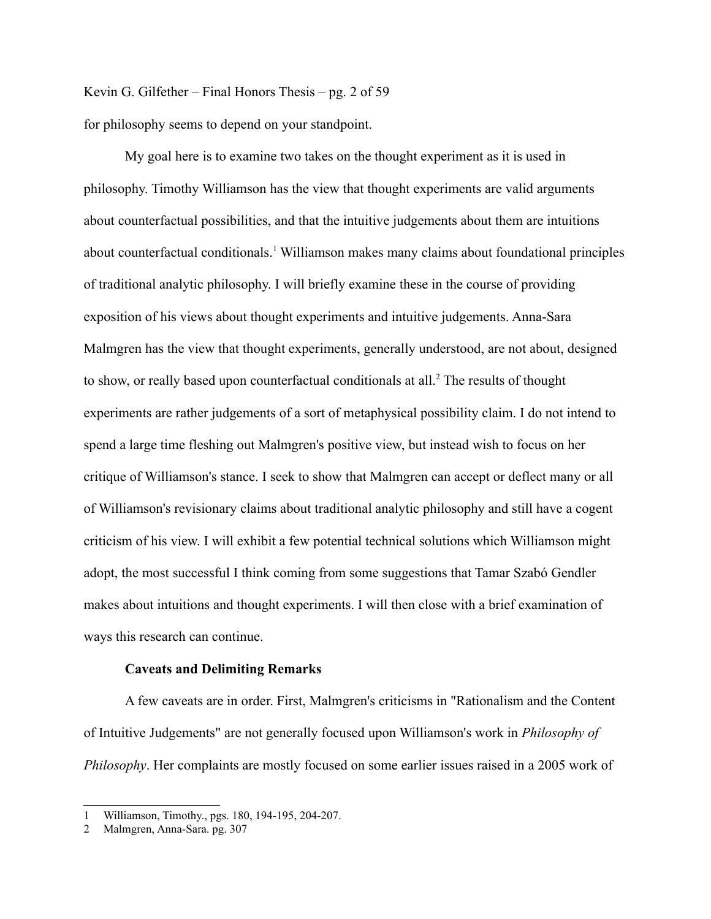Kevin G. Gilfether – Final Honors Thesis – pg. 2 of 59 for philosophy seems to depend on your standpoint.

My goal here is to examine two takes on the thought experiment as it is used in philosophy. Timothy Williamson has the view that thought experiments are valid arguments about counterfactual possibilities, and that the intuitive judgements about them are intuitions about counterfactual conditionals.<sup>[1](#page-2-0)</sup> Williamson makes many claims about foundational principles of traditional analytic philosophy. I will briefly examine these in the course of providing exposition of his views about thought experiments and intuitive judgements. Anna-Sara Malmgren has the view that thought experiments, generally understood, are not about, designed to show, or really based upon counterfactual conditionals at all.<sup>[2](#page-2-1)</sup> The results of thought experiments are rather judgements of a sort of metaphysical possibility claim. I do not intend to spend a large time fleshing out Malmgren's positive view, but instead wish to focus on her critique of Williamson's stance. I seek to show that Malmgren can accept or deflect many or all of Williamson's revisionary claims about traditional analytic philosophy and still have a cogent criticism of his view. I will exhibit a few potential technical solutions which Williamson might adopt, the most successful I think coming from some suggestions that Tamar Szabó Gendler makes about intuitions and thought experiments. I will then close with a brief examination of ways this research can continue.

#### **Caveats and Delimiting Remarks**

A few caveats are in order. First, Malmgren's criticisms in "Rationalism and the Content of Intuitive Judgements" are not generally focused upon Williamson's work in *Philosophy of Philosophy*. Her complaints are mostly focused on some earlier issues raised in a 2005 work of

<span id="page-2-0"></span><sup>1</sup> Williamson, Timothy., pgs. 180, 194-195, 204-207.

<span id="page-2-1"></span><sup>2</sup> Malmgren, Anna-Sara. pg. 307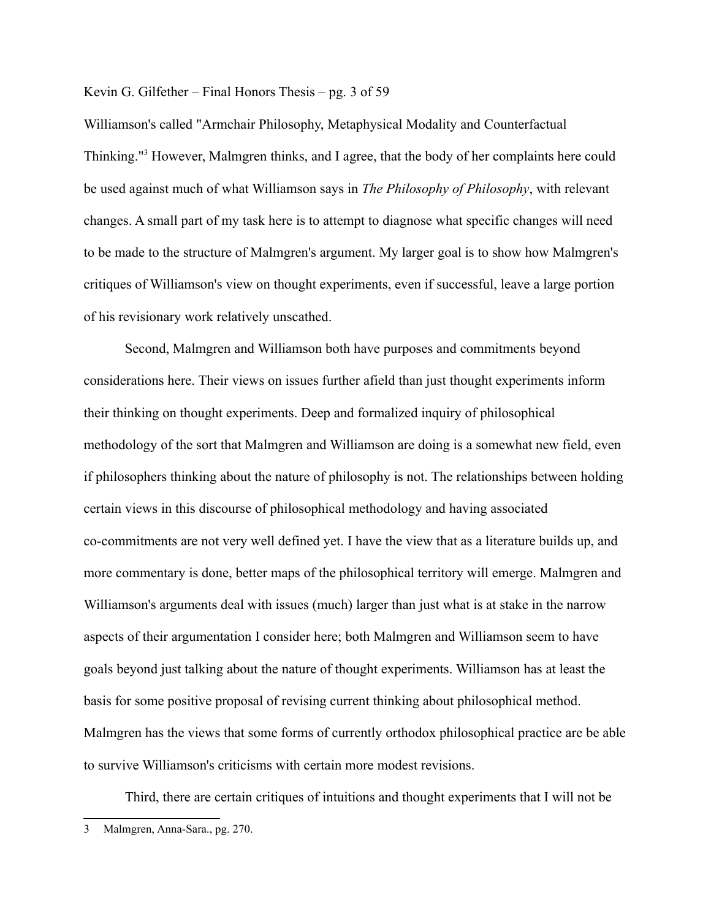# Kevin G. Gilfether – Final Honors Thesis – pg. 3 of 59

Williamson's called "Armchair Philosophy, Metaphysical Modality and Counterfactual Thinking."<sup>[3](#page-3-0)</sup> However, Malmgren thinks, and I agree, that the body of her complaints here could be used against much of what Williamson says in *The Philosophy of Philosophy*, with relevant changes. A small part of my task here is to attempt to diagnose what specific changes will need to be made to the structure of Malmgren's argument. My larger goal is to show how Malmgren's critiques of Williamson's view on thought experiments, even if successful, leave a large portion of his revisionary work relatively unscathed.

Second, Malmgren and Williamson both have purposes and commitments beyond considerations here. Their views on issues further afield than just thought experiments inform their thinking on thought experiments. Deep and formalized inquiry of philosophical methodology of the sort that Malmgren and Williamson are doing is a somewhat new field, even if philosophers thinking about the nature of philosophy is not. The relationships between holding certain views in this discourse of philosophical methodology and having associated co-commitments are not very well defined yet. I have the view that as a literature builds up, and more commentary is done, better maps of the philosophical territory will emerge. Malmgren and Williamson's arguments deal with issues (much) larger than just what is at stake in the narrow aspects of their argumentation I consider here; both Malmgren and Williamson seem to have goals beyond just talking about the nature of thought experiments. Williamson has at least the basis for some positive proposal of revising current thinking about philosophical method. Malmgren has the views that some forms of currently orthodox philosophical practice are be able to survive Williamson's criticisms with certain more modest revisions.

Third, there are certain critiques of intuitions and thought experiments that I will not be

<span id="page-3-0"></span><sup>3</sup> Malmgren, Anna-Sara., pg. 270.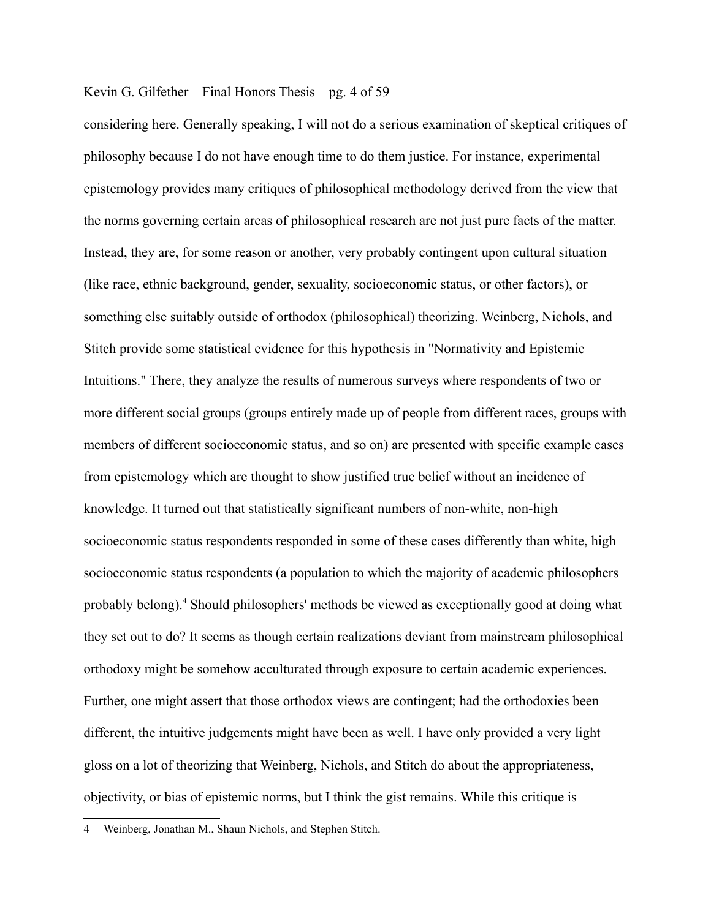#### Kevin G. Gilfether – Final Honors Thesis – pg. 4 of 59

considering here. Generally speaking, I will not do a serious examination of skeptical critiques of philosophy because I do not have enough time to do them justice. For instance, experimental epistemology provides many critiques of philosophical methodology derived from the view that the norms governing certain areas of philosophical research are not just pure facts of the matter. Instead, they are, for some reason or another, very probably contingent upon cultural situation (like race, ethnic background, gender, sexuality, socioeconomic status, or other factors), or something else suitably outside of orthodox (philosophical) theorizing. Weinberg, Nichols, and Stitch provide some statistical evidence for this hypothesis in "Normativity and Epistemic Intuitions." There, they analyze the results of numerous surveys where respondents of two or more different social groups (groups entirely made up of people from different races, groups with members of different socioeconomic status, and so on) are presented with specific example cases from epistemology which are thought to show justified true belief without an incidence of knowledge. It turned out that statistically significant numbers of non-white, non-high socioeconomic status respondents responded in some of these cases differently than white, high socioeconomic status respondents (a population to which the majority of academic philosophers probably belong).<sup>[4](#page-4-0)</sup> Should philosophers' methods be viewed as exceptionally good at doing what they set out to do? It seems as though certain realizations deviant from mainstream philosophical orthodoxy might be somehow acculturated through exposure to certain academic experiences. Further, one might assert that those orthodox views are contingent; had the orthodoxies been different, the intuitive judgements might have been as well. I have only provided a very light gloss on a lot of theorizing that Weinberg, Nichols, and Stitch do about the appropriateness, objectivity, or bias of epistemic norms, but I think the gist remains. While this critique is

<span id="page-4-0"></span><sup>4</sup> Weinberg, Jonathan M., Shaun Nichols, and Stephen Stitch.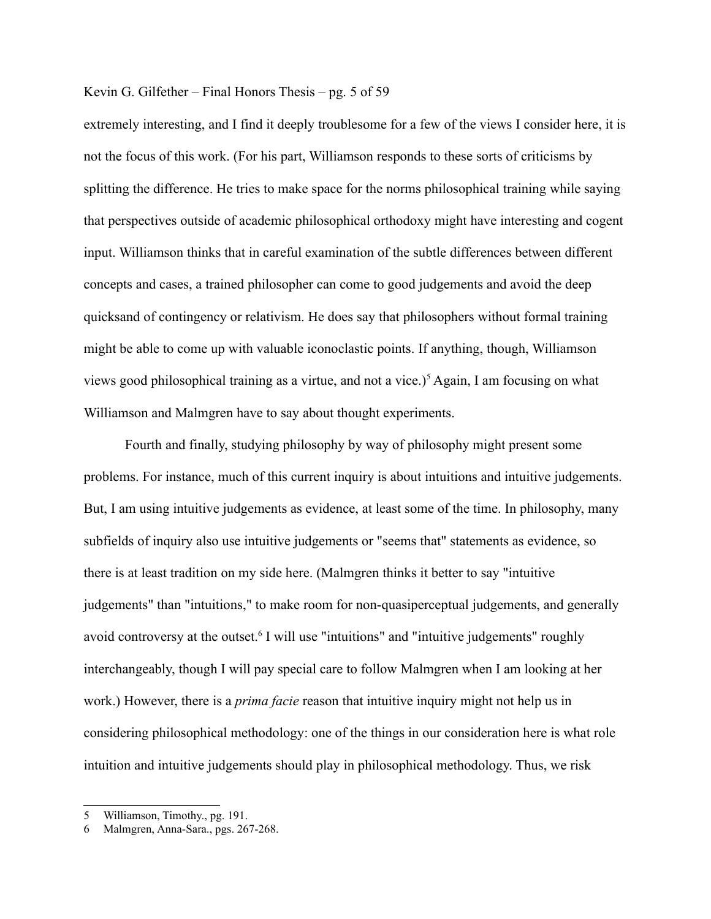#### Kevin G. Gilfether – Final Honors Thesis – pg. 5 of 59

extremely interesting, and I find it deeply troublesome for a few of the views I consider here, it is not the focus of this work. (For his part, Williamson responds to these sorts of criticisms by splitting the difference. He tries to make space for the norms philosophical training while saying that perspectives outside of academic philosophical orthodoxy might have interesting and cogent input. Williamson thinks that in careful examination of the subtle differences between different concepts and cases, a trained philosopher can come to good judgements and avoid the deep quicksand of contingency or relativism. He does say that philosophers without formal training might be able to come up with valuable iconoclastic points. If anything, though, Williamson views good philosophical training as a virtue, and not a vice.)<sup>[5](#page-5-0)</sup> Again, I am focusing on what Williamson and Malmgren have to say about thought experiments.

Fourth and finally, studying philosophy by way of philosophy might present some problems. For instance, much of this current inquiry is about intuitions and intuitive judgements. But, I am using intuitive judgements as evidence, at least some of the time. In philosophy, many subfields of inquiry also use intuitive judgements or "seems that" statements as evidence, so there is at least tradition on my side here. (Malmgren thinks it better to say "intuitive judgements" than "intuitions," to make room for non-quasiperceptual judgements, and generally avoid controversy at the outset.<sup>[6](#page-5-1)</sup> I will use "intuitions" and "intuitive judgements" roughly interchangeably, though I will pay special care to follow Malmgren when I am looking at her work.) However, there is a *prima facie* reason that intuitive inquiry might not help us in considering philosophical methodology: one of the things in our consideration here is what role intuition and intuitive judgements should play in philosophical methodology. Thus, we risk

<span id="page-5-0"></span><sup>5</sup> Williamson, Timothy., pg. 191.

<span id="page-5-1"></span><sup>6</sup> Malmgren, Anna-Sara., pgs. 267-268.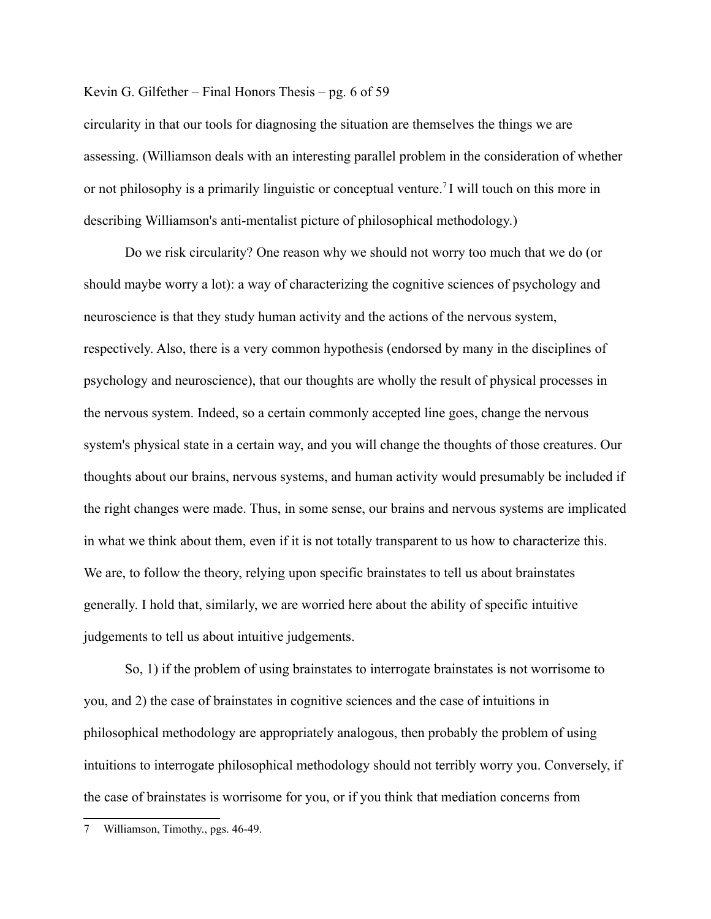# Kevin G. Gilfether – Final Honors Thesis – pg. 6 of 59

circularity in that our tools for diagnosing the situation are themselves the things we are assessing. (Williamson deals with an interesting parallel problem in the consideration of whether or not philosophy is a primarily linguistic or conceptual venture.<sup>[7](#page-6-0)</sup>I will touch on this more in describing Williamson's anti-mentalist picture of philosophical methodology.)

Do we risk circularity? One reason why we should not worry too much that we do (or should maybe worry a lot): a way of characterizing the cognitive sciences of psychology and neuroscience is that they study human activity and the actions of the nervous system, respectively. Also, there is a very common hypothesis (endorsed by many in the disciplines of psychology and neuroscience), that our thoughts are wholly the result of physical processes in the nervous system. Indeed, so a certain commonly accepted line goes, change the nervous system's physical state in a certain way, and you will change the thoughts of those creatures. Our thoughts about our brains, nervous systems, and human activity would presumably be included if the right changes were made. Thus, in some sense, our brains and nervous systems are implicated in what we think about them, even if it is not totally transparent to us how to characterize this. We are, to follow the theory, relying upon specific brainstates to tell us about brainstates generally. I hold that, similarly, we are worried here about the ability of specific intuitive judgements to tell us about intuitive judgements.

So, 1) if the problem of using brainstates to interrogate brainstates is not worrisome to you, and 2) the case of brainstates in cognitive sciences and the case of intuitions in philosophical methodology are appropriately analogous, then probably the problem of using intuitions to interrogate philosophical methodology should not terribly worry you. Conversely, if the case of brainstates is worrisome for you, or if you think that mediation concerns from

<span id="page-6-0"></span><sup>7</sup> Williamson, Timothy., pgs. 46-49.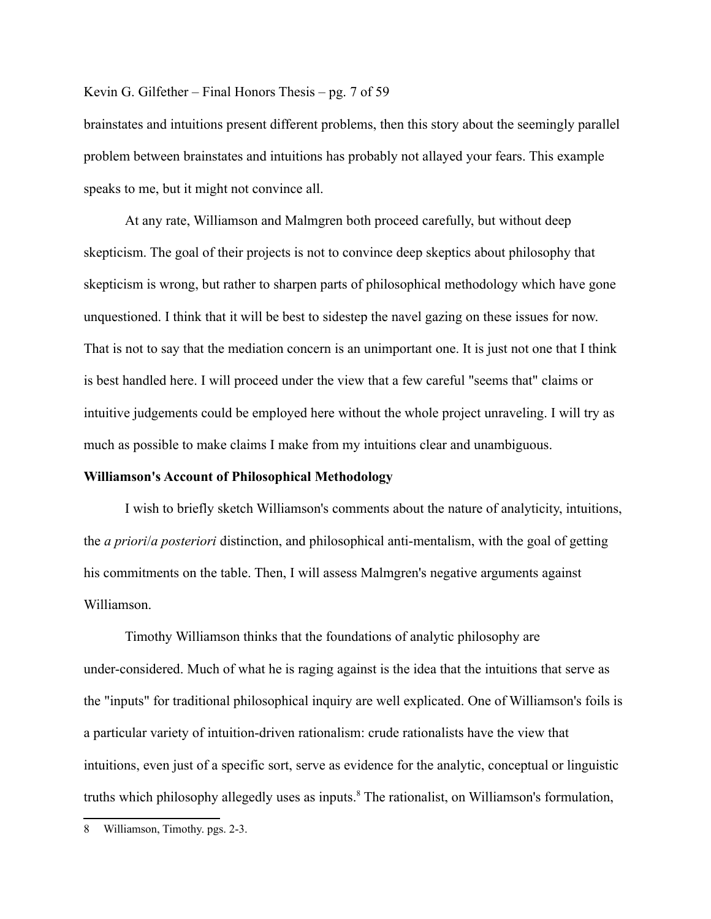#### Kevin G. Gilfether – Final Honors Thesis – pg. 7 of 59

brainstates and intuitions present different problems, then this story about the seemingly parallel problem between brainstates and intuitions has probably not allayed your fears. This example speaks to me, but it might not convince all.

At any rate, Williamson and Malmgren both proceed carefully, but without deep skepticism. The goal of their projects is not to convince deep skeptics about philosophy that skepticism is wrong, but rather to sharpen parts of philosophical methodology which have gone unquestioned. I think that it will be best to sidestep the navel gazing on these issues for now. That is not to say that the mediation concern is an unimportant one. It is just not one that I think is best handled here. I will proceed under the view that a few careful "seems that" claims or intuitive judgements could be employed here without the whole project unraveling. I will try as much as possible to make claims I make from my intuitions clear and unambiguous.

#### **Williamson's Account of Philosophical Methodology**

I wish to briefly sketch Williamson's comments about the nature of analyticity, intuitions, the *a priori*/*a posteriori* distinction, and philosophical anti-mentalism, with the goal of getting his commitments on the table. Then, I will assess Malmgren's negative arguments against Williamson.

Timothy Williamson thinks that the foundations of analytic philosophy are under-considered. Much of what he is raging against is the idea that the intuitions that serve as the "inputs" for traditional philosophical inquiry are well explicated. One of Williamson's foils is a particular variety of intuition-driven rationalism: crude rationalists have the view that intuitions, even just of a specific sort, serve as evidence for the analytic, conceptual or linguistic truths which philosophy allegedly uses as inputs.<sup>[8](#page-7-0)</sup> The rationalist, on Williamson's formulation,

<span id="page-7-0"></span><sup>8</sup> Williamson, Timothy. pgs. 2-3.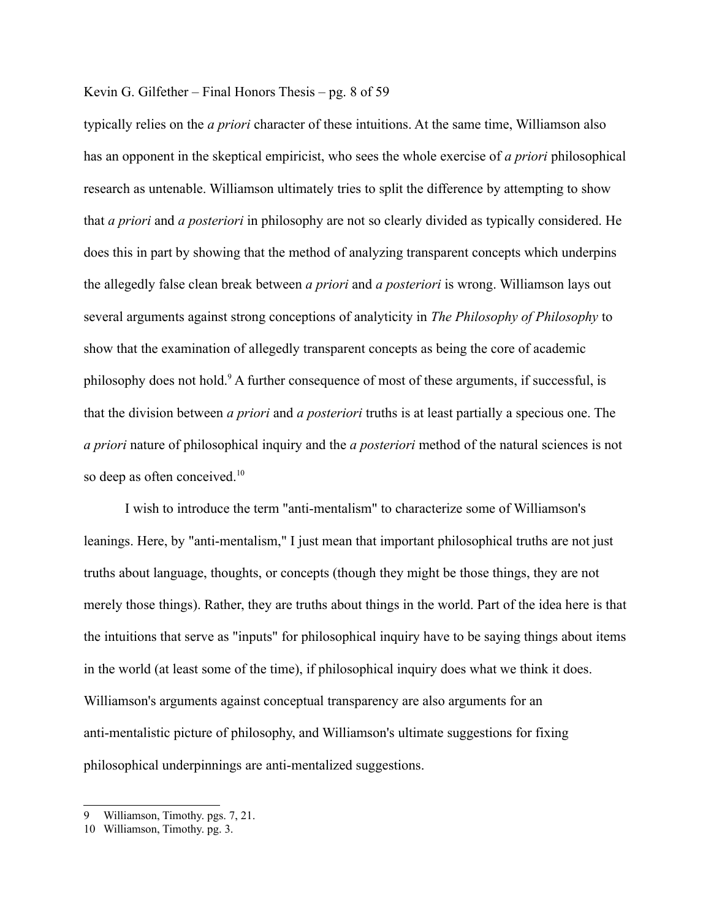#### Kevin G. Gilfether – Final Honors Thesis – pg. 8 of 59

typically relies on the *a priori* character of these intuitions. At the same time, Williamson also has an opponent in the skeptical empiricist, who sees the whole exercise of *a priori* philosophical research as untenable. Williamson ultimately tries to split the difference by attempting to show that *a priori* and *a posteriori* in philosophy are not so clearly divided as typically considered. He does this in part by showing that the method of analyzing transparent concepts which underpins the allegedly false clean break between *a priori* and *a posteriori* is wrong. Williamson lays out several arguments against strong conceptions of analyticity in *The Philosophy of Philosophy* to show that the examination of allegedly transparent concepts as being the core of academic philosophy does not hold.<sup>[9](#page-8-0)</sup> A further consequence of most of these arguments, if successful, is that the division between *a priori* and *a posteriori* truths is at least partially a specious one. The *a priori* nature of philosophical inquiry and the *a posteriori* method of the natural sciences is not so deep as often conceived.<sup>[10](#page-8-1)</sup>

I wish to introduce the term "anti-mentalism" to characterize some of Williamson's leanings. Here, by "anti-mentalism," I just mean that important philosophical truths are not just truths about language, thoughts, or concepts (though they might be those things, they are not merely those things). Rather, they are truths about things in the world. Part of the idea here is that the intuitions that serve as "inputs" for philosophical inquiry have to be saying things about items in the world (at least some of the time), if philosophical inquiry does what we think it does. Williamson's arguments against conceptual transparency are also arguments for an anti-mentalistic picture of philosophy, and Williamson's ultimate suggestions for fixing philosophical underpinnings are anti-mentalized suggestions.

<span id="page-8-0"></span>Williamson, Timothy. pgs. 7, 21.

<span id="page-8-1"></span><sup>10</sup> Williamson, Timothy. pg. 3.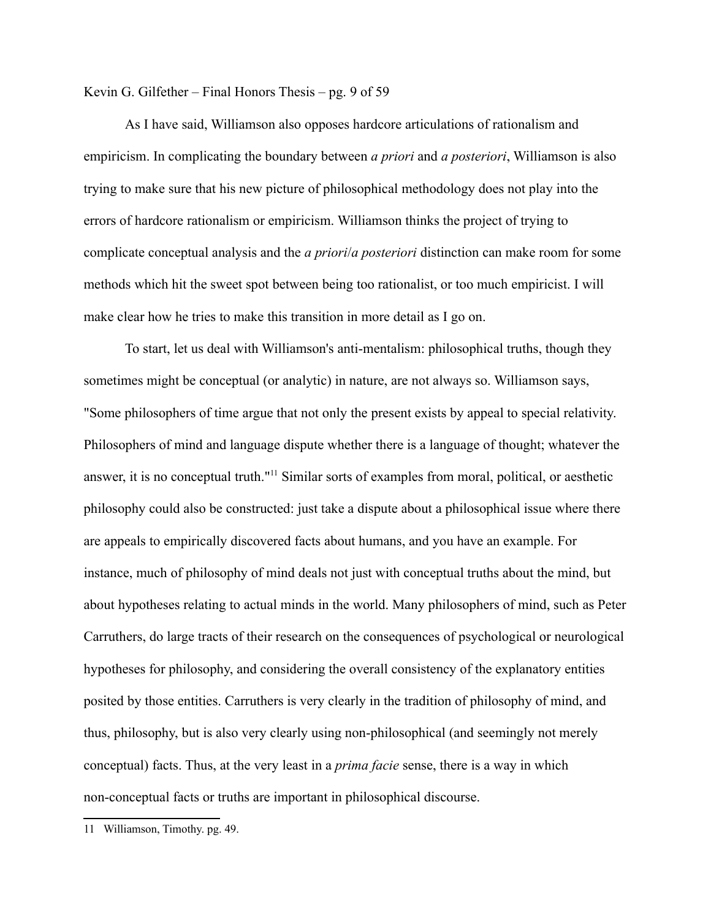Kevin G. Gilfether – Final Honors Thesis – pg. 9 of 59

As I have said, Williamson also opposes hardcore articulations of rationalism and empiricism. In complicating the boundary between *a priori* and *a posteriori*, Williamson is also trying to make sure that his new picture of philosophical methodology does not play into the errors of hardcore rationalism or empiricism. Williamson thinks the project of trying to complicate conceptual analysis and the *a priori*/*a posteriori* distinction can make room for some methods which hit the sweet spot between being too rationalist, or too much empiricist. I will make clear how he tries to make this transition in more detail as I go on.

To start, let us deal with Williamson's anti-mentalism: philosophical truths, though they sometimes might be conceptual (or analytic) in nature, are not always so. Williamson says, "Some philosophers of time argue that not only the present exists by appeal to special relativity. Philosophers of mind and language dispute whether there is a language of thought; whatever the answer, it is no conceptual truth."[11](#page-9-0) Similar sorts of examples from moral, political, or aesthetic philosophy could also be constructed: just take a dispute about a philosophical issue where there are appeals to empirically discovered facts about humans, and you have an example. For instance, much of philosophy of mind deals not just with conceptual truths about the mind, but about hypotheses relating to actual minds in the world. Many philosophers of mind, such as Peter Carruthers, do large tracts of their research on the consequences of psychological or neurological hypotheses for philosophy, and considering the overall consistency of the explanatory entities posited by those entities. Carruthers is very clearly in the tradition of philosophy of mind, and thus, philosophy, but is also very clearly using non-philosophical (and seemingly not merely conceptual) facts. Thus, at the very least in a *prima facie* sense, there is a way in which non-conceptual facts or truths are important in philosophical discourse.

<span id="page-9-0"></span><sup>11</sup> Williamson, Timothy. pg. 49.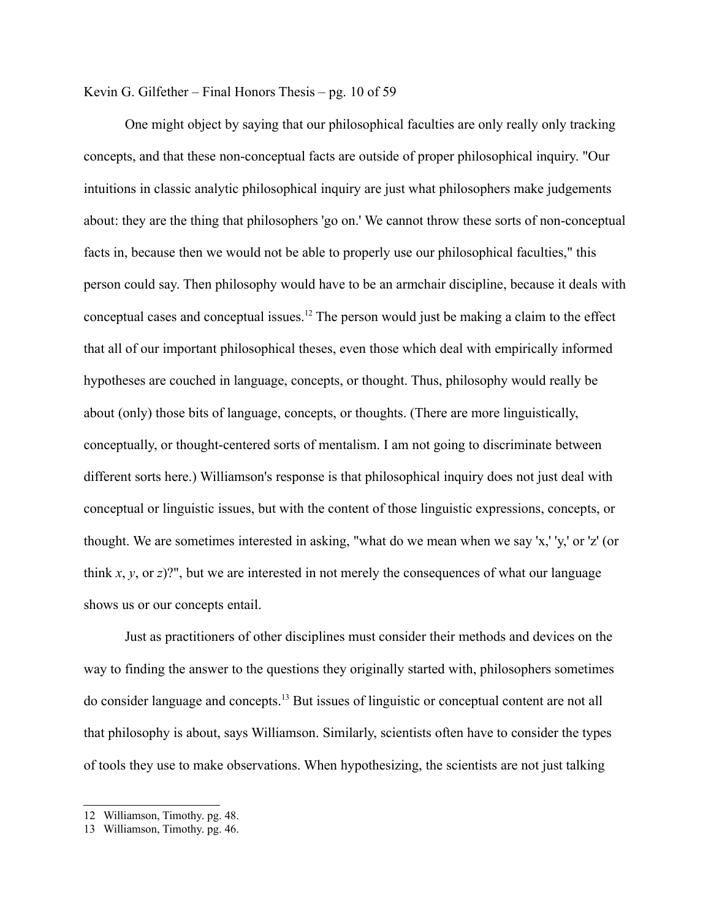Kevin G. Gilfether – Final Honors Thesis – pg. 10 of 59

One might object by saying that our philosophical faculties are only really only tracking concepts, and that these non-conceptual facts are outside of proper philosophical inquiry. "Our intuitions in classic analytic philosophical inquiry are just what philosophers make judgements about: they are the thing that philosophers 'go on.' We cannot throw these sorts of non-conceptual facts in, because then we would not be able to properly use our philosophical faculties," this person could say. Then philosophy would have to be an armchair discipline, because it deals with conceptual cases and conceptual issues.[12](#page-10-0) The person would just be making a claim to the effect that all of our important philosophical theses, even those which deal with empirically informed hypotheses are couched in language, concepts, or thought. Thus, philosophy would really be about (only) those bits of language, concepts, or thoughts. (There are more linguistically, conceptually, or thought-centered sorts of mentalism. I am not going to discriminate between different sorts here.) Williamson's response is that philosophical inquiry does not just deal with conceptual or linguistic issues, but with the content of those linguistic expressions, concepts, or thought. We are sometimes interested in asking, "what do we mean when we say 'x,' 'y,' or 'z' (or think  $x$ ,  $y$ , or  $z$ )?", but we are interested in not merely the consequences of what our language shows us or our concepts entail.

Just as practitioners of other disciplines must consider their methods and devices on the way to finding the answer to the questions they originally started with, philosophers sometimes do consider language and concepts.[13](#page-10-1) But issues of linguistic or conceptual content are not all that philosophy is about, says Williamson. Similarly, scientists often have to consider the types of tools they use to make observations. When hypothesizing, the scientists are not just talking

<span id="page-10-0"></span><sup>12</sup> Williamson, Timothy. pg. 48.

<span id="page-10-1"></span><sup>13</sup> Williamson, Timothy. pg. 46.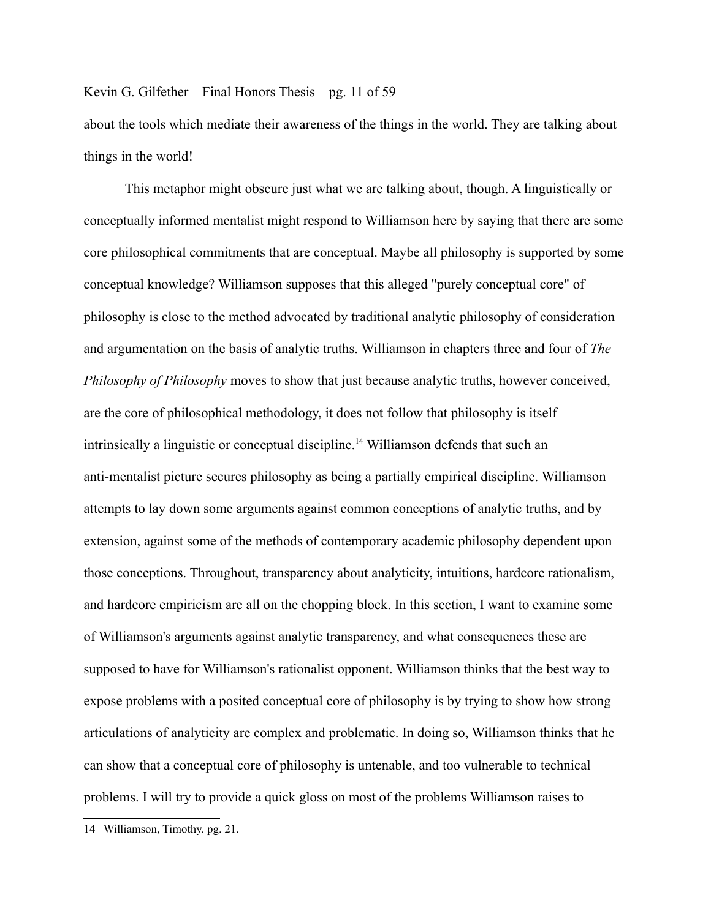# Kevin G. Gilfether – Final Honors Thesis – pg. 11 of 59

about the tools which mediate their awareness of the things in the world. They are talking about things in the world!

This metaphor might obscure just what we are talking about, though. A linguistically or conceptually informed mentalist might respond to Williamson here by saying that there are some core philosophical commitments that are conceptual. Maybe all philosophy is supported by some conceptual knowledge? Williamson supposes that this alleged "purely conceptual core" of philosophy is close to the method advocated by traditional analytic philosophy of consideration and argumentation on the basis of analytic truths. Williamson in chapters three and four of *The Philosophy of Philosophy* moves to show that just because analytic truths, however conceived, are the core of philosophical methodology, it does not follow that philosophy is itself intrinsically a linguistic or conceptual discipline.<sup>[14](#page-11-0)</sup> Williamson defends that such an anti-mentalist picture secures philosophy as being a partially empirical discipline. Williamson attempts to lay down some arguments against common conceptions of analytic truths, and by extension, against some of the methods of contemporary academic philosophy dependent upon those conceptions. Throughout, transparency about analyticity, intuitions, hardcore rationalism, and hardcore empiricism are all on the chopping block. In this section, I want to examine some of Williamson's arguments against analytic transparency, and what consequences these are supposed to have for Williamson's rationalist opponent. Williamson thinks that the best way to expose problems with a posited conceptual core of philosophy is by trying to show how strong articulations of analyticity are complex and problematic. In doing so, Williamson thinks that he can show that a conceptual core of philosophy is untenable, and too vulnerable to technical problems. I will try to provide a quick gloss on most of the problems Williamson raises to

<span id="page-11-0"></span><sup>14</sup> Williamson, Timothy. pg. 21.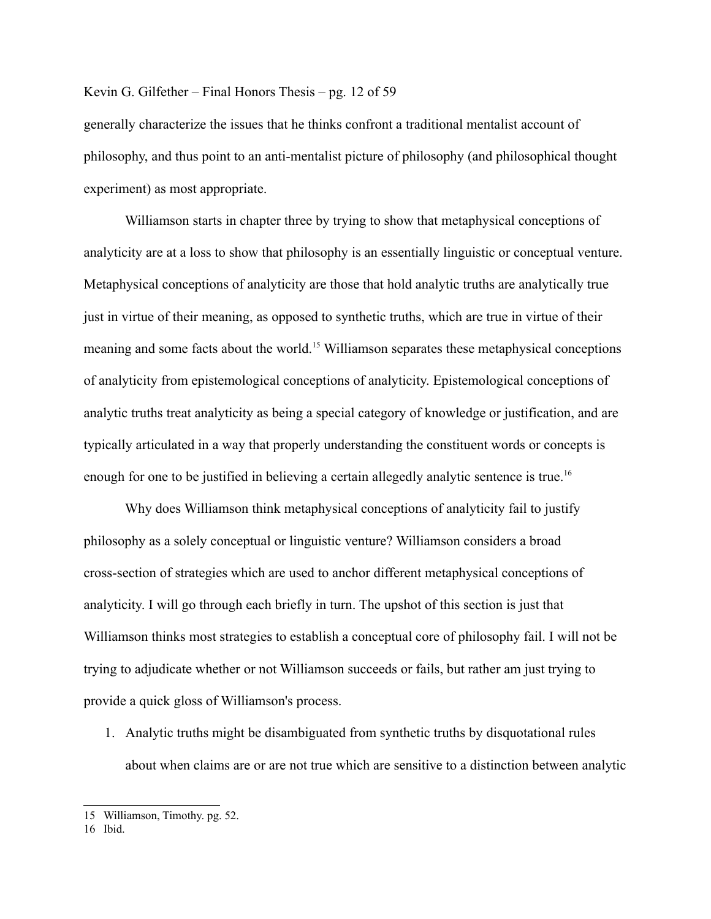# Kevin G. Gilfether – Final Honors Thesis – pg. 12 of 59

generally characterize the issues that he thinks confront a traditional mentalist account of philosophy, and thus point to an anti-mentalist picture of philosophy (and philosophical thought experiment) as most appropriate.

Williamson starts in chapter three by trying to show that metaphysical conceptions of analyticity are at a loss to show that philosophy is an essentially linguistic or conceptual venture. Metaphysical conceptions of analyticity are those that hold analytic truths are analytically true just in virtue of their meaning, as opposed to synthetic truths, which are true in virtue of their meaning and some facts about the world.<sup>[15](#page-12-0)</sup> Williamson separates these metaphysical conceptions of analyticity from epistemological conceptions of analyticity. Epistemological conceptions of analytic truths treat analyticity as being a special category of knowledge or justification, and are typically articulated in a way that properly understanding the constituent words or concepts is enough for one to be justified in believing a certain allegedly analytic sentence is true.<sup>[16](#page-12-1)</sup>

Why does Williamson think metaphysical conceptions of analyticity fail to justify philosophy as a solely conceptual or linguistic venture? Williamson considers a broad cross-section of strategies which are used to anchor different metaphysical conceptions of analyticity. I will go through each briefly in turn. The upshot of this section is just that Williamson thinks most strategies to establish a conceptual core of philosophy fail. I will not be trying to adjudicate whether or not Williamson succeeds or fails, but rather am just trying to provide a quick gloss of Williamson's process.

1. Analytic truths might be disambiguated from synthetic truths by disquotational rules about when claims are or are not true which are sensitive to a distinction between analytic

<span id="page-12-1"></span><span id="page-12-0"></span><sup>15</sup> Williamson, Timothy. pg. 52.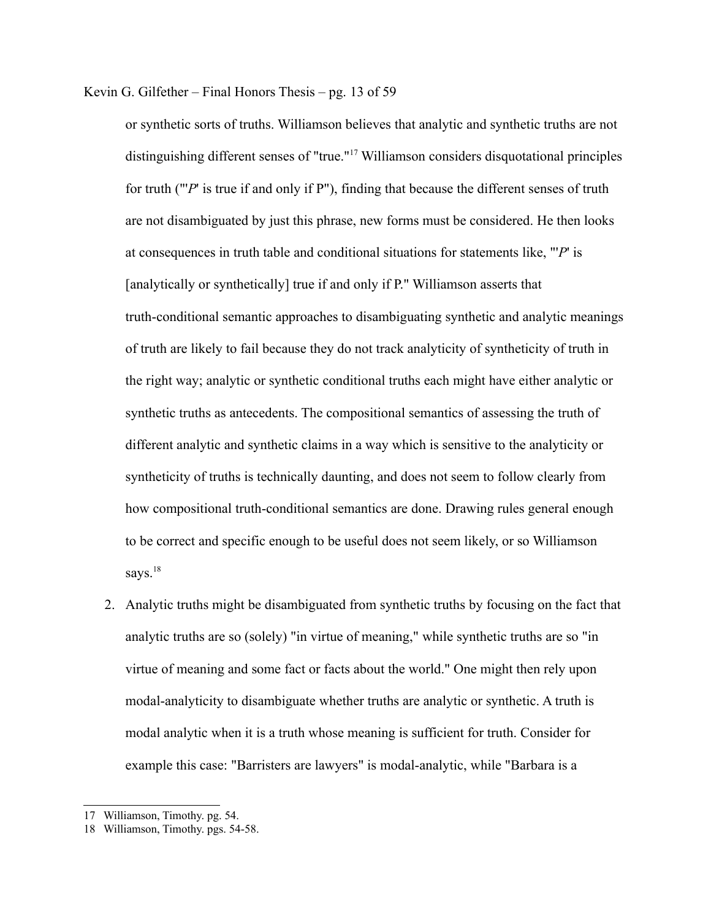Kevin G. Gilfether – Final Honors Thesis – pg. 13 of 59

or synthetic sorts of truths. Williamson believes that analytic and synthetic truths are not distinguishing different senses of "true."[17](#page-13-0) Williamson considers disquotational principles for truth ("'*P*' is true if and only if P"), finding that because the different senses of truth are not disambiguated by just this phrase, new forms must be considered. He then looks at consequences in truth table and conditional situations for statements like, "'*P*' is [analytically or synthetically] true if and only if P." Williamson asserts that truth-conditional semantic approaches to disambiguating synthetic and analytic meanings of truth are likely to fail because they do not track analyticity of syntheticity of truth in the right way; analytic or synthetic conditional truths each might have either analytic or synthetic truths as antecedents. The compositional semantics of assessing the truth of different analytic and synthetic claims in a way which is sensitive to the analyticity or syntheticity of truths is technically daunting, and does not seem to follow clearly from how compositional truth-conditional semantics are done. Drawing rules general enough to be correct and specific enough to be useful does not seem likely, or so Williamson says. $18$ 

2. Analytic truths might be disambiguated from synthetic truths by focusing on the fact that analytic truths are so (solely) "in virtue of meaning," while synthetic truths are so "in virtue of meaning and some fact or facts about the world." One might then rely upon modal-analyticity to disambiguate whether truths are analytic or synthetic. A truth is modal analytic when it is a truth whose meaning is sufficient for truth. Consider for example this case: "Barristers are lawyers" is modal-analytic, while "Barbara is a

<span id="page-13-0"></span><sup>17</sup> Williamson, Timothy. pg. 54.

<span id="page-13-1"></span><sup>18</sup> Williamson, Timothy. pgs. 54-58.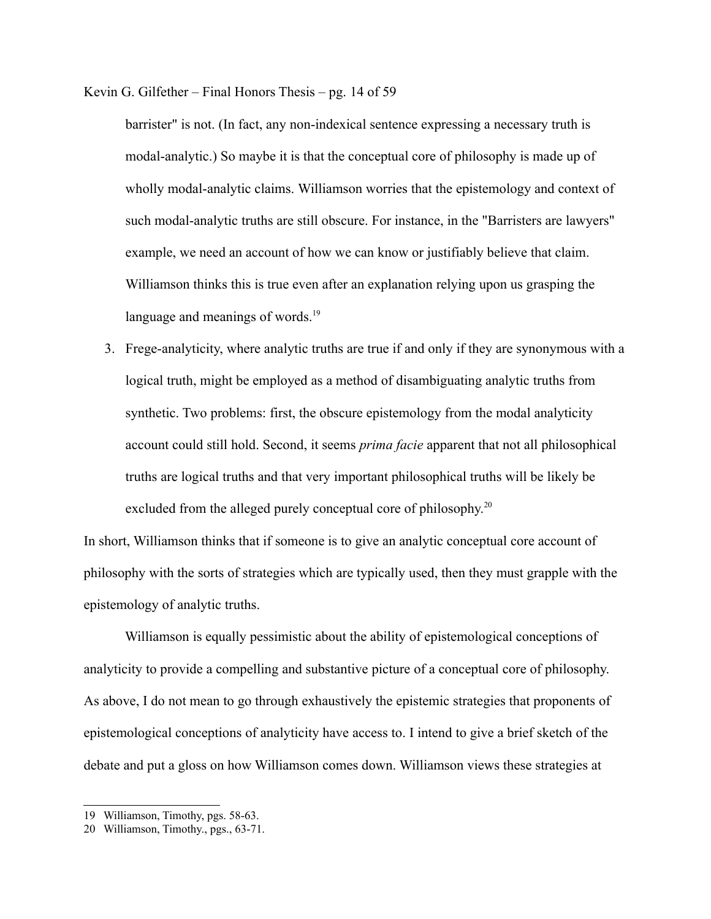Kevin G. Gilfether – Final Honors Thesis – pg. 14 of 59

barrister" is not. (In fact, any non-indexical sentence expressing a necessary truth is modal-analytic.) So maybe it is that the conceptual core of philosophy is made up of wholly modal-analytic claims. Williamson worries that the epistemology and context of such modal-analytic truths are still obscure. For instance, in the "Barristers are lawyers" example, we need an account of how we can know or justifiably believe that claim. Williamson thinks this is true even after an explanation relying upon us grasping the language and meanings of words.<sup>[19](#page-14-0)</sup>

3. Frege-analyticity, where analytic truths are true if and only if they are synonymous with a logical truth, might be employed as a method of disambiguating analytic truths from synthetic. Two problems: first, the obscure epistemology from the modal analyticity account could still hold. Second, it seems *prima facie* apparent that not all philosophical truths are logical truths and that very important philosophical truths will be likely be excluded from the alleged purely conceptual core of philosophy.<sup>[20](#page-14-1)</sup>

In short, Williamson thinks that if someone is to give an analytic conceptual core account of philosophy with the sorts of strategies which are typically used, then they must grapple with the epistemology of analytic truths.

Williamson is equally pessimistic about the ability of epistemological conceptions of analyticity to provide a compelling and substantive picture of a conceptual core of philosophy. As above, I do not mean to go through exhaustively the epistemic strategies that proponents of epistemological conceptions of analyticity have access to. I intend to give a brief sketch of the debate and put a gloss on how Williamson comes down. Williamson views these strategies at

<span id="page-14-0"></span><sup>19</sup> Williamson, Timothy, pgs. 58-63.

<span id="page-14-1"></span><sup>20</sup> Williamson, Timothy., pgs., 63-71.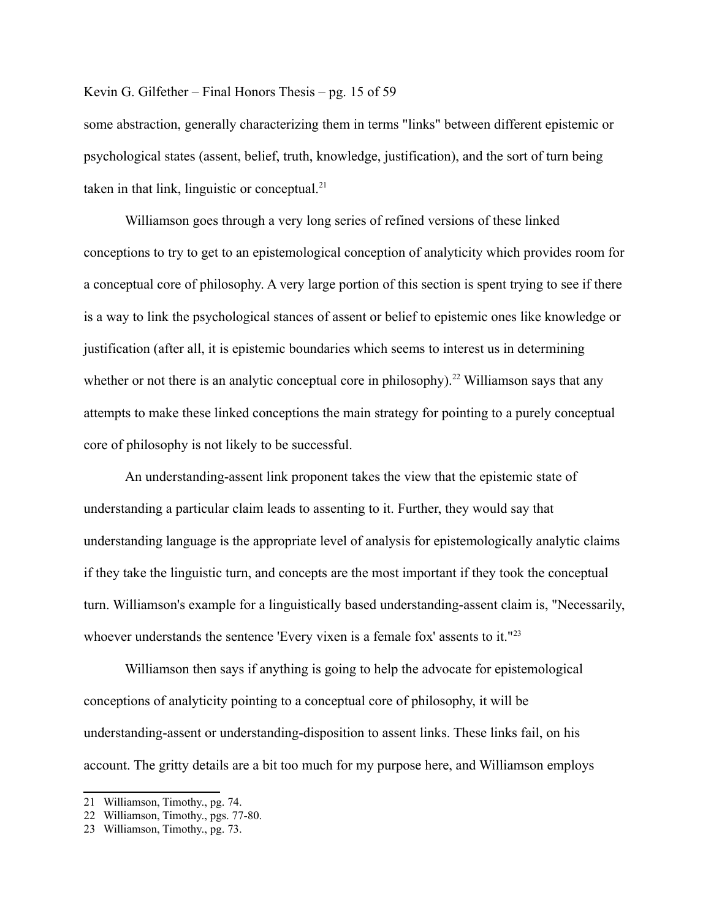# Kevin G. Gilfether – Final Honors Thesis – pg. 15 of 59

some abstraction, generally characterizing them in terms "links" between different epistemic or psychological states (assent, belief, truth, knowledge, justification), and the sort of turn being taken in that link, linguistic or conceptual. $21$ 

Williamson goes through a very long series of refined versions of these linked conceptions to try to get to an epistemological conception of analyticity which provides room for a conceptual core of philosophy. A very large portion of this section is spent trying to see if there is a way to link the psychological stances of assent or belief to epistemic ones like knowledge or justification (after all, it is epistemic boundaries which seems to interest us in determining whether or not there is an analytic conceptual core in philosophy).<sup>[22](#page-15-1)</sup> Williamson says that any attempts to make these linked conceptions the main strategy for pointing to a purely conceptual core of philosophy is not likely to be successful.

An understanding-assent link proponent takes the view that the epistemic state of understanding a particular claim leads to assenting to it. Further, they would say that understanding language is the appropriate level of analysis for epistemologically analytic claims if they take the linguistic turn, and concepts are the most important if they took the conceptual turn. Williamson's example for a linguistically based understanding-assent claim is, "Necessarily, whoever understands the sentence 'Every vixen is a female fox' assents to it."<sup>[23](#page-15-2)</sup>

Williamson then says if anything is going to help the advocate for epistemological conceptions of analyticity pointing to a conceptual core of philosophy, it will be understanding-assent or understanding-disposition to assent links. These links fail, on his account. The gritty details are a bit too much for my purpose here, and Williamson employs

<span id="page-15-0"></span><sup>21</sup> Williamson, Timothy., pg. 74.

<span id="page-15-1"></span><sup>22</sup> Williamson, Timothy., pgs. 77-80.

<span id="page-15-2"></span><sup>23</sup> Williamson, Timothy., pg. 73.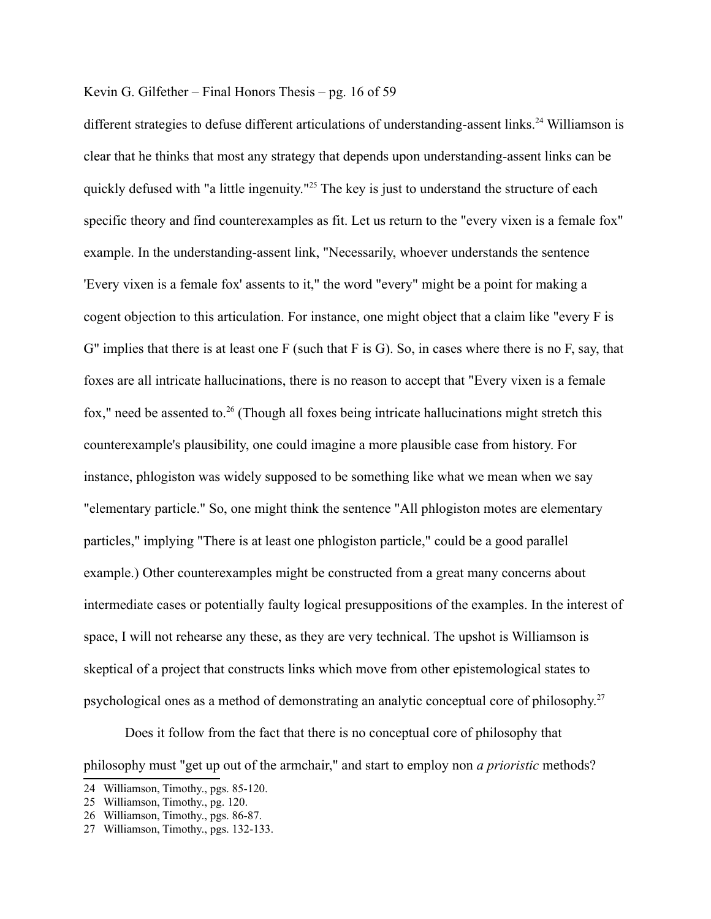# Kevin G. Gilfether – Final Honors Thesis – pg. 16 of 59

different strategies to defuse different articulations of understanding-assent links.<sup>[24](#page-16-0)</sup> Williamson is clear that he thinks that most any strategy that depends upon understanding-assent links can be quickly defused with "a little ingenuity."<sup>[25](#page-16-1)</sup> The key is just to understand the structure of each specific theory and find counterexamples as fit. Let us return to the "every vixen is a female fox" example. In the understanding-assent link, "Necessarily, whoever understands the sentence 'Every vixen is a female fox' assents to it," the word "every" might be a point for making a cogent objection to this articulation. For instance, one might object that a claim like "every F is  $G''$  implies that there is at least one F (such that F is G). So, in cases where there is no F, say, that foxes are all intricate hallucinations, there is no reason to accept that "Every vixen is a female fox," need be assented to.<sup>[26](#page-16-2)</sup> (Though all foxes being intricate hallucinations might stretch this counterexample's plausibility, one could imagine a more plausible case from history. For instance, phlogiston was widely supposed to be something like what we mean when we say "elementary particle." So, one might think the sentence "All phlogiston motes are elementary particles," implying "There is at least one phlogiston particle," could be a good parallel example.) Other counterexamples might be constructed from a great many concerns about intermediate cases or potentially faulty logical presuppositions of the examples. In the interest of space, I will not rehearse any these, as they are very technical. The upshot is Williamson is skeptical of a project that constructs links which move from other epistemological states to psychological ones as a method of demonstrating an analytic conceptual core of philosophy.[27](#page-16-3)

Does it follow from the fact that there is no conceptual core of philosophy that philosophy must "get up out of the armchair," and start to employ non *a prioristic* methods?

<span id="page-16-0"></span><sup>24</sup> Williamson, Timothy., pgs. 85-120.

<span id="page-16-1"></span><sup>25</sup> Williamson, Timothy., pg. 120.

<span id="page-16-2"></span><sup>26</sup> Williamson, Timothy., pgs. 86-87.

<span id="page-16-3"></span><sup>27</sup> Williamson, Timothy., pgs. 132-133.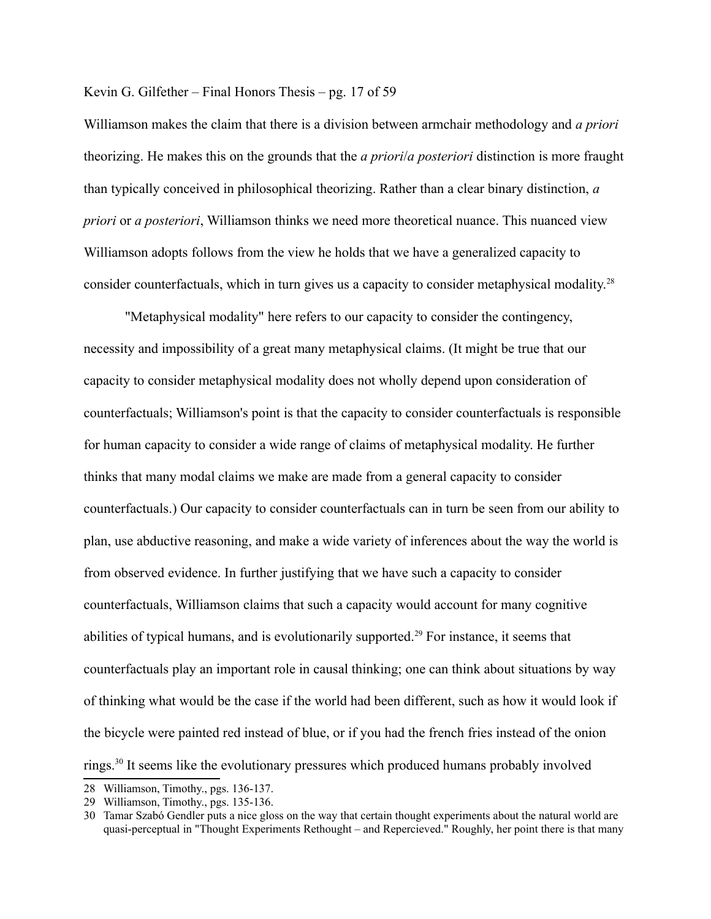#### Kevin G. Gilfether – Final Honors Thesis – pg. 17 of 59

Williamson makes the claim that there is a division between armchair methodology and *a priori*  theorizing. He makes this on the grounds that the *a priori*/*a posteriori* distinction is more fraught than typically conceived in philosophical theorizing. Rather than a clear binary distinction, *a priori* or *a posteriori*, Williamson thinks we need more theoretical nuance. This nuanced view Williamson adopts follows from the view he holds that we have a generalized capacity to consider counterfactuals, which in turn gives us a capacity to consider metaphysical modality.<sup>[28](#page-17-0)</sup>

"Metaphysical modality" here refers to our capacity to consider the contingency, necessity and impossibility of a great many metaphysical claims. (It might be true that our capacity to consider metaphysical modality does not wholly depend upon consideration of counterfactuals; Williamson's point is that the capacity to consider counterfactuals is responsible for human capacity to consider a wide range of claims of metaphysical modality. He further thinks that many modal claims we make are made from a general capacity to consider counterfactuals.) Our capacity to consider counterfactuals can in turn be seen from our ability to plan, use abductive reasoning, and make a wide variety of inferences about the way the world is from observed evidence. In further justifying that we have such a capacity to consider counterfactuals, Williamson claims that such a capacity would account for many cognitive abilities of typical humans, and is evolutionarily supported.<sup>[29](#page-17-1)</sup> For instance, it seems that counterfactuals play an important role in causal thinking; one can think about situations by way of thinking what would be the case if the world had been different, such as how it would look if the bicycle were painted red instead of blue, or if you had the french fries instead of the onion rings.[30](#page-17-2) It seems like the evolutionary pressures which produced humans probably involved

<span id="page-17-0"></span><sup>28</sup> Williamson, Timothy., pgs. 136-137.

<span id="page-17-1"></span><sup>29</sup> Williamson, Timothy., pgs. 135-136.

<span id="page-17-2"></span><sup>30</sup> Tamar Szabó Gendler puts a nice gloss on the way that certain thought experiments about the natural world are quasi-perceptual in "Thought Experiments Rethought – and Repercieved." Roughly, her point there is that many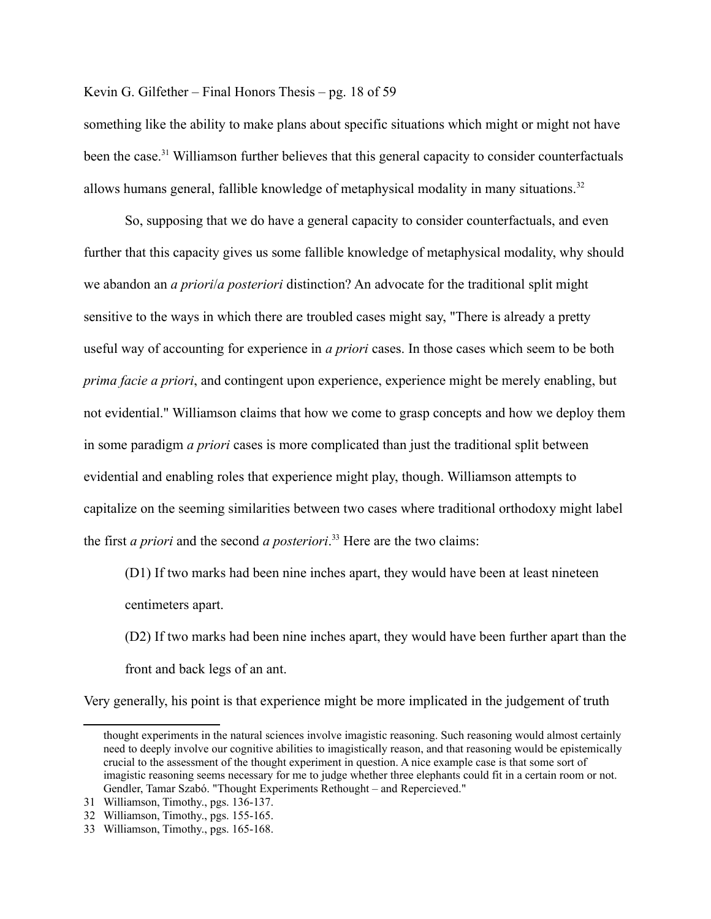#### Kevin G. Gilfether – Final Honors Thesis – pg. 18 of 59

something like the ability to make plans about specific situations which might or might not have been the case.<sup>[31](#page-18-0)</sup> Williamson further believes that this general capacity to consider counterfactuals allows humans general, fallible knowledge of metaphysical modality in many situations.<sup>[32](#page-18-1)</sup>

So, supposing that we do have a general capacity to consider counterfactuals, and even further that this capacity gives us some fallible knowledge of metaphysical modality, why should we abandon an *a priori*/*a posteriori* distinction? An advocate for the traditional split might sensitive to the ways in which there are troubled cases might say, "There is already a pretty useful way of accounting for experience in *a priori* cases. In those cases which seem to be both *prima facie a priori*, and contingent upon experience, experience might be merely enabling, but not evidential." Williamson claims that how we come to grasp concepts and how we deploy them in some paradigm *a priori* cases is more complicated than just the traditional split between evidential and enabling roles that experience might play, though. Williamson attempts to capitalize on the seeming similarities between two cases where traditional orthodoxy might label the first *a priori* and the second *a posteriori*. [33](#page-18-2) Here are the two claims:

(D1) If two marks had been nine inches apart, they would have been at least nineteen centimeters apart.

(D2) If two marks had been nine inches apart, they would have been further apart than the front and back legs of an ant.

Very generally, his point is that experience might be more implicated in the judgement of truth

thought experiments in the natural sciences involve imagistic reasoning. Such reasoning would almost certainly need to deeply involve our cognitive abilities to imagistically reason, and that reasoning would be epistemically crucial to the assessment of the thought experiment in question. A nice example case is that some sort of imagistic reasoning seems necessary for me to judge whether three elephants could fit in a certain room or not. Gendler, Tamar Szabó. "Thought Experiments Rethought – and Repercieved."

<span id="page-18-0"></span><sup>31</sup> Williamson, Timothy., pgs. 136-137.

<span id="page-18-1"></span><sup>32</sup> Williamson, Timothy., pgs. 155-165.

<span id="page-18-2"></span><sup>33</sup> Williamson, Timothy., pgs. 165-168.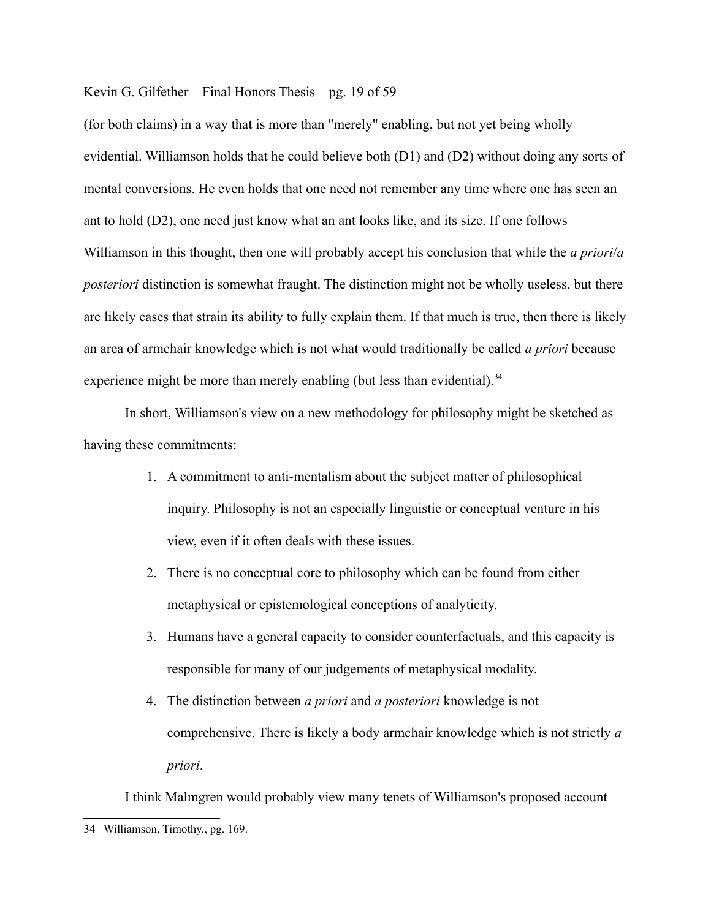Kevin G. Gilfether – Final Honors Thesis – pg. 19 of 59

(for both claims) in a way that is more than "merely" enabling, but not yet being wholly evidential. Williamson holds that he could believe both (D1) and (D2) without doing any sorts of mental conversions. He even holds that one need not remember any time where one has seen an ant to hold (D2), one need just know what an ant looks like, and its size. If one follows Williamson in this thought, then one will probably accept his conclusion that while the *a priori*/*a posteriori* distinction is somewhat fraught. The distinction might not be wholly useless, but there are likely cases that strain its ability to fully explain them. If that much is true, then there is likely an area of armchair knowledge which is not what would traditionally be called *a priori* because experience might be more than merely enabling (but less than evidential).<sup>[34](#page-19-0)</sup>

In short, Williamson's view on a new methodology for philosophy might be sketched as having these commitments:

- 1. A commitment to anti-mentalism about the subject matter of philosophical inquiry. Philosophy is not an especially linguistic or conceptual venture in his view, even if it often deals with these issues.
- 2. There is no conceptual core to philosophy which can be found from either metaphysical or epistemological conceptions of analyticity.
- 3. Humans have a general capacity to consider counterfactuals, and this capacity is responsible for many of our judgements of metaphysical modality.
- 4. The distinction between *a priori* and *a posteriori* knowledge is not comprehensive. There is likely a body armchair knowledge which is not strictly *a priori*.

I think Malmgren would probably view many tenets of Williamson's proposed account

<span id="page-19-0"></span><sup>34</sup> Williamson, Timothy., pg. 169.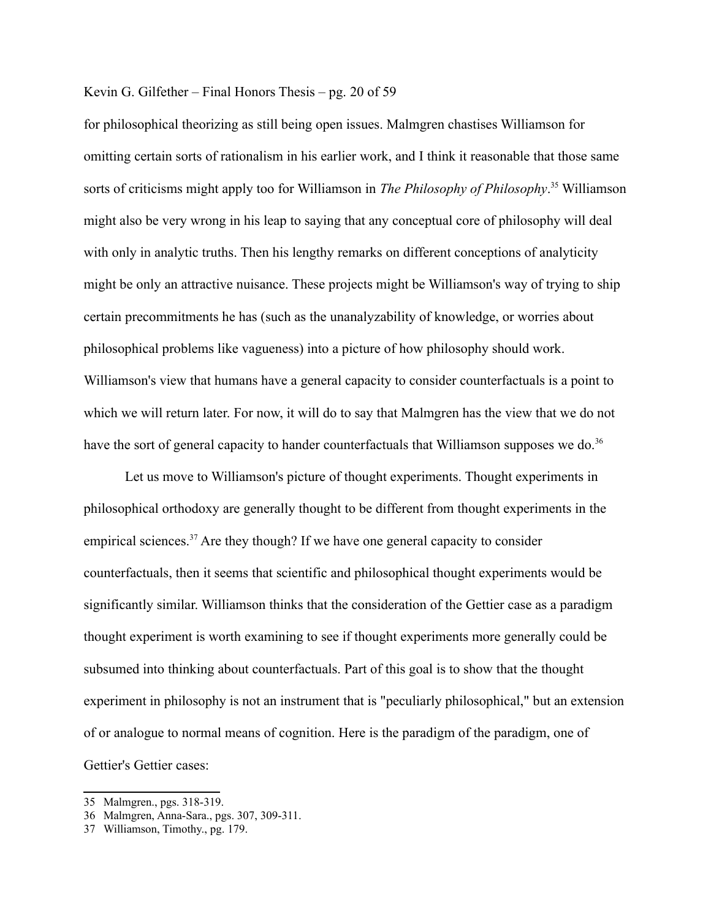# Kevin G. Gilfether – Final Honors Thesis – pg. 20 of 59

for philosophical theorizing as still being open issues. Malmgren chastises Williamson for omitting certain sorts of rationalism in his earlier work, and I think it reasonable that those same sorts of criticisms might apply too for Williamson in *The Philosophy of Philosophy*. [35](#page-20-0) Williamson might also be very wrong in his leap to saying that any conceptual core of philosophy will deal with only in analytic truths. Then his lengthy remarks on different conceptions of analyticity might be only an attractive nuisance. These projects might be Williamson's way of trying to ship certain precommitments he has (such as the unanalyzability of knowledge, or worries about philosophical problems like vagueness) into a picture of how philosophy should work. Williamson's view that humans have a general capacity to consider counterfactuals is a point to which we will return later. For now, it will do to say that Malmgren has the view that we do not have the sort of general capacity to hander counterfactuals that Williamson supposes we do.<sup>[36](#page-20-1)</sup>

Let us move to Williamson's picture of thought experiments. Thought experiments in philosophical orthodoxy are generally thought to be different from thought experiments in the empirical sciences.<sup>[37](#page-20-2)</sup> Are they though? If we have one general capacity to consider counterfactuals, then it seems that scientific and philosophical thought experiments would be significantly similar. Williamson thinks that the consideration of the Gettier case as a paradigm thought experiment is worth examining to see if thought experiments more generally could be subsumed into thinking about counterfactuals. Part of this goal is to show that the thought experiment in philosophy is not an instrument that is "peculiarly philosophical," but an extension of or analogue to normal means of cognition. Here is the paradigm of the paradigm, one of Gettier's Gettier cases:

<span id="page-20-0"></span><sup>35</sup> Malmgren., pgs. 318-319.

<span id="page-20-1"></span><sup>36</sup> Malmgren, Anna-Sara., pgs. 307, 309-311.

<span id="page-20-2"></span><sup>37</sup> Williamson, Timothy., pg. 179.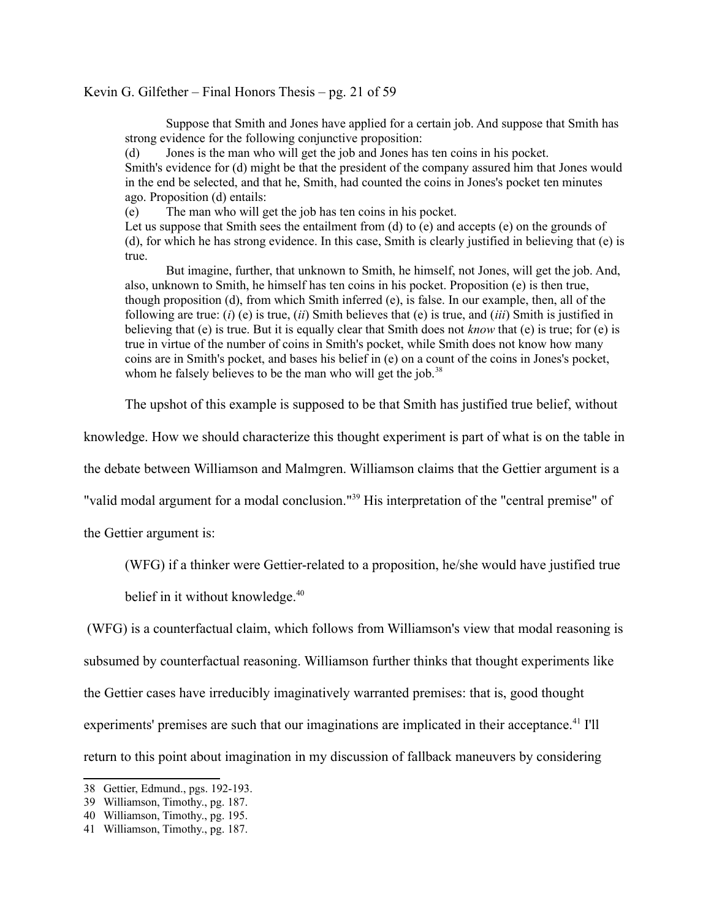### Kevin G. Gilfether – Final Honors Thesis – pg. 21 of 59

Suppose that Smith and Jones have applied for a certain job. And suppose that Smith has strong evidence for the following conjunctive proposition:

(d) Jones is the man who will get the job and Jones has ten coins in his pocket. Smith's evidence for (d) might be that the president of the company assured him that Jones would in the end be selected, and that he, Smith, had counted the coins in Jones's pocket ten minutes ago. Proposition (d) entails:

(e) The man who will get the job has ten coins in his pocket.

Let us suppose that Smith sees the entailment from (d) to (e) and accepts (e) on the grounds of (d), for which he has strong evidence. In this case, Smith is clearly justified in believing that (e) is true.

But imagine, further, that unknown to Smith, he himself, not Jones, will get the job. And, also, unknown to Smith, he himself has ten coins in his pocket. Proposition (e) is then true, though proposition (d), from which Smith inferred (e), is false. In our example, then, all of the following are true: (*i*) (e) is true, (*ii*) Smith believes that (e) is true, and (*iii*) Smith is justified in believing that (e) is true. But it is equally clear that Smith does not *know* that (e) is true; for (e) is true in virtue of the number of coins in Smith's pocket, while Smith does not know how many coins are in Smith's pocket, and bases his belief in (e) on a count of the coins in Jones's pocket, whom he falsely believes to be the man who will get the job.<sup>[38](#page-21-0)</sup>

The upshot of this example is supposed to be that Smith has justified true belief, without

knowledge. How we should characterize this thought experiment is part of what is on the table in

the debate between Williamson and Malmgren. Williamson claims that the Gettier argument is a

"valid modal argument for a modal conclusion."[39](#page-21-1) His interpretation of the "central premise" of

the Gettier argument is:

(WFG) if a thinker were Gettier-related to a proposition, he/she would have justified true

belief in it without knowledge.<sup>[40](#page-21-2)</sup>

(WFG) is a counterfactual claim, which follows from Williamson's view that modal reasoning is subsumed by counterfactual reasoning. Williamson further thinks that thought experiments like the Gettier cases have irreducibly imaginatively warranted premises: that is, good thought experiments' premises are such that our imaginations are implicated in their acceptance.<sup>[41](#page-21-3)</sup> I'll return to this point about imagination in my discussion of fallback maneuvers by considering

<span id="page-21-0"></span><sup>38</sup> Gettier, Edmund., pgs. 192-193.

<span id="page-21-1"></span><sup>39</sup> Williamson, Timothy., pg. 187.

<span id="page-21-2"></span><sup>40</sup> Williamson, Timothy., pg. 195.

<span id="page-21-3"></span><sup>41</sup> Williamson, Timothy., pg. 187.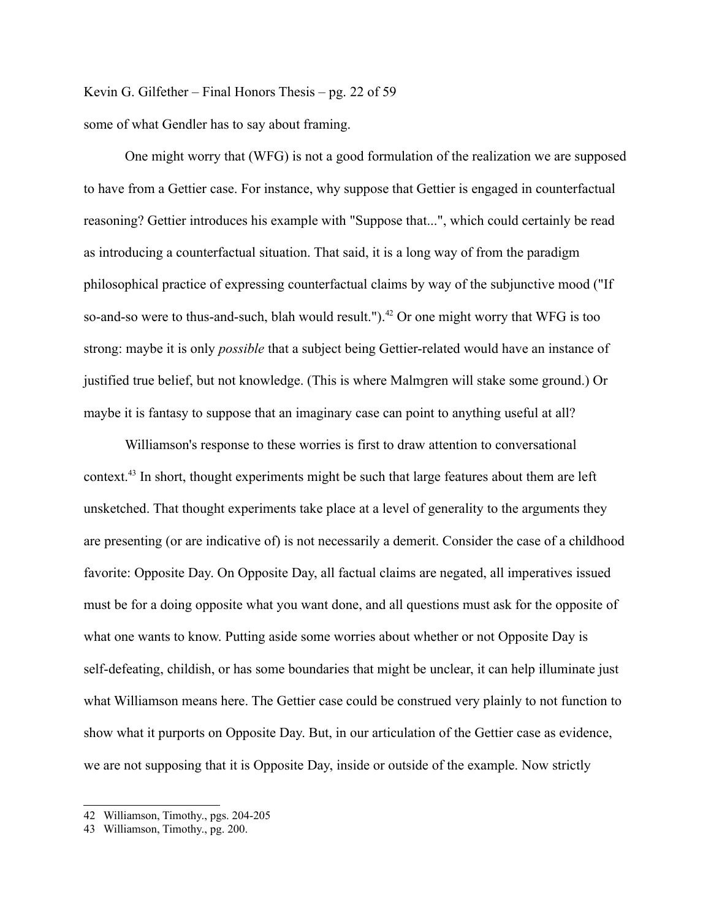Kevin G. Gilfether – Final Honors Thesis – pg. 22 of 59 some of what Gendler has to say about framing.

One might worry that (WFG) is not a good formulation of the realization we are supposed to have from a Gettier case. For instance, why suppose that Gettier is engaged in counterfactual reasoning? Gettier introduces his example with "Suppose that...", which could certainly be read as introducing a counterfactual situation. That said, it is a long way of from the paradigm philosophical practice of expressing counterfactual claims by way of the subjunctive mood ("If so-and-so were to thus-and-such, blah would result.").<sup>[42](#page-22-0)</sup> Or one might worry that WFG is too strong: maybe it is only *possible* that a subject being Gettier-related would have an instance of justified true belief, but not knowledge. (This is where Malmgren will stake some ground.) Or maybe it is fantasy to suppose that an imaginary case can point to anything useful at all?

Williamson's response to these worries is first to draw attention to conversational context.[43](#page-22-1) In short, thought experiments might be such that large features about them are left unsketched. That thought experiments take place at a level of generality to the arguments they are presenting (or are indicative of) is not necessarily a demerit. Consider the case of a childhood favorite: Opposite Day. On Opposite Day, all factual claims are negated, all imperatives issued must be for a doing opposite what you want done, and all questions must ask for the opposite of what one wants to know. Putting aside some worries about whether or not Opposite Day is self-defeating, childish, or has some boundaries that might be unclear, it can help illuminate just what Williamson means here. The Gettier case could be construed very plainly to not function to show what it purports on Opposite Day. But, in our articulation of the Gettier case as evidence, we are not supposing that it is Opposite Day, inside or outside of the example. Now strictly

<span id="page-22-0"></span><sup>42</sup> Williamson, Timothy., pgs. 204-205

<span id="page-22-1"></span><sup>43</sup> Williamson, Timothy., pg. 200.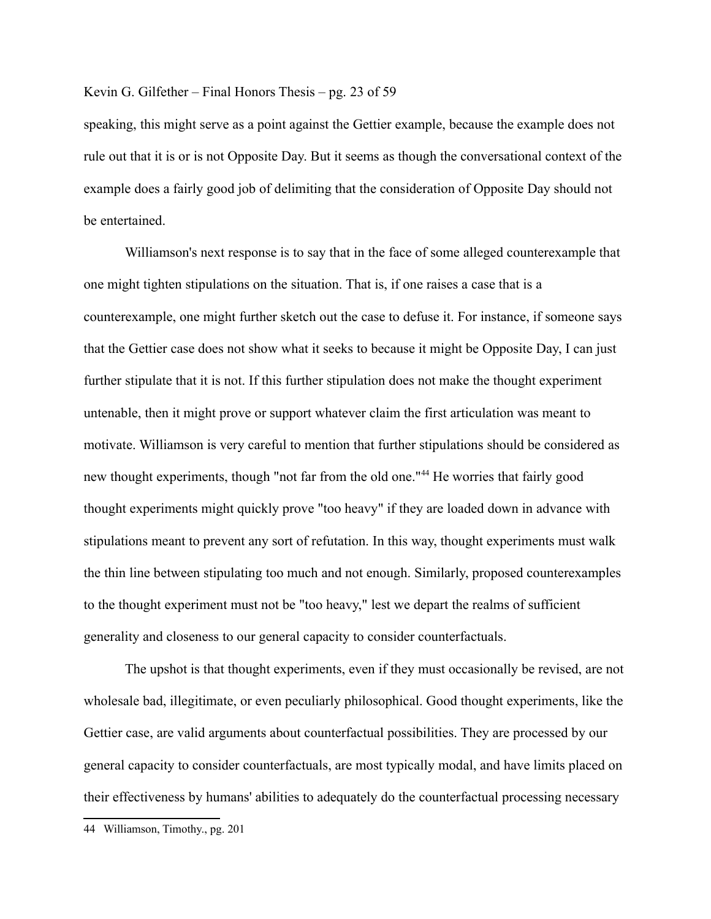# Kevin G. Gilfether – Final Honors Thesis – pg. 23 of 59

speaking, this might serve as a point against the Gettier example, because the example does not rule out that it is or is not Opposite Day. But it seems as though the conversational context of the example does a fairly good job of delimiting that the consideration of Opposite Day should not be entertained.

Williamson's next response is to say that in the face of some alleged counterexample that one might tighten stipulations on the situation. That is, if one raises a case that is a counterexample, one might further sketch out the case to defuse it. For instance, if someone says that the Gettier case does not show what it seeks to because it might be Opposite Day, I can just further stipulate that it is not. If this further stipulation does not make the thought experiment untenable, then it might prove or support whatever claim the first articulation was meant to motivate. Williamson is very careful to mention that further stipulations should be considered as new thought experiments, though "not far from the old one."[44](#page-23-0) He worries that fairly good thought experiments might quickly prove "too heavy" if they are loaded down in advance with stipulations meant to prevent any sort of refutation. In this way, thought experiments must walk the thin line between stipulating too much and not enough. Similarly, proposed counterexamples to the thought experiment must not be "too heavy," lest we depart the realms of sufficient generality and closeness to our general capacity to consider counterfactuals.

The upshot is that thought experiments, even if they must occasionally be revised, are not wholesale bad, illegitimate, or even peculiarly philosophical. Good thought experiments, like the Gettier case, are valid arguments about counterfactual possibilities. They are processed by our general capacity to consider counterfactuals, are most typically modal, and have limits placed on their effectiveness by humans' abilities to adequately do the counterfactual processing necessary

<span id="page-23-0"></span><sup>44</sup> Williamson, Timothy., pg. 201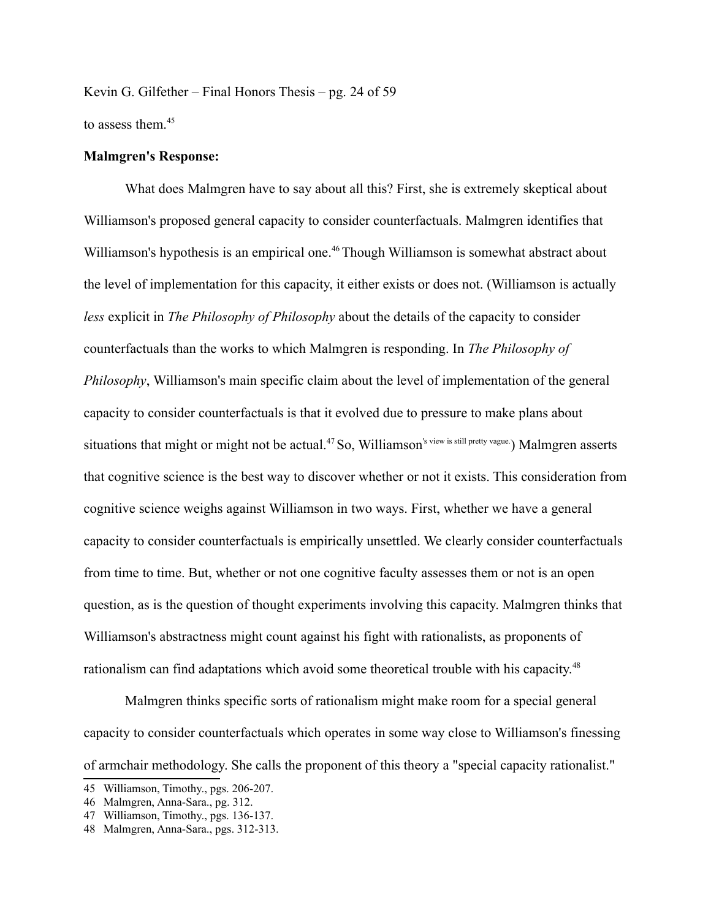Kevin G. Gilfether – Final Honors Thesis – pg. 24 of 59 to assess them.<sup>[45](#page-24-0)</sup>

#### **Malmgren's Response:**

What does Malmgren have to say about all this? First, she is extremely skeptical about Williamson's proposed general capacity to consider counterfactuals. Malmgren identifies that Williamson's hypothesis is an empirical one.<sup>[46](#page-24-1)</sup>Though Williamson is somewhat abstract about the level of implementation for this capacity, it either exists or does not. (Williamson is actually *less* explicit in *The Philosophy of Philosophy* about the details of the capacity to consider counterfactuals than the works to which Malmgren is responding. In *The Philosophy of Philosophy*, Williamson's main specific claim about the level of implementation of the general capacity to consider counterfactuals is that it evolved due to pressure to make plans about situations that might or might not be actual.<sup>[47](#page-24-2)</sup> So, Williamson's view is still pretty vague.) Malmgren asserts that cognitive science is the best way to discover whether or not it exists. This consideration from cognitive science weighs against Williamson in two ways. First, whether we have a general capacity to consider counterfactuals is empirically unsettled. We clearly consider counterfactuals from time to time. But, whether or not one cognitive faculty assesses them or not is an open question, as is the question of thought experiments involving this capacity. Malmgren thinks that Williamson's abstractness might count against his fight with rationalists, as proponents of rationalism can find adaptations which avoid some theoretical trouble with his capacity.<sup>[48](#page-24-3)</sup>

Malmgren thinks specific sorts of rationalism might make room for a special general capacity to consider counterfactuals which operates in some way close to Williamson's finessing of armchair methodology. She calls the proponent of this theory a "special capacity rationalist."

<span id="page-24-0"></span><sup>45</sup> Williamson, Timothy., pgs. 206-207.

<span id="page-24-1"></span><sup>46</sup> Malmgren, Anna-Sara., pg. 312.

<span id="page-24-2"></span><sup>47</sup> Williamson, Timothy., pgs. 136-137.

<span id="page-24-3"></span><sup>48</sup> Malmgren, Anna-Sara., pgs. 312-313.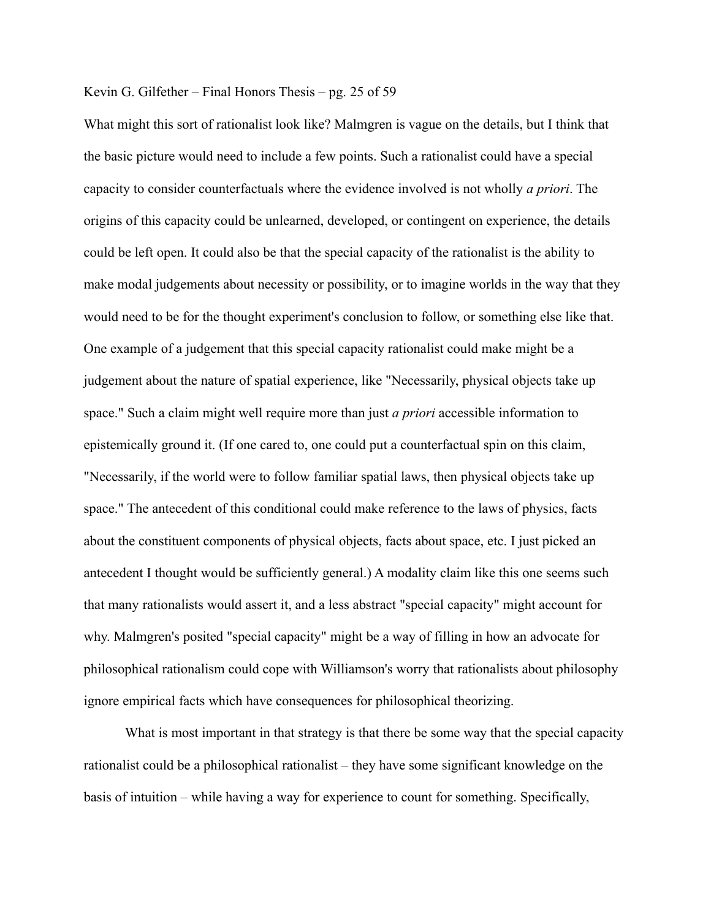### Kevin G. Gilfether – Final Honors Thesis – pg. 25 of 59

What might this sort of rationalist look like? Malmgren is vague on the details, but I think that the basic picture would need to include a few points. Such a rationalist could have a special capacity to consider counterfactuals where the evidence involved is not wholly *a priori*. The origins of this capacity could be unlearned, developed, or contingent on experience, the details could be left open. It could also be that the special capacity of the rationalist is the ability to make modal judgements about necessity or possibility, or to imagine worlds in the way that they would need to be for the thought experiment's conclusion to follow, or something else like that. One example of a judgement that this special capacity rationalist could make might be a judgement about the nature of spatial experience, like "Necessarily, physical objects take up space." Such a claim might well require more than just *a priori* accessible information to epistemically ground it. (If one cared to, one could put a counterfactual spin on this claim, "Necessarily, if the world were to follow familiar spatial laws, then physical objects take up space." The antecedent of this conditional could make reference to the laws of physics, facts about the constituent components of physical objects, facts about space, etc. I just picked an antecedent I thought would be sufficiently general.) A modality claim like this one seems such that many rationalists would assert it, and a less abstract "special capacity" might account for why. Malmgren's posited "special capacity" might be a way of filling in how an advocate for philosophical rationalism could cope with Williamson's worry that rationalists about philosophy ignore empirical facts which have consequences for philosophical theorizing.

What is most important in that strategy is that there be some way that the special capacity rationalist could be a philosophical rationalist – they have some significant knowledge on the basis of intuition – while having a way for experience to count for something. Specifically,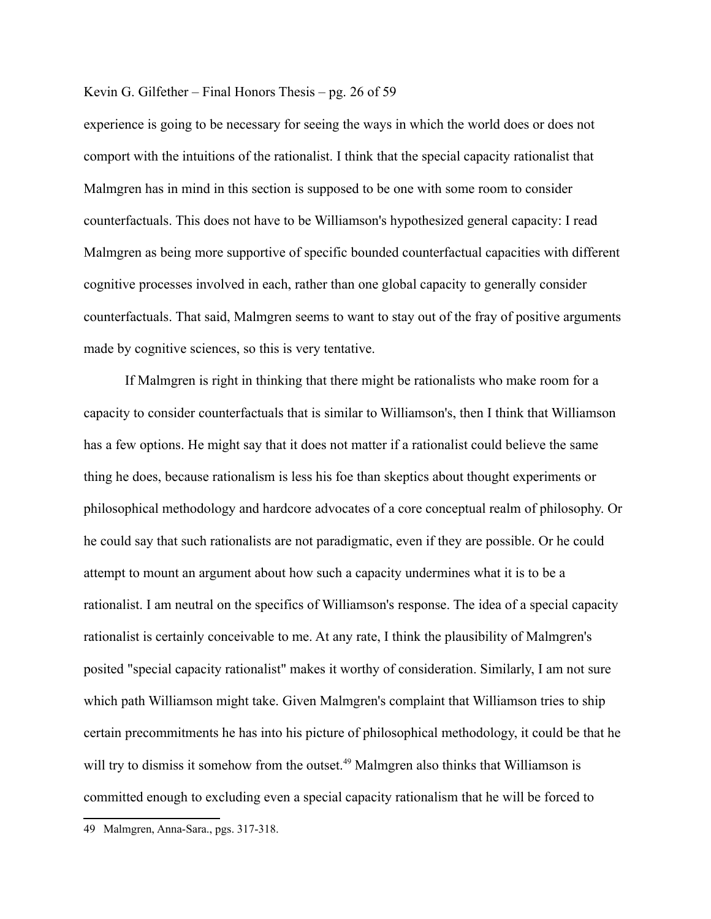#### Kevin G. Gilfether – Final Honors Thesis – pg. 26 of 59

experience is going to be necessary for seeing the ways in which the world does or does not comport with the intuitions of the rationalist. I think that the special capacity rationalist that Malmgren has in mind in this section is supposed to be one with some room to consider counterfactuals. This does not have to be Williamson's hypothesized general capacity: I read Malmgren as being more supportive of specific bounded counterfactual capacities with different cognitive processes involved in each, rather than one global capacity to generally consider counterfactuals. That said, Malmgren seems to want to stay out of the fray of positive arguments made by cognitive sciences, so this is very tentative.

If Malmgren is right in thinking that there might be rationalists who make room for a capacity to consider counterfactuals that is similar to Williamson's, then I think that Williamson has a few options. He might say that it does not matter if a rationalist could believe the same thing he does, because rationalism is less his foe than skeptics about thought experiments or philosophical methodology and hardcore advocates of a core conceptual realm of philosophy. Or he could say that such rationalists are not paradigmatic, even if they are possible. Or he could attempt to mount an argument about how such a capacity undermines what it is to be a rationalist. I am neutral on the specifics of Williamson's response. The idea of a special capacity rationalist is certainly conceivable to me. At any rate, I think the plausibility of Malmgren's posited "special capacity rationalist" makes it worthy of consideration. Similarly, I am not sure which path Williamson might take. Given Malmgren's complaint that Williamson tries to ship certain precommitments he has into his picture of philosophical methodology, it could be that he will try to dismiss it somehow from the outset.<sup>[49](#page-26-0)</sup> Malmgren also thinks that Williamson is committed enough to excluding even a special capacity rationalism that he will be forced to

<span id="page-26-0"></span><sup>49</sup> Malmgren, Anna-Sara., pgs. 317-318.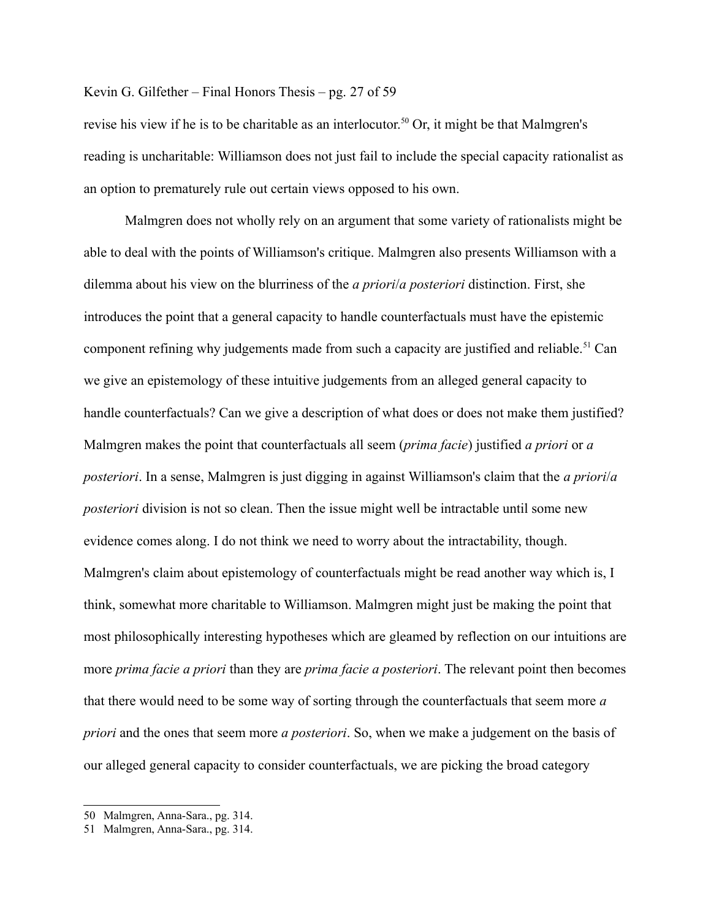### Kevin G. Gilfether – Final Honors Thesis – pg. 27 of 59

revise his view if he is to be charitable as an interlocutor.<sup>[50](#page-27-0)</sup> Or, it might be that Malmgren's reading is uncharitable: Williamson does not just fail to include the special capacity rationalist as an option to prematurely rule out certain views opposed to his own.

Malmgren does not wholly rely on an argument that some variety of rationalists might be able to deal with the points of Williamson's critique. Malmgren also presents Williamson with a dilemma about his view on the blurriness of the *a priori*/*a posteriori* distinction. First, she introduces the point that a general capacity to handle counterfactuals must have the epistemic component refining why judgements made from such a capacity are justified and reliable.<sup>[51](#page-27-1)</sup> Can we give an epistemology of these intuitive judgements from an alleged general capacity to handle counterfactuals? Can we give a description of what does or does not make them justified? Malmgren makes the point that counterfactuals all seem (*prima facie*) justified *a priori* or *a posteriori*. In a sense, Malmgren is just digging in against Williamson's claim that the *a priori*/*a posteriori* division is not so clean. Then the issue might well be intractable until some new evidence comes along. I do not think we need to worry about the intractability, though. Malmgren's claim about epistemology of counterfactuals might be read another way which is, I think, somewhat more charitable to Williamson. Malmgren might just be making the point that most philosophically interesting hypotheses which are gleamed by reflection on our intuitions are more *prima facie a priori* than they are *prima facie a posteriori*. The relevant point then becomes that there would need to be some way of sorting through the counterfactuals that seem more *a priori* and the ones that seem more *a posteriori*. So, when we make a judgement on the basis of our alleged general capacity to consider counterfactuals, we are picking the broad category

<span id="page-27-0"></span><sup>50</sup> Malmgren, Anna-Sara., pg. 314.

<span id="page-27-1"></span><sup>51</sup> Malmgren, Anna-Sara., pg. 314.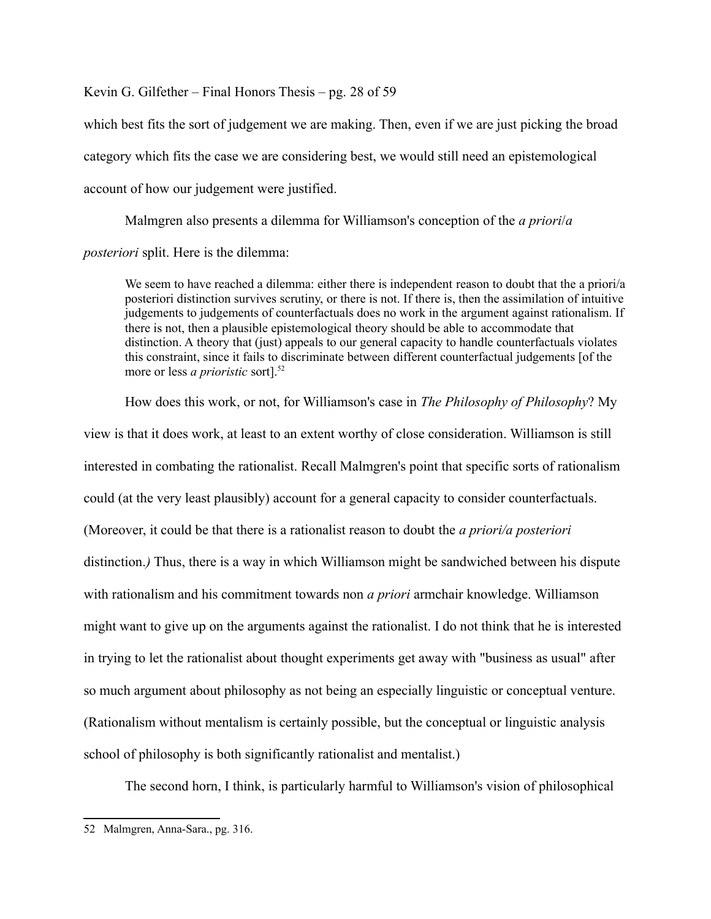Kevin G. Gilfether – Final Honors Thesis – pg. 28 of 59

which best fits the sort of judgement we are making. Then, even if we are just picking the broad category which fits the case we are considering best, we would still need an epistemological account of how our judgement were justified.

Malmgren also presents a dilemma for Williamson's conception of the *a priori*/*a posteriori* split. Here is the dilemma:

We seem to have reached a dilemma: either there is independent reason to doubt that the a priori/a posteriori distinction survives scrutiny, or there is not. If there is, then the assimilation of intuitive judgements to judgements of counterfactuals does no work in the argument against rationalism. If there is not, then a plausible epistemological theory should be able to accommodate that distinction. A theory that (just) appeals to our general capacity to handle counterfactuals violates this constraint, since it fails to discriminate between different counterfactual judgements [of the more or less *a prioristic* sort].[52](#page-28-0)

How does this work, or not, for Williamson's case in *The Philosophy of Philosophy*? My

view is that it does work, at least to an extent worthy of close consideration. Williamson is still interested in combating the rationalist. Recall Malmgren's point that specific sorts of rationalism could (at the very least plausibly) account for a general capacity to consider counterfactuals. (Moreover, it could be that there is a rationalist reason to doubt the *a priori/a posteriori*  distinction.*)* Thus, there is a way in which Williamson might be sandwiched between his dispute with rationalism and his commitment towards non *a priori* armchair knowledge. Williamson might want to give up on the arguments against the rationalist. I do not think that he is interested in trying to let the rationalist about thought experiments get away with "business as usual" after so much argument about philosophy as not being an especially linguistic or conceptual venture. (Rationalism without mentalism is certainly possible, but the conceptual or linguistic analysis school of philosophy is both significantly rationalist and mentalist.)

The second horn, I think, is particularly harmful to Williamson's vision of philosophical

<span id="page-28-0"></span><sup>52</sup> Malmgren, Anna-Sara., pg. 316.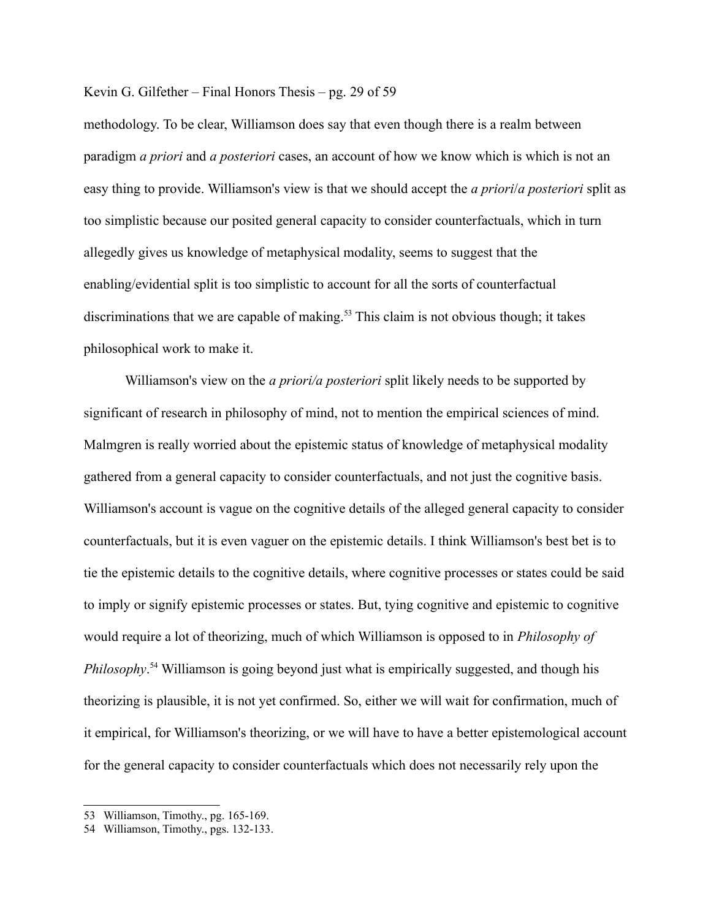#### Kevin G. Gilfether – Final Honors Thesis – pg. 29 of 59

methodology. To be clear, Williamson does say that even though there is a realm between paradigm *a priori* and *a posteriori* cases, an account of how we know which is which is not an easy thing to provide. Williamson's view is that we should accept the *a priori*/*a posteriori* split as too simplistic because our posited general capacity to consider counterfactuals, which in turn allegedly gives us knowledge of metaphysical modality, seems to suggest that the enabling/evidential split is too simplistic to account for all the sorts of counterfactual discriminations that we are capable of making.<sup>[53](#page-29-0)</sup> This claim is not obvious though; it takes philosophical work to make it.

Williamson's view on the *a priori/a posteriori* split likely needs to be supported by significant of research in philosophy of mind, not to mention the empirical sciences of mind. Malmgren is really worried about the epistemic status of knowledge of metaphysical modality gathered from a general capacity to consider counterfactuals, and not just the cognitive basis. Williamson's account is vague on the cognitive details of the alleged general capacity to consider counterfactuals, but it is even vaguer on the epistemic details. I think Williamson's best bet is to tie the epistemic details to the cognitive details, where cognitive processes or states could be said to imply or signify epistemic processes or states. But, tying cognitive and epistemic to cognitive would require a lot of theorizing, much of which Williamson is opposed to in *Philosophy of Philosophy*.<sup>[54](#page-29-1)</sup> Williamson is going beyond just what is empirically suggested, and though his theorizing is plausible, it is not yet confirmed. So, either we will wait for confirmation, much of it empirical, for Williamson's theorizing, or we will have to have a better epistemological account for the general capacity to consider counterfactuals which does not necessarily rely upon the

<span id="page-29-0"></span><sup>53</sup> Williamson, Timothy., pg. 165-169.

<span id="page-29-1"></span><sup>54</sup> Williamson, Timothy., pgs. 132-133.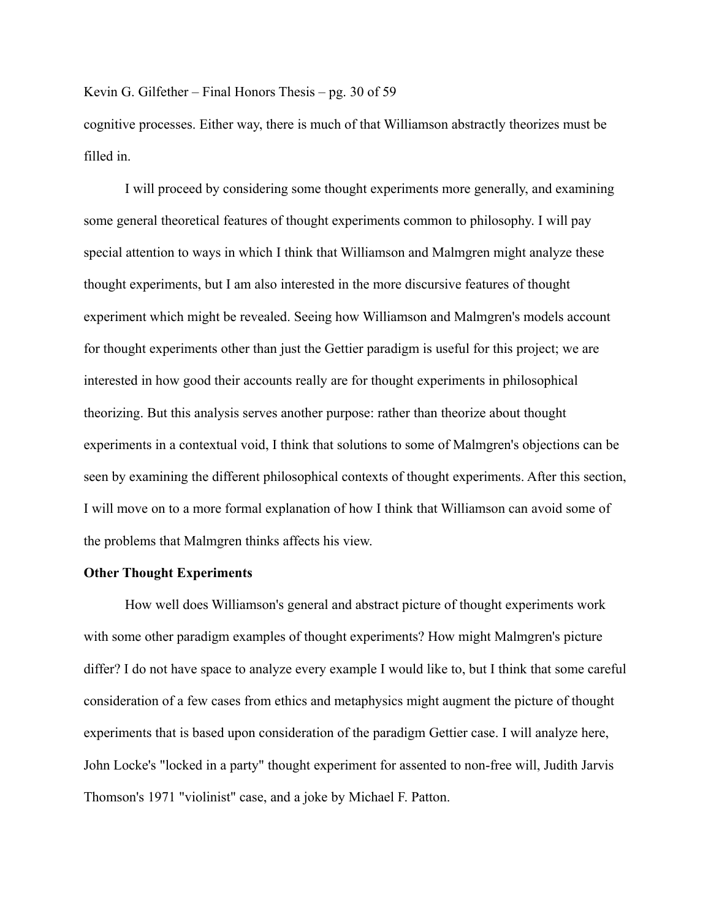# Kevin G. Gilfether – Final Honors Thesis – pg. 30 of 59

cognitive processes. Either way, there is much of that Williamson abstractly theorizes must be filled in.

I will proceed by considering some thought experiments more generally, and examining some general theoretical features of thought experiments common to philosophy. I will pay special attention to ways in which I think that Williamson and Malmgren might analyze these thought experiments, but I am also interested in the more discursive features of thought experiment which might be revealed. Seeing how Williamson and Malmgren's models account for thought experiments other than just the Gettier paradigm is useful for this project; we are interested in how good their accounts really are for thought experiments in philosophical theorizing. But this analysis serves another purpose: rather than theorize about thought experiments in a contextual void, I think that solutions to some of Malmgren's objections can be seen by examining the different philosophical contexts of thought experiments. After this section, I will move on to a more formal explanation of how I think that Williamson can avoid some of the problems that Malmgren thinks affects his view.

#### **Other Thought Experiments**

How well does Williamson's general and abstract picture of thought experiments work with some other paradigm examples of thought experiments? How might Malmgren's picture differ? I do not have space to analyze every example I would like to, but I think that some careful consideration of a few cases from ethics and metaphysics might augment the picture of thought experiments that is based upon consideration of the paradigm Gettier case. I will analyze here, John Locke's "locked in a party" thought experiment for assented to non-free will, Judith Jarvis Thomson's 1971 "violinist" case, and a joke by Michael F. Patton.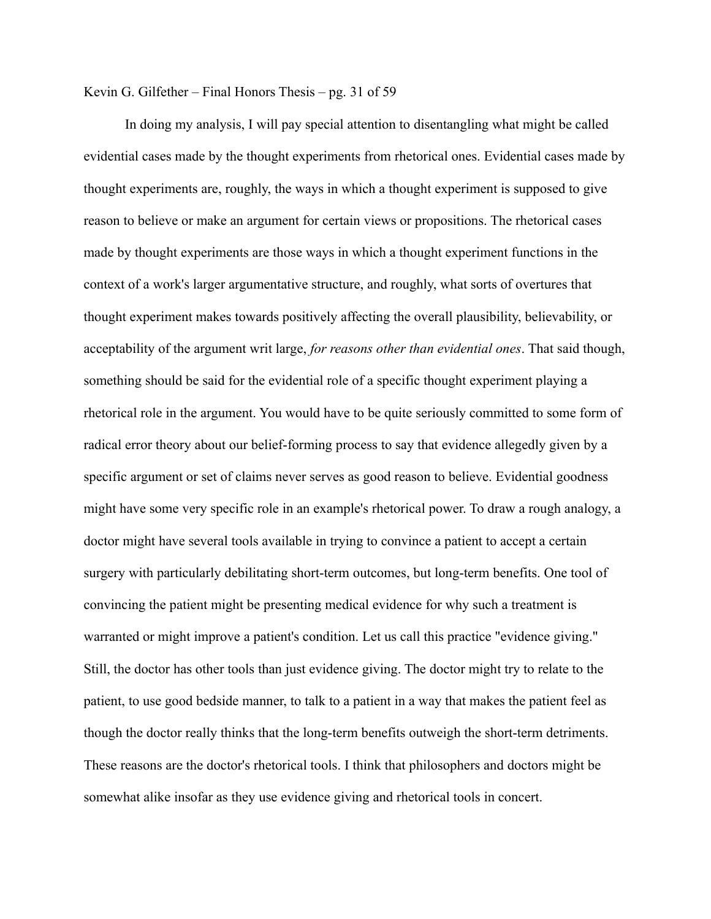Kevin G. Gilfether – Final Honors Thesis – pg. 31 of 59

In doing my analysis, I will pay special attention to disentangling what might be called evidential cases made by the thought experiments from rhetorical ones. Evidential cases made by thought experiments are, roughly, the ways in which a thought experiment is supposed to give reason to believe or make an argument for certain views or propositions. The rhetorical cases made by thought experiments are those ways in which a thought experiment functions in the context of a work's larger argumentative structure, and roughly, what sorts of overtures that thought experiment makes towards positively affecting the overall plausibility, believability, or acceptability of the argument writ large, *for reasons other than evidential ones*. That said though, something should be said for the evidential role of a specific thought experiment playing a rhetorical role in the argument. You would have to be quite seriously committed to some form of radical error theory about our belief-forming process to say that evidence allegedly given by a specific argument or set of claims never serves as good reason to believe. Evidential goodness might have some very specific role in an example's rhetorical power. To draw a rough analogy, a doctor might have several tools available in trying to convince a patient to accept a certain surgery with particularly debilitating short-term outcomes, but long-term benefits. One tool of convincing the patient might be presenting medical evidence for why such a treatment is warranted or might improve a patient's condition. Let us call this practice "evidence giving." Still, the doctor has other tools than just evidence giving. The doctor might try to relate to the patient, to use good bedside manner, to talk to a patient in a way that makes the patient feel as though the doctor really thinks that the long-term benefits outweigh the short-term detriments. These reasons are the doctor's rhetorical tools. I think that philosophers and doctors might be somewhat alike insofar as they use evidence giving and rhetorical tools in concert.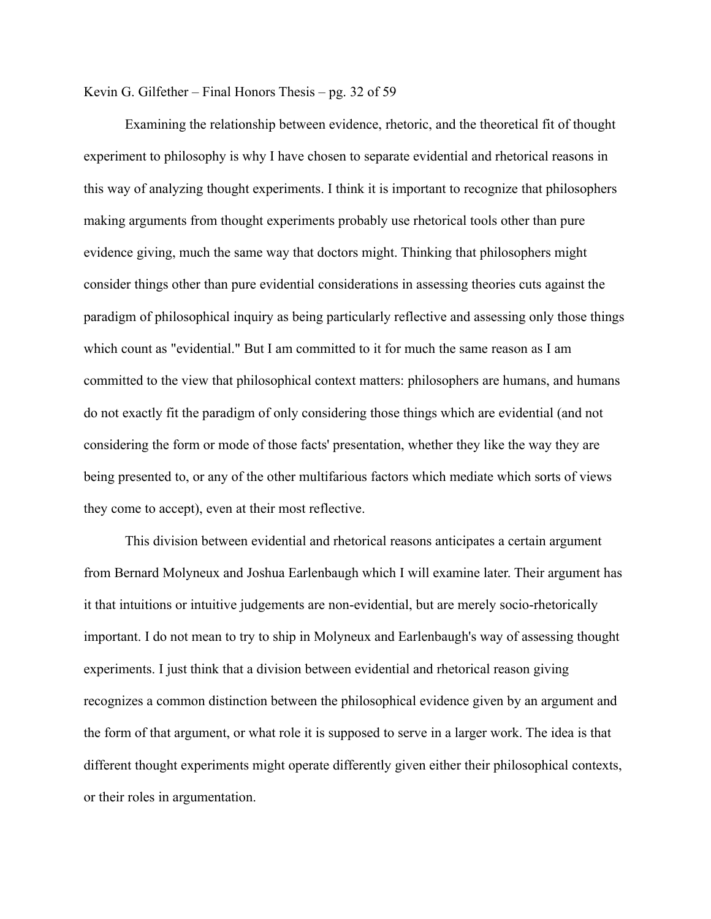Kevin G. Gilfether – Final Honors Thesis – pg. 32 of 59

Examining the relationship between evidence, rhetoric, and the theoretical fit of thought experiment to philosophy is why I have chosen to separate evidential and rhetorical reasons in this way of analyzing thought experiments. I think it is important to recognize that philosophers making arguments from thought experiments probably use rhetorical tools other than pure evidence giving, much the same way that doctors might. Thinking that philosophers might consider things other than pure evidential considerations in assessing theories cuts against the paradigm of philosophical inquiry as being particularly reflective and assessing only those things which count as "evidential." But I am committed to it for much the same reason as I am committed to the view that philosophical context matters: philosophers are humans, and humans do not exactly fit the paradigm of only considering those things which are evidential (and not considering the form or mode of those facts' presentation, whether they like the way they are being presented to, or any of the other multifarious factors which mediate which sorts of views they come to accept), even at their most reflective.

This division between evidential and rhetorical reasons anticipates a certain argument from Bernard Molyneux and Joshua Earlenbaugh which I will examine later. Their argument has it that intuitions or intuitive judgements are non-evidential, but are merely socio-rhetorically important. I do not mean to try to ship in Molyneux and Earlenbaugh's way of assessing thought experiments. I just think that a division between evidential and rhetorical reason giving recognizes a common distinction between the philosophical evidence given by an argument and the form of that argument, or what role it is supposed to serve in a larger work. The idea is that different thought experiments might operate differently given either their philosophical contexts, or their roles in argumentation.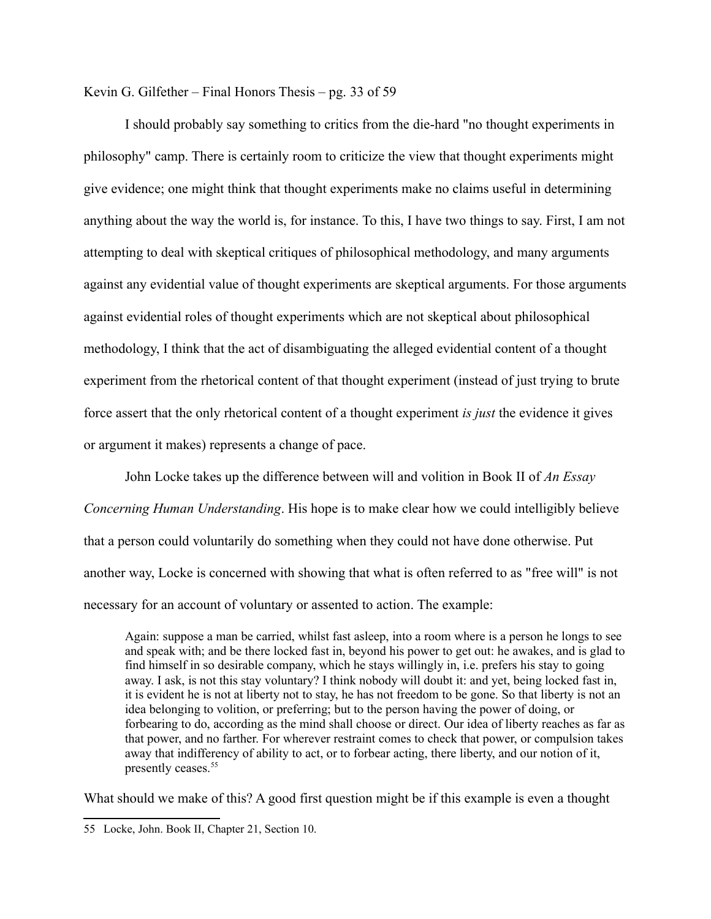Kevin G. Gilfether – Final Honors Thesis – pg. 33 of 59

I should probably say something to critics from the die-hard "no thought experiments in philosophy" camp. There is certainly room to criticize the view that thought experiments might give evidence; one might think that thought experiments make no claims useful in determining anything about the way the world is, for instance. To this, I have two things to say. First, I am not attempting to deal with skeptical critiques of philosophical methodology, and many arguments against any evidential value of thought experiments are skeptical arguments. For those arguments against evidential roles of thought experiments which are not skeptical about philosophical methodology, I think that the act of disambiguating the alleged evidential content of a thought experiment from the rhetorical content of that thought experiment (instead of just trying to brute force assert that the only rhetorical content of a thought experiment *is just* the evidence it gives or argument it makes) represents a change of pace.

John Locke takes up the difference between will and volition in Book II of *An Essay Concerning Human Understanding*. His hope is to make clear how we could intelligibly believe that a person could voluntarily do something when they could not have done otherwise. Put another way, Locke is concerned with showing that what is often referred to as "free will" is not necessary for an account of voluntary or assented to action. The example:

Again: suppose a man be carried, whilst fast asleep, into a room where is a person he longs to see and speak with; and be there locked fast in, beyond his power to get out: he awakes, and is glad to find himself in so desirable company, which he stays willingly in, i.e. prefers his stay to going away. I ask, is not this stay voluntary? I think nobody will doubt it: and yet, being locked fast in, it is evident he is not at liberty not to stay, he has not freedom to be gone. So that liberty is not an idea belonging to volition, or preferring; but to the person having the power of doing, or forbearing to do, according as the mind shall choose or direct. Our idea of liberty reaches as far as that power, and no farther. For wherever restraint comes to check that power, or compulsion takes away that indifferency of ability to act, or to forbear acting, there liberty, and our notion of it, presently ceases.<sup>[55](#page-33-0)</sup>

What should we make of this? A good first question might be if this example is even a thought

<span id="page-33-0"></span><sup>55</sup> Locke, John. Book II, Chapter 21, Section 10.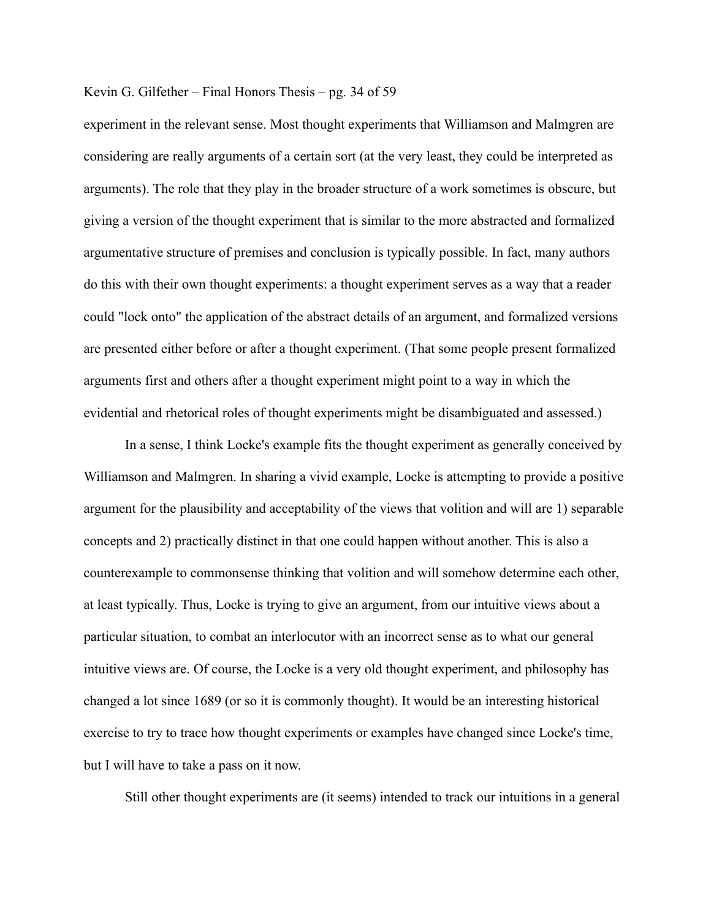#### Kevin G. Gilfether – Final Honors Thesis – pg. 34 of 59

experiment in the relevant sense. Most thought experiments that Williamson and Malmgren are considering are really arguments of a certain sort (at the very least, they could be interpreted as arguments). The role that they play in the broader structure of a work sometimes is obscure, but giving a version of the thought experiment that is similar to the more abstracted and formalized argumentative structure of premises and conclusion is typically possible. In fact, many authors do this with their own thought experiments: a thought experiment serves as a way that a reader could "lock onto" the application of the abstract details of an argument, and formalized versions are presented either before or after a thought experiment. (That some people present formalized arguments first and others after a thought experiment might point to a way in which the evidential and rhetorical roles of thought experiments might be disambiguated and assessed.)

In a sense, I think Locke's example fits the thought experiment as generally conceived by Williamson and Malmgren. In sharing a vivid example, Locke is attempting to provide a positive argument for the plausibility and acceptability of the views that volition and will are 1) separable concepts and 2) practically distinct in that one could happen without another. This is also a counterexample to commonsense thinking that volition and will somehow determine each other, at least typically. Thus, Locke is trying to give an argument, from our intuitive views about a particular situation, to combat an interlocutor with an incorrect sense as to what our general intuitive views are. Of course, the Locke is a very old thought experiment, and philosophy has changed a lot since 1689 (or so it is commonly thought). It would be an interesting historical exercise to try to trace how thought experiments or examples have changed since Locke's time, but I will have to take a pass on it now.

Still other thought experiments are (it seems) intended to track our intuitions in a general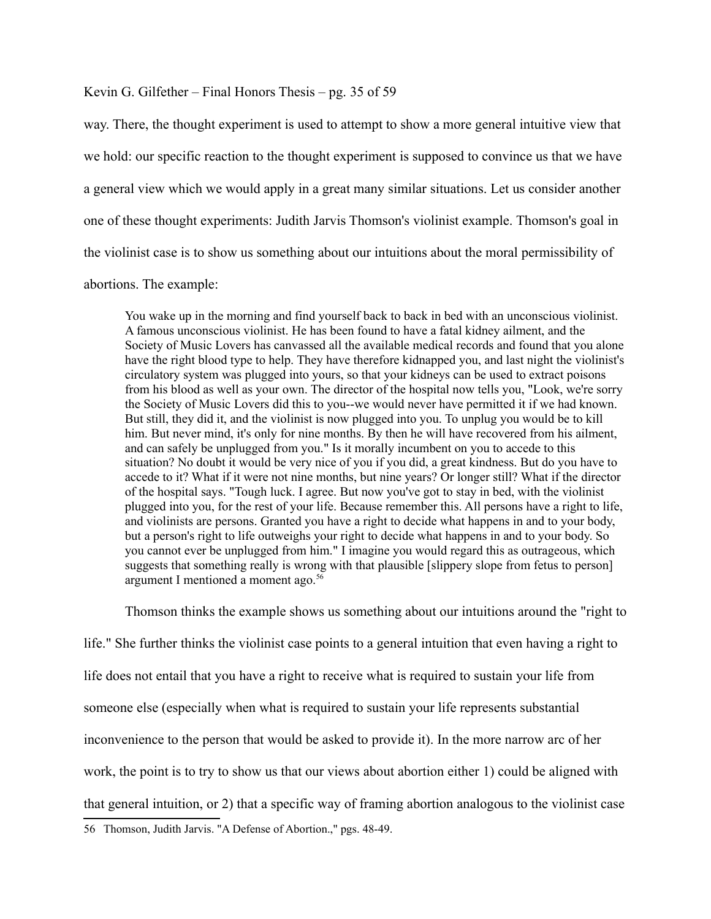Kevin G. Gilfether – Final Honors Thesis – pg. 35 of 59

way. There, the thought experiment is used to attempt to show a more general intuitive view that we hold: our specific reaction to the thought experiment is supposed to convince us that we have a general view which we would apply in a great many similar situations. Let us consider another one of these thought experiments: Judith Jarvis Thomson's violinist example. Thomson's goal in the violinist case is to show us something about our intuitions about the moral permissibility of abortions. The example:

You wake up in the morning and find yourself back to back in bed with an unconscious violinist. A famous unconscious violinist. He has been found to have a fatal kidney ailment, and the Society of Music Lovers has canvassed all the available medical records and found that you alone have the right blood type to help. They have therefore kidnapped you, and last night the violinist's circulatory system was plugged into yours, so that your kidneys can be used to extract poisons from his blood as well as your own. The director of the hospital now tells you, "Look, we're sorry the Society of Music Lovers did this to you--we would never have permitted it if we had known. But still, they did it, and the violinist is now plugged into you. To unplug you would be to kill him. But never mind, it's only for nine months. By then he will have recovered from his ailment, and can safely be unplugged from you." Is it morally incumbent on you to accede to this situation? No doubt it would be very nice of you if you did, a great kindness. But do you have to accede to it? What if it were not nine months, but nine years? Or longer still? What if the director of the hospital says. "Tough luck. I agree. But now you've got to stay in bed, with the violinist plugged into you, for the rest of your life. Because remember this. All persons have a right to life, and violinists are persons. Granted you have a right to decide what happens in and to your body, but a person's right to life outweighs your right to decide what happens in and to your body. So you cannot ever be unplugged from him." I imagine you would regard this as outrageous, which suggests that something really is wrong with that plausible [slippery slope from fetus to person] argument I mentioned a moment ago.<sup>[56](#page-35-0)</sup>

Thomson thinks the example shows us something about our intuitions around the "right to

life." She further thinks the violinist case points to a general intuition that even having a right to life does not entail that you have a right to receive what is required to sustain your life from someone else (especially when what is required to sustain your life represents substantial inconvenience to the person that would be asked to provide it). In the more narrow arc of her work, the point is to try to show us that our views about abortion either 1) could be aligned with that general intuition, or 2) that a specific way of framing abortion analogous to the violinist case

<span id="page-35-0"></span>56 Thomson, Judith Jarvis. "A Defense of Abortion.," pgs. 48-49.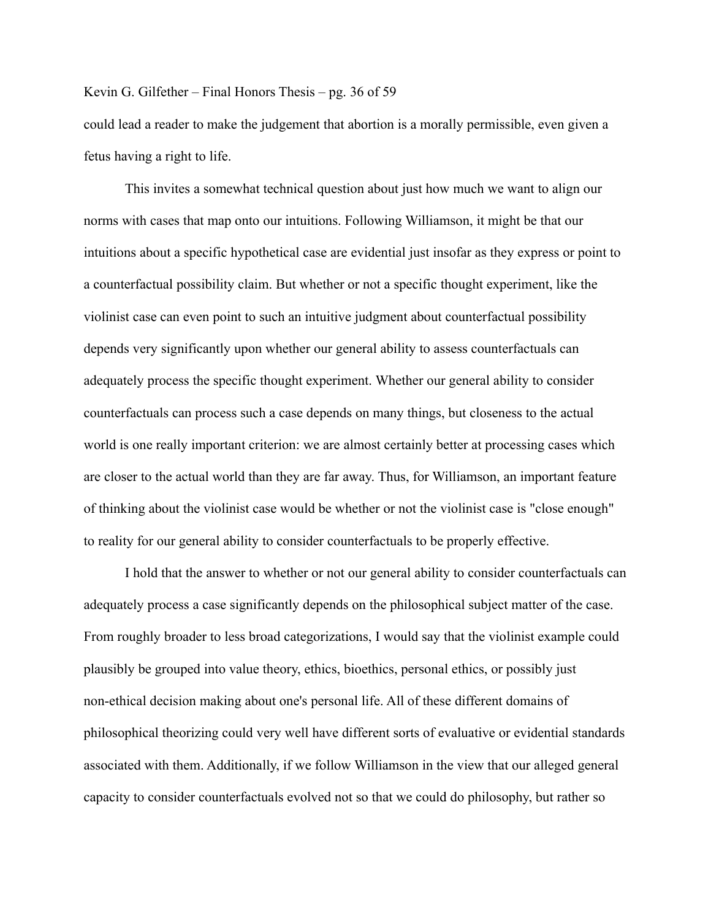#### Kevin G. Gilfether – Final Honors Thesis – pg. 36 of 59

could lead a reader to make the judgement that abortion is a morally permissible, even given a fetus having a right to life.

This invites a somewhat technical question about just how much we want to align our norms with cases that map onto our intuitions. Following Williamson, it might be that our intuitions about a specific hypothetical case are evidential just insofar as they express or point to a counterfactual possibility claim. But whether or not a specific thought experiment, like the violinist case can even point to such an intuitive judgment about counterfactual possibility depends very significantly upon whether our general ability to assess counterfactuals can adequately process the specific thought experiment. Whether our general ability to consider counterfactuals can process such a case depends on many things, but closeness to the actual world is one really important criterion: we are almost certainly better at processing cases which are closer to the actual world than they are far away. Thus, for Williamson, an important feature of thinking about the violinist case would be whether or not the violinist case is "close enough" to reality for our general ability to consider counterfactuals to be properly effective.

I hold that the answer to whether or not our general ability to consider counterfactuals can adequately process a case significantly depends on the philosophical subject matter of the case. From roughly broader to less broad categorizations, I would say that the violinist example could plausibly be grouped into value theory, ethics, bioethics, personal ethics, or possibly just non-ethical decision making about one's personal life. All of these different domains of philosophical theorizing could very well have different sorts of evaluative or evidential standards associated with them. Additionally, if we follow Williamson in the view that our alleged general capacity to consider counterfactuals evolved not so that we could do philosophy, but rather so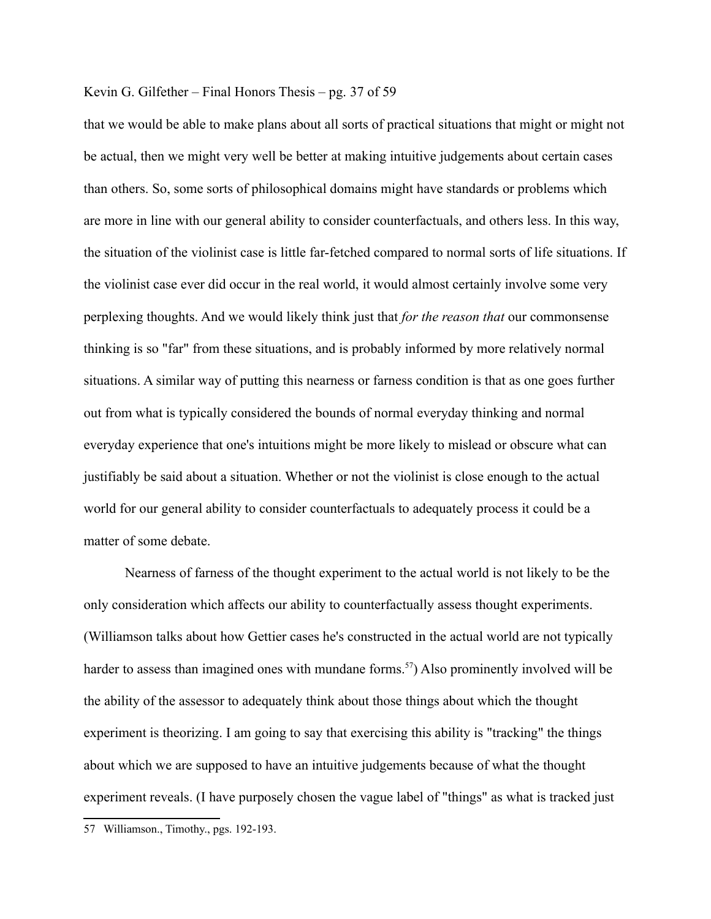#### Kevin G. Gilfether – Final Honors Thesis – pg. 37 of 59

that we would be able to make plans about all sorts of practical situations that might or might not be actual, then we might very well be better at making intuitive judgements about certain cases than others. So, some sorts of philosophical domains might have standards or problems which are more in line with our general ability to consider counterfactuals, and others less. In this way, the situation of the violinist case is little far-fetched compared to normal sorts of life situations. If the violinist case ever did occur in the real world, it would almost certainly involve some very perplexing thoughts. And we would likely think just that *for the reason that* our commonsense thinking is so "far" from these situations, and is probably informed by more relatively normal situations. A similar way of putting this nearness or farness condition is that as one goes further out from what is typically considered the bounds of normal everyday thinking and normal everyday experience that one's intuitions might be more likely to mislead or obscure what can justifiably be said about a situation. Whether or not the violinist is close enough to the actual world for our general ability to consider counterfactuals to adequately process it could be a matter of some debate.

Nearness of farness of the thought experiment to the actual world is not likely to be the only consideration which affects our ability to counterfactually assess thought experiments. (Williamson talks about how Gettier cases he's constructed in the actual world are not typically harder to assess than imagined ones with mundane forms.<sup>[57](#page-37-0)</sup>) Also prominently involved will be the ability of the assessor to adequately think about those things about which the thought experiment is theorizing. I am going to say that exercising this ability is "tracking" the things about which we are supposed to have an intuitive judgements because of what the thought experiment reveals. (I have purposely chosen the vague label of "things" as what is tracked just

<span id="page-37-0"></span><sup>57</sup> Williamson., Timothy., pgs. 192-193.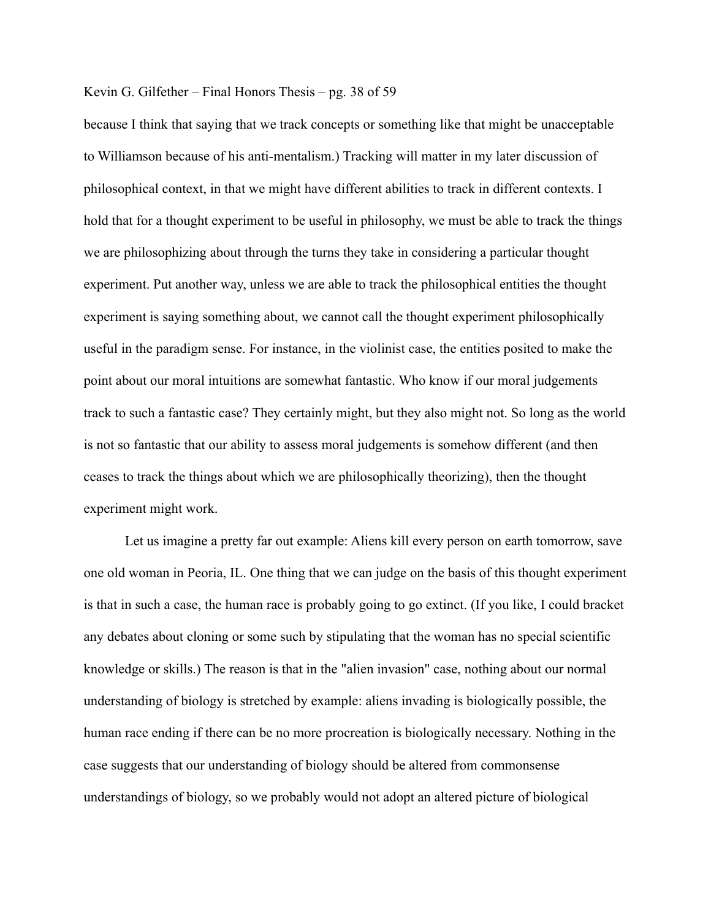#### Kevin G. Gilfether – Final Honors Thesis – pg. 38 of 59

because I think that saying that we track concepts or something like that might be unacceptable to Williamson because of his anti-mentalism.) Tracking will matter in my later discussion of philosophical context, in that we might have different abilities to track in different contexts. I hold that for a thought experiment to be useful in philosophy, we must be able to track the things we are philosophizing about through the turns they take in considering a particular thought experiment. Put another way, unless we are able to track the philosophical entities the thought experiment is saying something about, we cannot call the thought experiment philosophically useful in the paradigm sense. For instance, in the violinist case, the entities posited to make the point about our moral intuitions are somewhat fantastic. Who know if our moral judgements track to such a fantastic case? They certainly might, but they also might not. So long as the world is not so fantastic that our ability to assess moral judgements is somehow different (and then ceases to track the things about which we are philosophically theorizing), then the thought experiment might work.

Let us imagine a pretty far out example: Aliens kill every person on earth tomorrow, save one old woman in Peoria, IL. One thing that we can judge on the basis of this thought experiment is that in such a case, the human race is probably going to go extinct. (If you like, I could bracket any debates about cloning or some such by stipulating that the woman has no special scientific knowledge or skills.) The reason is that in the "alien invasion" case, nothing about our normal understanding of biology is stretched by example: aliens invading is biologically possible, the human race ending if there can be no more procreation is biologically necessary. Nothing in the case suggests that our understanding of biology should be altered from commonsense understandings of biology, so we probably would not adopt an altered picture of biological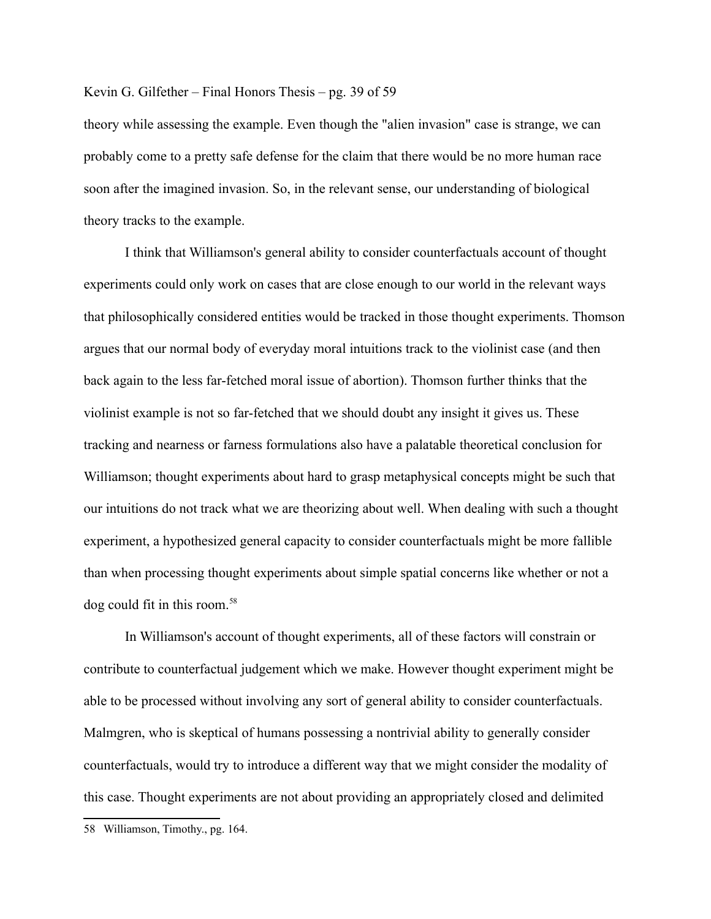### Kevin G. Gilfether – Final Honors Thesis – pg. 39 of 59

theory while assessing the example. Even though the "alien invasion" case is strange, we can probably come to a pretty safe defense for the claim that there would be no more human race soon after the imagined invasion. So, in the relevant sense, our understanding of biological theory tracks to the example.

I think that Williamson's general ability to consider counterfactuals account of thought experiments could only work on cases that are close enough to our world in the relevant ways that philosophically considered entities would be tracked in those thought experiments. Thomson argues that our normal body of everyday moral intuitions track to the violinist case (and then back again to the less far-fetched moral issue of abortion). Thomson further thinks that the violinist example is not so far-fetched that we should doubt any insight it gives us. These tracking and nearness or farness formulations also have a palatable theoretical conclusion for Williamson; thought experiments about hard to grasp metaphysical concepts might be such that our intuitions do not track what we are theorizing about well. When dealing with such a thought experiment, a hypothesized general capacity to consider counterfactuals might be more fallible than when processing thought experiments about simple spatial concerns like whether or not a dog could fit in this room.[58](#page-39-0)

In Williamson's account of thought experiments, all of these factors will constrain or contribute to counterfactual judgement which we make. However thought experiment might be able to be processed without involving any sort of general ability to consider counterfactuals. Malmgren, who is skeptical of humans possessing a nontrivial ability to generally consider counterfactuals, would try to introduce a different way that we might consider the modality of this case. Thought experiments are not about providing an appropriately closed and delimited

<span id="page-39-0"></span><sup>58</sup> Williamson, Timothy., pg. 164.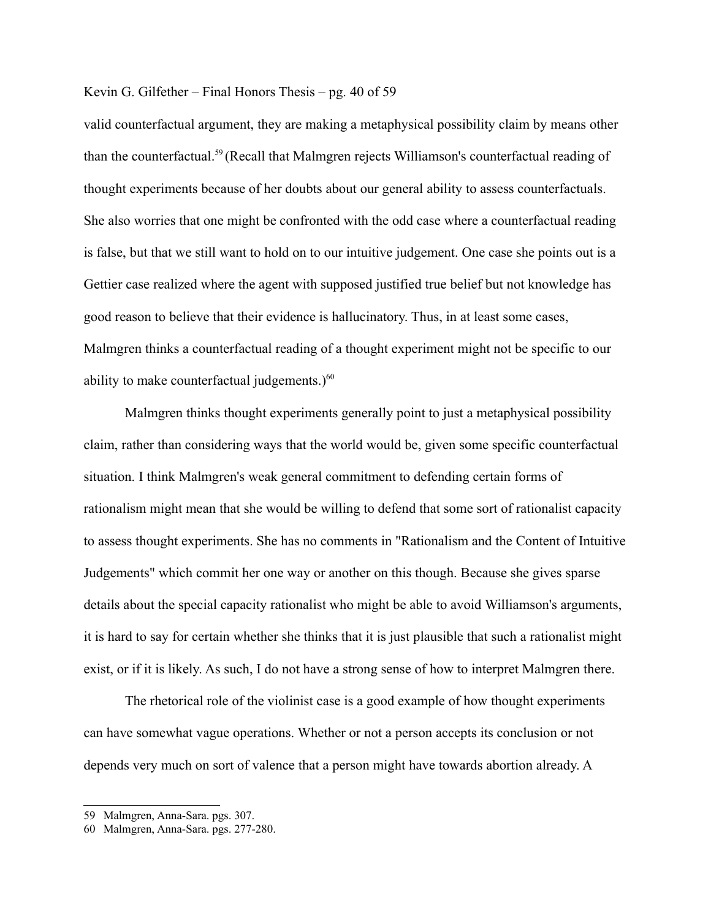#### Kevin G. Gilfether – Final Honors Thesis – pg. 40 of 59

valid counterfactual argument, they are making a metaphysical possibility claim by means other than the counterfactual. [59](#page-40-0) (Recall that Malmgren rejects Williamson's counterfactual reading of thought experiments because of her doubts about our general ability to assess counterfactuals. She also worries that one might be confronted with the odd case where a counterfactual reading is false, but that we still want to hold on to our intuitive judgement. One case she points out is a Gettier case realized where the agent with supposed justified true belief but not knowledge has good reason to believe that their evidence is hallucinatory. Thus, in at least some cases, Malmgren thinks a counterfactual reading of a thought experiment might not be specific to our ability to make counterfactual judgements. $)^{60}$  $)^{60}$  $)^{60}$ 

Malmgren thinks thought experiments generally point to just a metaphysical possibility claim, rather than considering ways that the world would be, given some specific counterfactual situation. I think Malmgren's weak general commitment to defending certain forms of rationalism might mean that she would be willing to defend that some sort of rationalist capacity to assess thought experiments. She has no comments in "Rationalism and the Content of Intuitive Judgements" which commit her one way or another on this though. Because she gives sparse details about the special capacity rationalist who might be able to avoid Williamson's arguments, it is hard to say for certain whether she thinks that it is just plausible that such a rationalist might exist, or if it is likely. As such, I do not have a strong sense of how to interpret Malmgren there.

The rhetorical role of the violinist case is a good example of how thought experiments can have somewhat vague operations. Whether or not a person accepts its conclusion or not depends very much on sort of valence that a person might have towards abortion already. A

<span id="page-40-0"></span><sup>59</sup> Malmgren, Anna-Sara. pgs. 307.

<span id="page-40-1"></span><sup>60</sup> Malmgren, Anna-Sara. pgs. 277-280.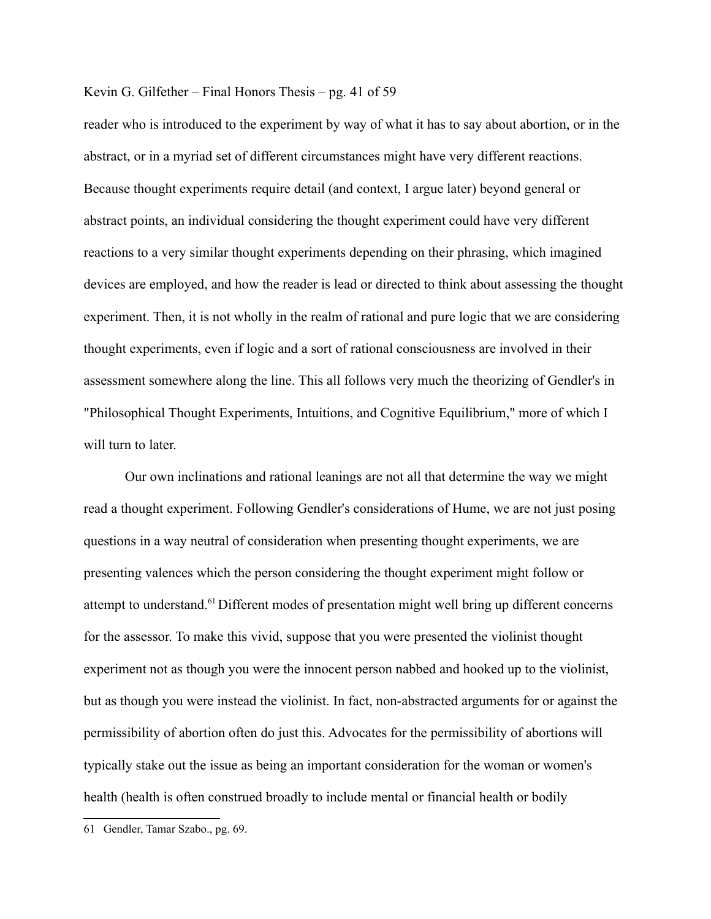#### Kevin G. Gilfether – Final Honors Thesis – pg. 41 of 59

reader who is introduced to the experiment by way of what it has to say about abortion, or in the abstract, or in a myriad set of different circumstances might have very different reactions. Because thought experiments require detail (and context, I argue later) beyond general or abstract points, an individual considering the thought experiment could have very different reactions to a very similar thought experiments depending on their phrasing, which imagined devices are employed, and how the reader is lead or directed to think about assessing the thought experiment. Then, it is not wholly in the realm of rational and pure logic that we are considering thought experiments, even if logic and a sort of rational consciousness are involved in their assessment somewhere along the line. This all follows very much the theorizing of Gendler's in "Philosophical Thought Experiments, Intuitions, and Cognitive Equilibrium," more of which I will turn to later

Our own inclinations and rational leanings are not all that determine the way we might read a thought experiment. Following Gendler's considerations of Hume, we are not just posing questions in a way neutral of consideration when presenting thought experiments, we are presenting valences which the person considering the thought experiment might follow or attempt to understand.<sup>[61](#page-41-0)</sup> Different modes of presentation might well bring up different concerns for the assessor. To make this vivid, suppose that you were presented the violinist thought experiment not as though you were the innocent person nabbed and hooked up to the violinist, but as though you were instead the violinist. In fact, non-abstracted arguments for or against the permissibility of abortion often do just this. Advocates for the permissibility of abortions will typically stake out the issue as being an important consideration for the woman or women's health (health is often construed broadly to include mental or financial health or bodily

<span id="page-41-0"></span><sup>61</sup> Gendler, Tamar Szabo., pg. 69.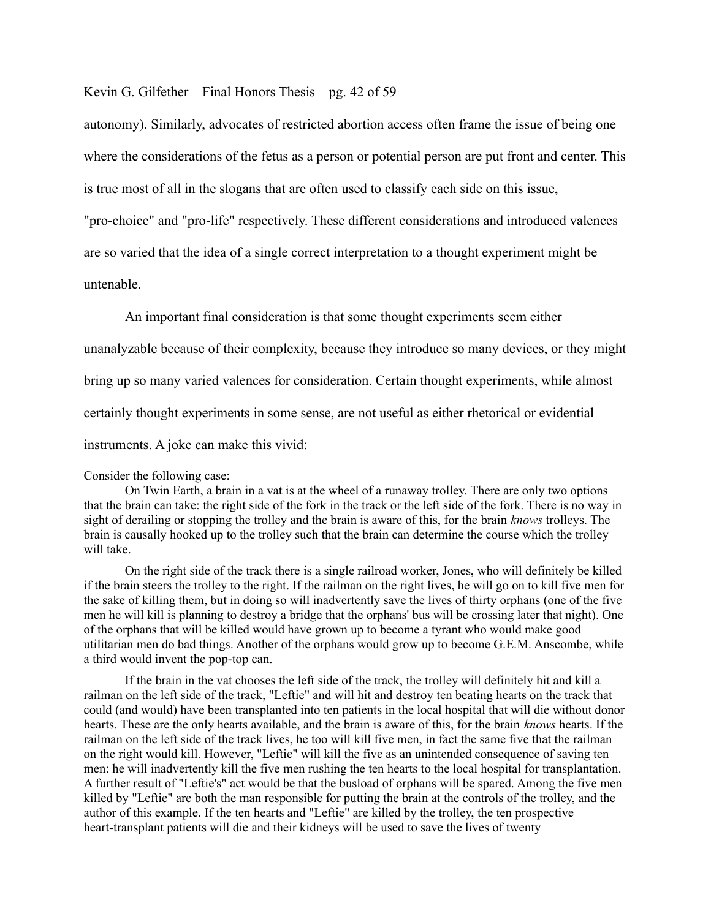Kevin G. Gilfether – Final Honors Thesis – pg. 42 of 59

autonomy). Similarly, advocates of restricted abortion access often frame the issue of being one where the considerations of the fetus as a person or potential person are put front and center. This

is true most of all in the slogans that are often used to classify each side on this issue,

"pro-choice" and "pro-life" respectively. These different considerations and introduced valences

are so varied that the idea of a single correct interpretation to a thought experiment might be

untenable.

An important final consideration is that some thought experiments seem either

unanalyzable because of their complexity, because they introduce so many devices, or they might

bring up so many varied valences for consideration. Certain thought experiments, while almost

certainly thought experiments in some sense, are not useful as either rhetorical or evidential

instruments. A joke can make this vivid:

Consider the following case:

On Twin Earth, a brain in a vat is at the wheel of a runaway trolley. There are only two options that the brain can take: the right side of the fork in the track or the left side of the fork. There is no way in sight of derailing or stopping the trolley and the brain is aware of this, for the brain *knows* trolleys. The brain is causally hooked up to the trolley such that the brain can determine the course which the trolley will take.

On the right side of the track there is a single railroad worker, Jones, who will definitely be killed if the brain steers the trolley to the right. If the railman on the right lives, he will go on to kill five men for the sake of killing them, but in doing so will inadvertently save the lives of thirty orphans (one of the five men he will kill is planning to destroy a bridge that the orphans' bus will be crossing later that night). One of the orphans that will be killed would have grown up to become a tyrant who would make good utilitarian men do bad things. Another of the orphans would grow up to become G.E.M. Anscombe, while a third would invent the pop-top can.

If the brain in the vat chooses the left side of the track, the trolley will definitely hit and kill a railman on the left side of the track, "Leftie" and will hit and destroy ten beating hearts on the track that could (and would) have been transplanted into ten patients in the local hospital that will die without donor hearts. These are the only hearts available, and the brain is aware of this, for the brain *knows* hearts. If the railman on the left side of the track lives, he too will kill five men, in fact the same five that the railman on the right would kill. However, "Leftie" will kill the five as an unintended consequence of saving ten men: he will inadvertently kill the five men rushing the ten hearts to the local hospital for transplantation. A further result of "Leftie's" act would be that the busload of orphans will be spared. Among the five men killed by "Leftie" are both the man responsible for putting the brain at the controls of the trolley, and the author of this example. If the ten hearts and "Leftie" are killed by the trolley, the ten prospective heart-transplant patients will die and their kidneys will be used to save the lives of twenty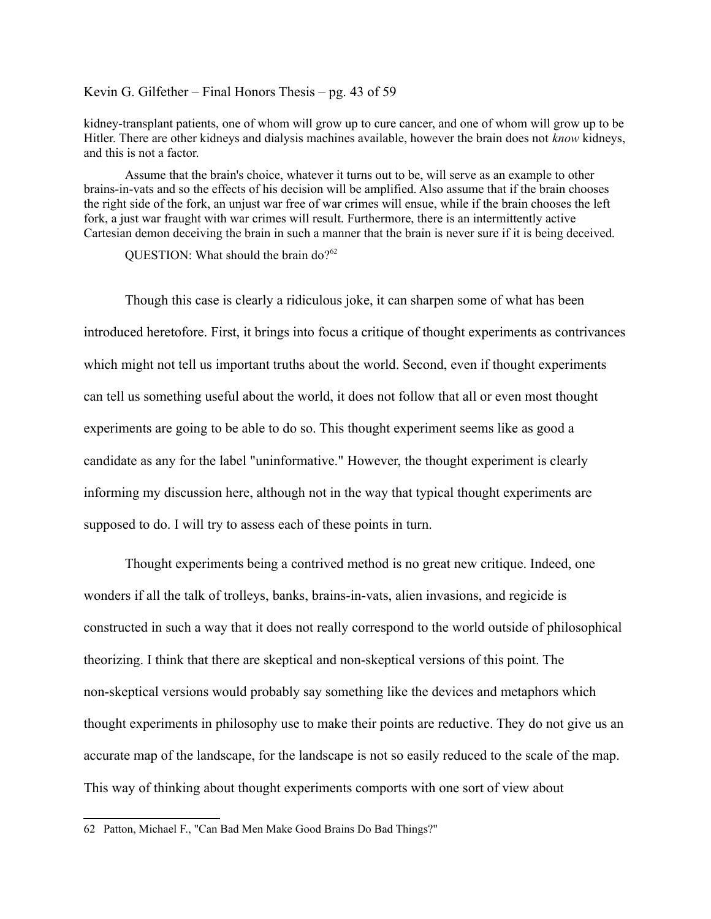#### Kevin G. Gilfether – Final Honors Thesis – pg. 43 of 59

kidney-transplant patients, one of whom will grow up to cure cancer, and one of whom will grow up to be Hitler. There are other kidneys and dialysis machines available, however the brain does not *know* kidneys, and this is not a factor.

Assume that the brain's choice, whatever it turns out to be, will serve as an example to other brains-in-vats and so the effects of his decision will be amplified. Also assume that if the brain chooses the right side of the fork, an unjust war free of war crimes will ensue, while if the brain chooses the left fork, a just war fraught with war crimes will result. Furthermore, there is an intermittently active Cartesian demon deceiving the brain in such a manner that the brain is never sure if it is being deceived.

OUESTION: What should the brain do? $62$ 

Though this case is clearly a ridiculous joke, it can sharpen some of what has been introduced heretofore. First, it brings into focus a critique of thought experiments as contrivances which might not tell us important truths about the world. Second, even if thought experiments can tell us something useful about the world, it does not follow that all or even most thought experiments are going to be able to do so. This thought experiment seems like as good a candidate as any for the label "uninformative." However, the thought experiment is clearly informing my discussion here, although not in the way that typical thought experiments are supposed to do. I will try to assess each of these points in turn.

Thought experiments being a contrived method is no great new critique. Indeed, one wonders if all the talk of trolleys, banks, brains-in-vats, alien invasions, and regicide is constructed in such a way that it does not really correspond to the world outside of philosophical theorizing. I think that there are skeptical and non-skeptical versions of this point. The non-skeptical versions would probably say something like the devices and metaphors which thought experiments in philosophy use to make their points are reductive. They do not give us an accurate map of the landscape, for the landscape is not so easily reduced to the scale of the map. This way of thinking about thought experiments comports with one sort of view about

<span id="page-43-0"></span><sup>62</sup> Patton, Michael F., "Can Bad Men Make Good Brains Do Bad Things?"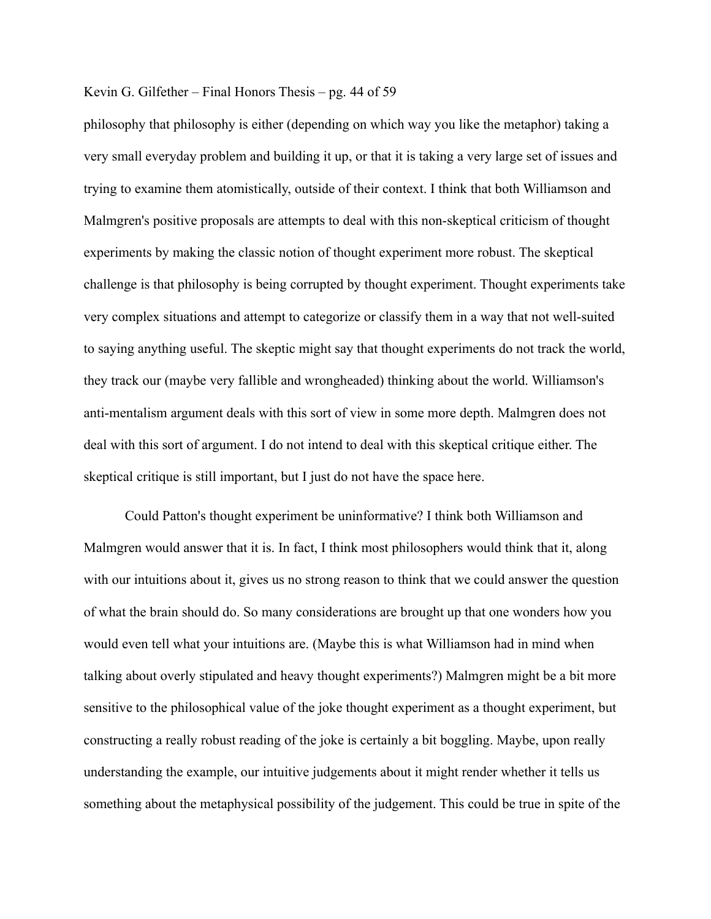#### Kevin G. Gilfether – Final Honors Thesis – pg. 44 of 59

philosophy that philosophy is either (depending on which way you like the metaphor) taking a very small everyday problem and building it up, or that it is taking a very large set of issues and trying to examine them atomistically, outside of their context. I think that both Williamson and Malmgren's positive proposals are attempts to deal with this non-skeptical criticism of thought experiments by making the classic notion of thought experiment more robust. The skeptical challenge is that philosophy is being corrupted by thought experiment. Thought experiments take very complex situations and attempt to categorize or classify them in a way that not well-suited to saying anything useful. The skeptic might say that thought experiments do not track the world, they track our (maybe very fallible and wrongheaded) thinking about the world. Williamson's anti-mentalism argument deals with this sort of view in some more depth. Malmgren does not deal with this sort of argument. I do not intend to deal with this skeptical critique either. The skeptical critique is still important, but I just do not have the space here.

Could Patton's thought experiment be uninformative? I think both Williamson and Malmgren would answer that it is. In fact, I think most philosophers would think that it, along with our intuitions about it, gives us no strong reason to think that we could answer the question of what the brain should do. So many considerations are brought up that one wonders how you would even tell what your intuitions are. (Maybe this is what Williamson had in mind when talking about overly stipulated and heavy thought experiments?) Malmgren might be a bit more sensitive to the philosophical value of the joke thought experiment as a thought experiment, but constructing a really robust reading of the joke is certainly a bit boggling. Maybe, upon really understanding the example, our intuitive judgements about it might render whether it tells us something about the metaphysical possibility of the judgement. This could be true in spite of the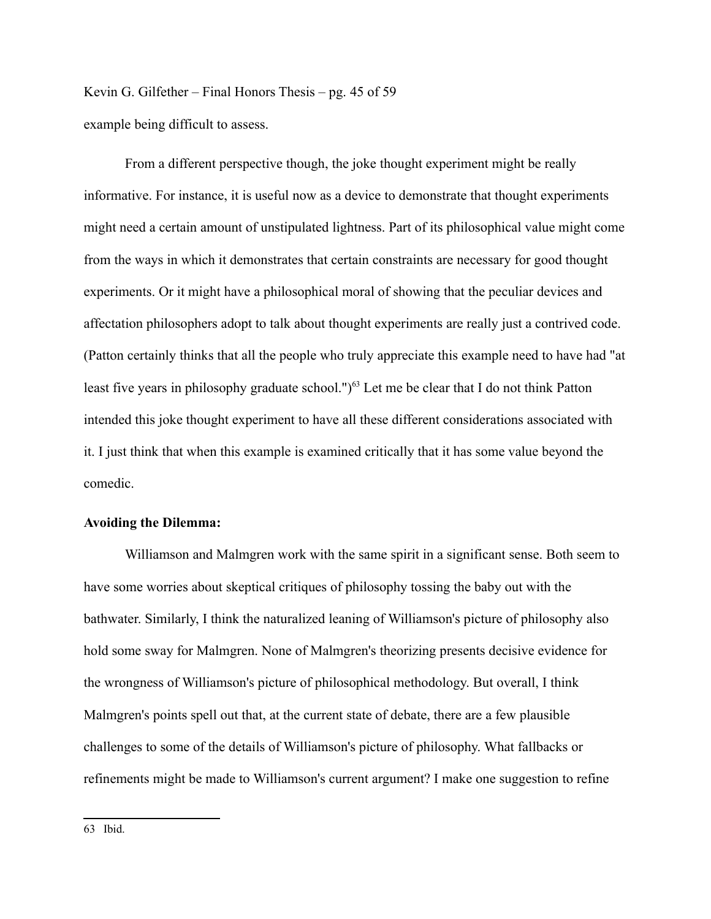Kevin G. Gilfether – Final Honors Thesis – pg. 45 of 59 example being difficult to assess.

From a different perspective though, the joke thought experiment might be really informative. For instance, it is useful now as a device to demonstrate that thought experiments might need a certain amount of unstipulated lightness. Part of its philosophical value might come from the ways in which it demonstrates that certain constraints are necessary for good thought experiments. Or it might have a philosophical moral of showing that the peculiar devices and affectation philosophers adopt to talk about thought experiments are really just a contrived code. (Patton certainly thinks that all the people who truly appreciate this example need to have had "at least five years in philosophy graduate school.")<sup>[63](#page-45-0)</sup> Let me be clear that I do not think Patton intended this joke thought experiment to have all these different considerations associated with it. I just think that when this example is examined critically that it has some value beyond the comedic.

# **Avoiding the Dilemma:**

Williamson and Malmgren work with the same spirit in a significant sense. Both seem to have some worries about skeptical critiques of philosophy tossing the baby out with the bathwater. Similarly, I think the naturalized leaning of Williamson's picture of philosophy also hold some sway for Malmgren. None of Malmgren's theorizing presents decisive evidence for the wrongness of Williamson's picture of philosophical methodology. But overall, I think Malmgren's points spell out that, at the current state of debate, there are a few plausible challenges to some of the details of Williamson's picture of philosophy. What fallbacks or refinements might be made to Williamson's current argument? I make one suggestion to refine

<span id="page-45-0"></span><sup>63</sup> Ibid.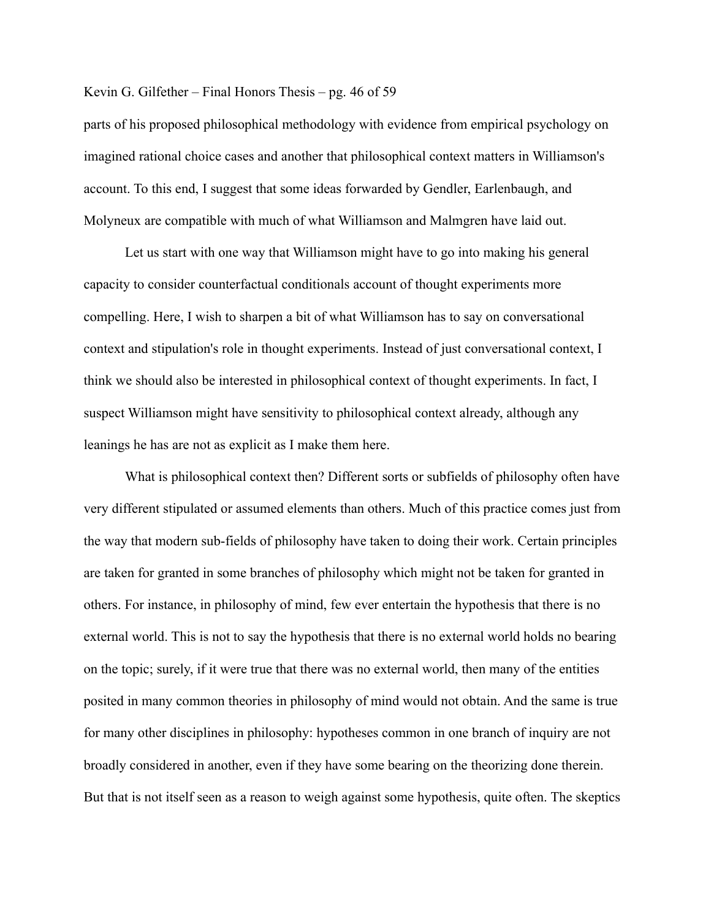#### Kevin G. Gilfether – Final Honors Thesis – pg. 46 of 59

parts of his proposed philosophical methodology with evidence from empirical psychology on imagined rational choice cases and another that philosophical context matters in Williamson's account. To this end, I suggest that some ideas forwarded by Gendler, Earlenbaugh, and Molyneux are compatible with much of what Williamson and Malmgren have laid out.

Let us start with one way that Williamson might have to go into making his general capacity to consider counterfactual conditionals account of thought experiments more compelling. Here, I wish to sharpen a bit of what Williamson has to say on conversational context and stipulation's role in thought experiments. Instead of just conversational context, I think we should also be interested in philosophical context of thought experiments. In fact, I suspect Williamson might have sensitivity to philosophical context already, although any leanings he has are not as explicit as I make them here.

What is philosophical context then? Different sorts or subfields of philosophy often have very different stipulated or assumed elements than others. Much of this practice comes just from the way that modern sub-fields of philosophy have taken to doing their work. Certain principles are taken for granted in some branches of philosophy which might not be taken for granted in others. For instance, in philosophy of mind, few ever entertain the hypothesis that there is no external world. This is not to say the hypothesis that there is no external world holds no bearing on the topic; surely, if it were true that there was no external world, then many of the entities posited in many common theories in philosophy of mind would not obtain. And the same is true for many other disciplines in philosophy: hypotheses common in one branch of inquiry are not broadly considered in another, even if they have some bearing on the theorizing done therein. But that is not itself seen as a reason to weigh against some hypothesis, quite often. The skeptics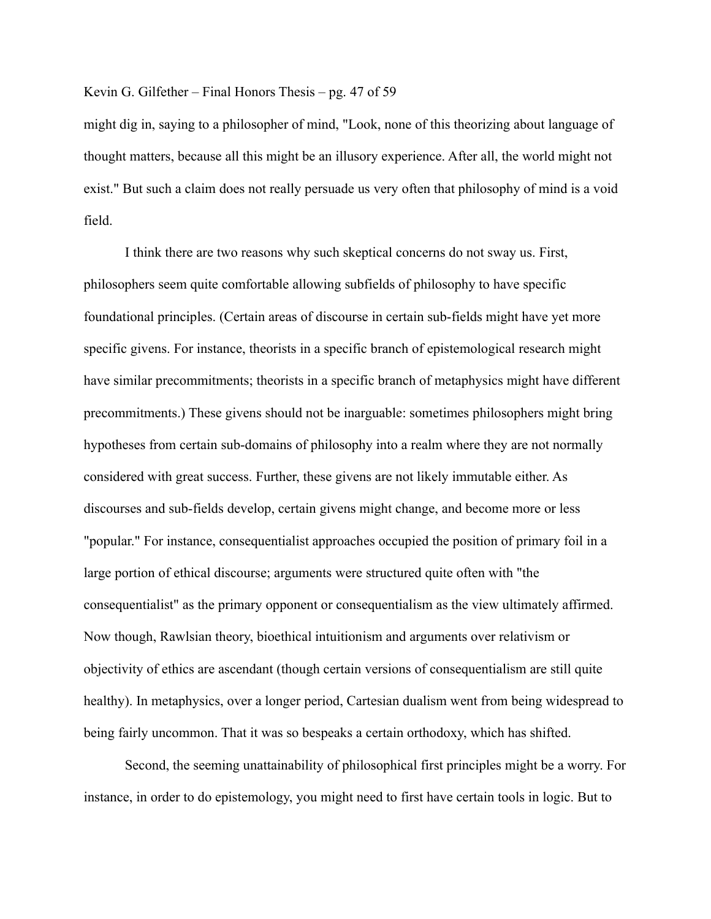# Kevin G. Gilfether – Final Honors Thesis – pg. 47 of 59

might dig in, saying to a philosopher of mind, "Look, none of this theorizing about language of thought matters, because all this might be an illusory experience. After all, the world might not exist." But such a claim does not really persuade us very often that philosophy of mind is a void field.

I think there are two reasons why such skeptical concerns do not sway us. First, philosophers seem quite comfortable allowing subfields of philosophy to have specific foundational principles. (Certain areas of discourse in certain sub-fields might have yet more specific givens. For instance, theorists in a specific branch of epistemological research might have similar precommitments; theorists in a specific branch of metaphysics might have different precommitments.) These givens should not be inarguable: sometimes philosophers might bring hypotheses from certain sub-domains of philosophy into a realm where they are not normally considered with great success. Further, these givens are not likely immutable either. As discourses and sub-fields develop, certain givens might change, and become more or less "popular." For instance, consequentialist approaches occupied the position of primary foil in a large portion of ethical discourse; arguments were structured quite often with "the consequentialist" as the primary opponent or consequentialism as the view ultimately affirmed. Now though, Rawlsian theory, bioethical intuitionism and arguments over relativism or objectivity of ethics are ascendant (though certain versions of consequentialism are still quite healthy). In metaphysics, over a longer period, Cartesian dualism went from being widespread to being fairly uncommon. That it was so bespeaks a certain orthodoxy, which has shifted.

Second, the seeming unattainability of philosophical first principles might be a worry. For instance, in order to do epistemology, you might need to first have certain tools in logic. But to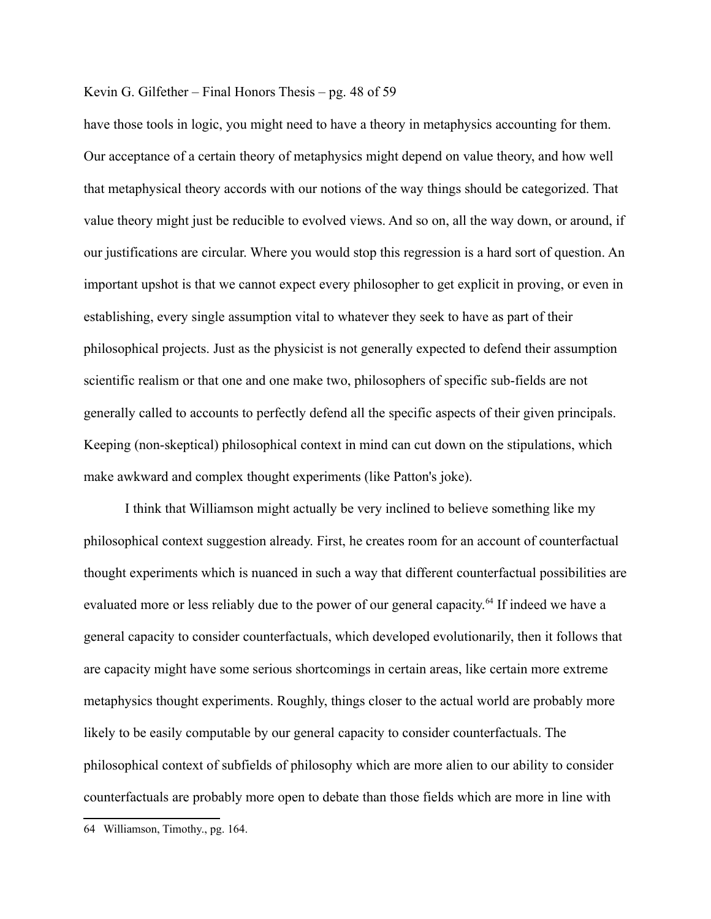### Kevin G. Gilfether – Final Honors Thesis – pg. 48 of 59

have those tools in logic, you might need to have a theory in metaphysics accounting for them. Our acceptance of a certain theory of metaphysics might depend on value theory, and how well that metaphysical theory accords with our notions of the way things should be categorized. That value theory might just be reducible to evolved views. And so on, all the way down, or around, if our justifications are circular. Where you would stop this regression is a hard sort of question. An important upshot is that we cannot expect every philosopher to get explicit in proving, or even in establishing, every single assumption vital to whatever they seek to have as part of their philosophical projects. Just as the physicist is not generally expected to defend their assumption scientific realism or that one and one make two, philosophers of specific sub-fields are not generally called to accounts to perfectly defend all the specific aspects of their given principals. Keeping (non-skeptical) philosophical context in mind can cut down on the stipulations, which make awkward and complex thought experiments (like Patton's joke).

I think that Williamson might actually be very inclined to believe something like my philosophical context suggestion already. First, he creates room for an account of counterfactual thought experiments which is nuanced in such a way that different counterfactual possibilities are evaluated more or less reliably due to the power of our general capacity.<sup>[64](#page-48-0)</sup> If indeed we have a general capacity to consider counterfactuals, which developed evolutionarily, then it follows that are capacity might have some serious shortcomings in certain areas, like certain more extreme metaphysics thought experiments. Roughly, things closer to the actual world are probably more likely to be easily computable by our general capacity to consider counterfactuals. The philosophical context of subfields of philosophy which are more alien to our ability to consider counterfactuals are probably more open to debate than those fields which are more in line with

<span id="page-48-0"></span><sup>64</sup> Williamson, Timothy., pg. 164.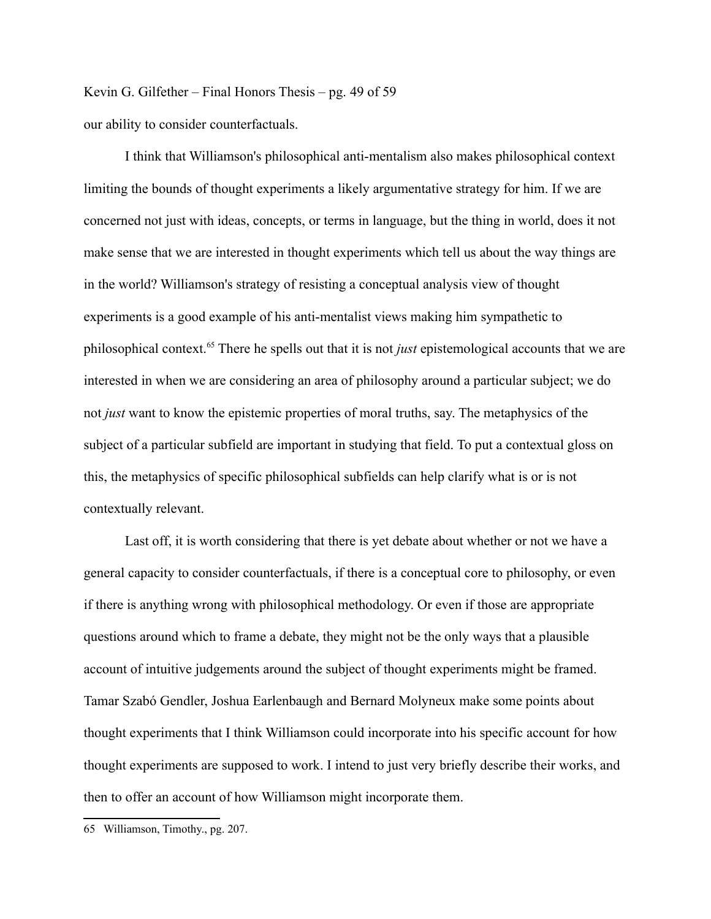Kevin G. Gilfether – Final Honors Thesis – pg. 49 of 59 our ability to consider counterfactuals.

I think that Williamson's philosophical anti-mentalism also makes philosophical context limiting the bounds of thought experiments a likely argumentative strategy for him. If we are concerned not just with ideas, concepts, or terms in language, but the thing in world, does it not make sense that we are interested in thought experiments which tell us about the way things are in the world? Williamson's strategy of resisting a conceptual analysis view of thought experiments is a good example of his anti-mentalist views making him sympathetic to philosophical context.[65](#page-49-0) There he spells out that it is not *just* epistemological accounts that we are interested in when we are considering an area of philosophy around a particular subject; we do not *just* want to know the epistemic properties of moral truths, say. The metaphysics of the subject of a particular subfield are important in studying that field. To put a contextual gloss on this, the metaphysics of specific philosophical subfields can help clarify what is or is not contextually relevant.

Last off, it is worth considering that there is yet debate about whether or not we have a general capacity to consider counterfactuals, if there is a conceptual core to philosophy, or even if there is anything wrong with philosophical methodology. Or even if those are appropriate questions around which to frame a debate, they might not be the only ways that a plausible account of intuitive judgements around the subject of thought experiments might be framed. Tamar Szabó Gendler, Joshua Earlenbaugh and Bernard Molyneux make some points about thought experiments that I think Williamson could incorporate into his specific account for how thought experiments are supposed to work. I intend to just very briefly describe their works, and then to offer an account of how Williamson might incorporate them.

<span id="page-49-0"></span><sup>65</sup> Williamson, Timothy., pg. 207.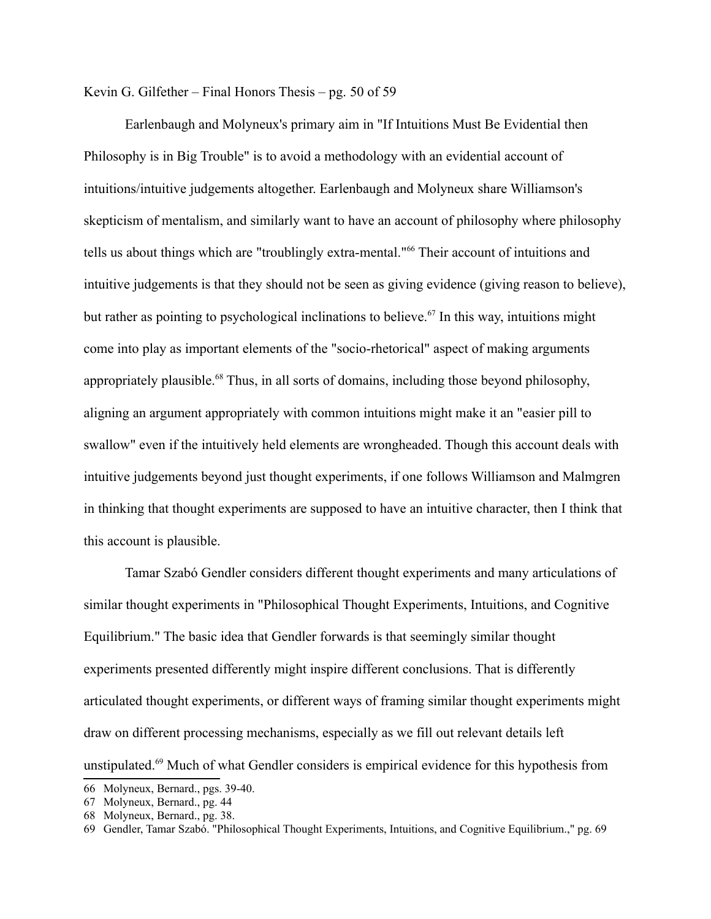Kevin G. Gilfether – Final Honors Thesis – pg. 50 of 59

Earlenbaugh and Molyneux's primary aim in "If Intuitions Must Be Evidential then Philosophy is in Big Trouble" is to avoid a methodology with an evidential account of intuitions/intuitive judgements altogether. Earlenbaugh and Molyneux share Williamson's skepticism of mentalism, and similarly want to have an account of philosophy where philosophy tells us about things which are "troublingly extra-mental."[66](#page-50-0) Their account of intuitions and intuitive judgements is that they should not be seen as giving evidence (giving reason to believe), but rather as pointing to psychological inclinations to believe.<sup>[67](#page-50-1)</sup> In this way, intuitions might come into play as important elements of the "socio-rhetorical" aspect of making arguments appropriately plausible.[68](#page-50-2) Thus, in all sorts of domains, including those beyond philosophy, aligning an argument appropriately with common intuitions might make it an "easier pill to swallow" even if the intuitively held elements are wrongheaded. Though this account deals with intuitive judgements beyond just thought experiments, if one follows Williamson and Malmgren in thinking that thought experiments are supposed to have an intuitive character, then I think that this account is plausible.

Tamar Szabó Gendler considers different thought experiments and many articulations of similar thought experiments in "Philosophical Thought Experiments, Intuitions, and Cognitive Equilibrium." The basic idea that Gendler forwards is that seemingly similar thought experiments presented differently might inspire different conclusions. That is differently articulated thought experiments, or different ways of framing similar thought experiments might draw on different processing mechanisms, especially as we fill out relevant details left unstipulated.<sup>[69](#page-50-3)</sup> Much of what Gendler considers is empirical evidence for this hypothesis from

<span id="page-50-0"></span><sup>66</sup> Molyneux, Bernard., pgs. 39-40.

<span id="page-50-1"></span><sup>67</sup> Molyneux, Bernard., pg. 44

<span id="page-50-2"></span><sup>68</sup> Molyneux, Bernard., pg. 38.

<span id="page-50-3"></span><sup>69</sup> Gendler, Tamar Szabó. "Philosophical Thought Experiments, Intuitions, and Cognitive Equilibrium.," pg. 69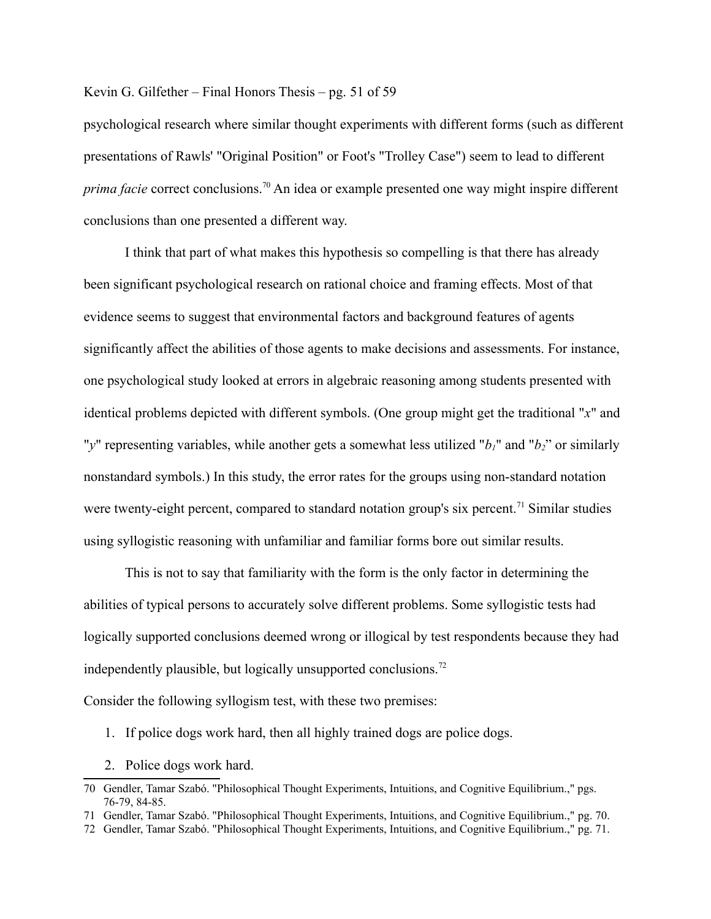Kevin G. Gilfether – Final Honors Thesis – pg. 51 of 59

psychological research where similar thought experiments with different forms (such as different presentations of Rawls' "Original Position" or Foot's "Trolley Case") seem to lead to different *prima facie* correct conclusions.<sup>[70](#page-51-0)</sup> An idea or example presented one way might inspire different conclusions than one presented a different way.

I think that part of what makes this hypothesis so compelling is that there has already been significant psychological research on rational choice and framing effects. Most of that evidence seems to suggest that environmental factors and background features of agents significantly affect the abilities of those agents to make decisions and assessments. For instance, one psychological study looked at errors in algebraic reasoning among students presented with identical problems depicted with different symbols. (One group might get the traditional "*x*" and "*y*" representing variables, while another gets a somewhat less utilized "*b1*" and "*b2*" or similarly nonstandard symbols.) In this study, the error rates for the groups using non-standard notation were twenty-eight percent, compared to standard notation group's six percent.<sup>[71](#page-51-1)</sup> Similar studies using syllogistic reasoning with unfamiliar and familiar forms bore out similar results.

This is not to say that familiarity with the form is the only factor in determining the abilities of typical persons to accurately solve different problems. Some syllogistic tests had logically supported conclusions deemed wrong or illogical by test respondents because they had independently plausible, but logically unsupported conclusions.<sup>[72](#page-51-2)</sup>

Consider the following syllogism test, with these two premises:

1. If police dogs work hard, then all highly trained dogs are police dogs.

2. Police dogs work hard.

<span id="page-51-0"></span><sup>70</sup> Gendler, Tamar Szabó. "Philosophical Thought Experiments, Intuitions, and Cognitive Equilibrium.," pgs. 76-79, 84-85.

<span id="page-51-1"></span><sup>71</sup> Gendler, Tamar Szabó. "Philosophical Thought Experiments, Intuitions, and Cognitive Equilibrium.," pg. 70.

<span id="page-51-2"></span><sup>72</sup> Gendler, Tamar Szabó. "Philosophical Thought Experiments, Intuitions, and Cognitive Equilibrium.," pg. 71.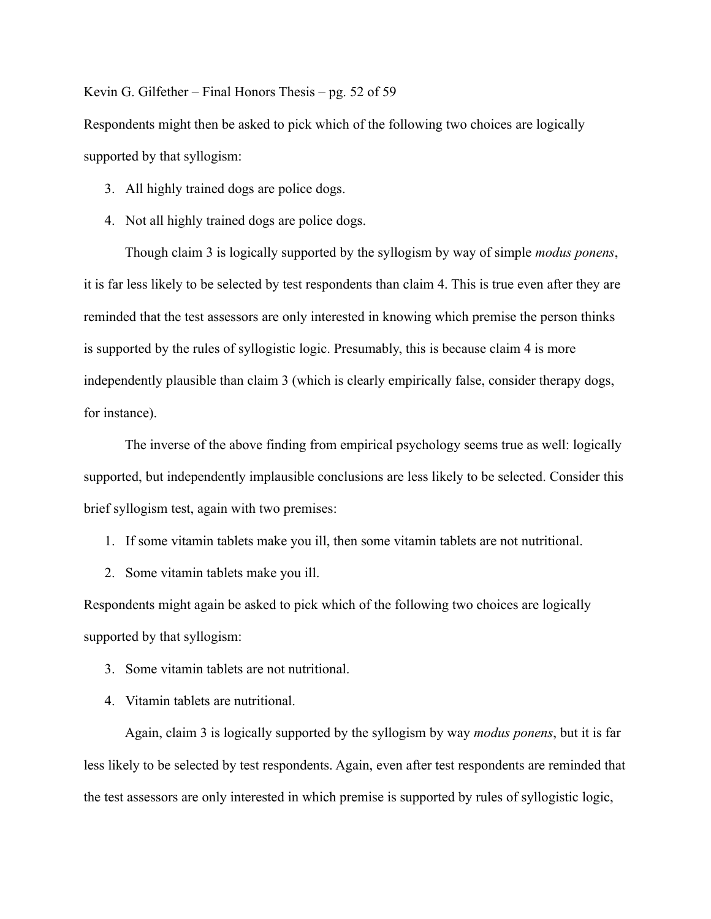Kevin G. Gilfether – Final Honors Thesis – pg. 52 of 59

Respondents might then be asked to pick which of the following two choices are logically supported by that syllogism:

- 3. All highly trained dogs are police dogs.
- 4. Not all highly trained dogs are police dogs.

Though claim 3 is logically supported by the syllogism by way of simple *modus ponens*, it is far less likely to be selected by test respondents than claim 4. This is true even after they are reminded that the test assessors are only interested in knowing which premise the person thinks is supported by the rules of syllogistic logic. Presumably, this is because claim 4 is more independently plausible than claim 3 (which is clearly empirically false, consider therapy dogs, for instance).

The inverse of the above finding from empirical psychology seems true as well: logically supported, but independently implausible conclusions are less likely to be selected. Consider this brief syllogism test, again with two premises:

- 1. If some vitamin tablets make you ill, then some vitamin tablets are not nutritional.
- 2. Some vitamin tablets make you ill.

Respondents might again be asked to pick which of the following two choices are logically supported by that syllogism:

- 3. Some vitamin tablets are not nutritional.
- 4. Vitamin tablets are nutritional.

Again, claim 3 is logically supported by the syllogism by way *modus ponens*, but it is far less likely to be selected by test respondents. Again, even after test respondents are reminded that the test assessors are only interested in which premise is supported by rules of syllogistic logic,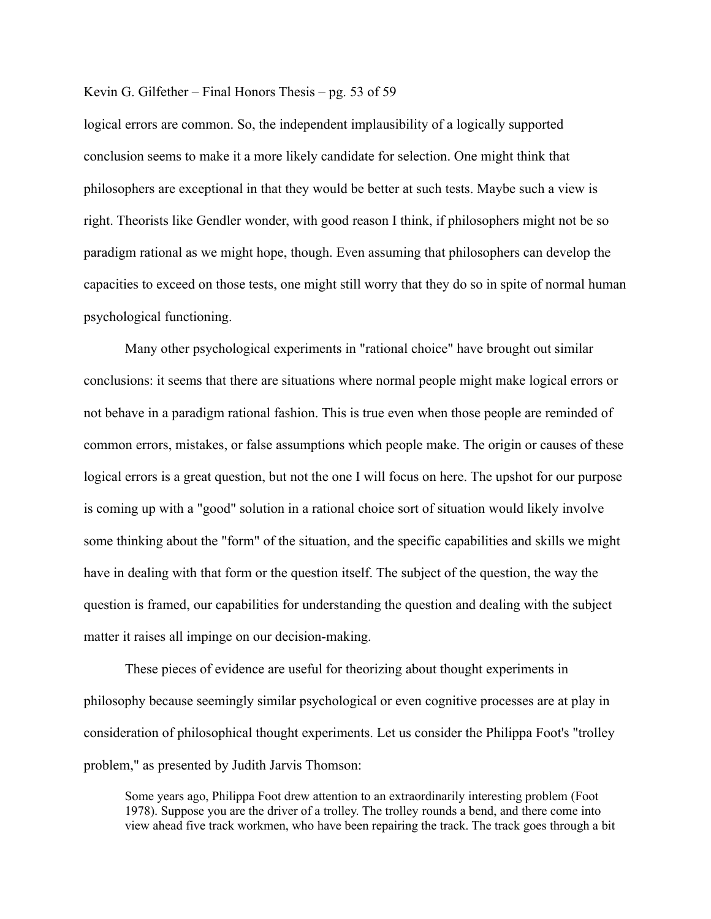#### Kevin G. Gilfether – Final Honors Thesis – pg. 53 of 59

logical errors are common. So, the independent implausibility of a logically supported conclusion seems to make it a more likely candidate for selection. One might think that philosophers are exceptional in that they would be better at such tests. Maybe such a view is right. Theorists like Gendler wonder, with good reason I think, if philosophers might not be so paradigm rational as we might hope, though. Even assuming that philosophers can develop the capacities to exceed on those tests, one might still worry that they do so in spite of normal human psychological functioning.

Many other psychological experiments in "rational choice" have brought out similar conclusions: it seems that there are situations where normal people might make logical errors or not behave in a paradigm rational fashion. This is true even when those people are reminded of common errors, mistakes, or false assumptions which people make. The origin or causes of these logical errors is a great question, but not the one I will focus on here. The upshot for our purpose is coming up with a "good" solution in a rational choice sort of situation would likely involve some thinking about the "form" of the situation, and the specific capabilities and skills we might have in dealing with that form or the question itself. The subject of the question, the way the question is framed, our capabilities for understanding the question and dealing with the subject matter it raises all impinge on our decision-making.

These pieces of evidence are useful for theorizing about thought experiments in philosophy because seemingly similar psychological or even cognitive processes are at play in consideration of philosophical thought experiments. Let us consider the Philippa Foot's "trolley problem," as presented by Judith Jarvis Thomson:

Some years ago, Philippa Foot drew attention to an extraordinarily interesting problem (Foot 1978). Suppose you are the driver of a trolley. The trolley rounds a bend, and there come into view ahead five track workmen, who have been repairing the track. The track goes through a bit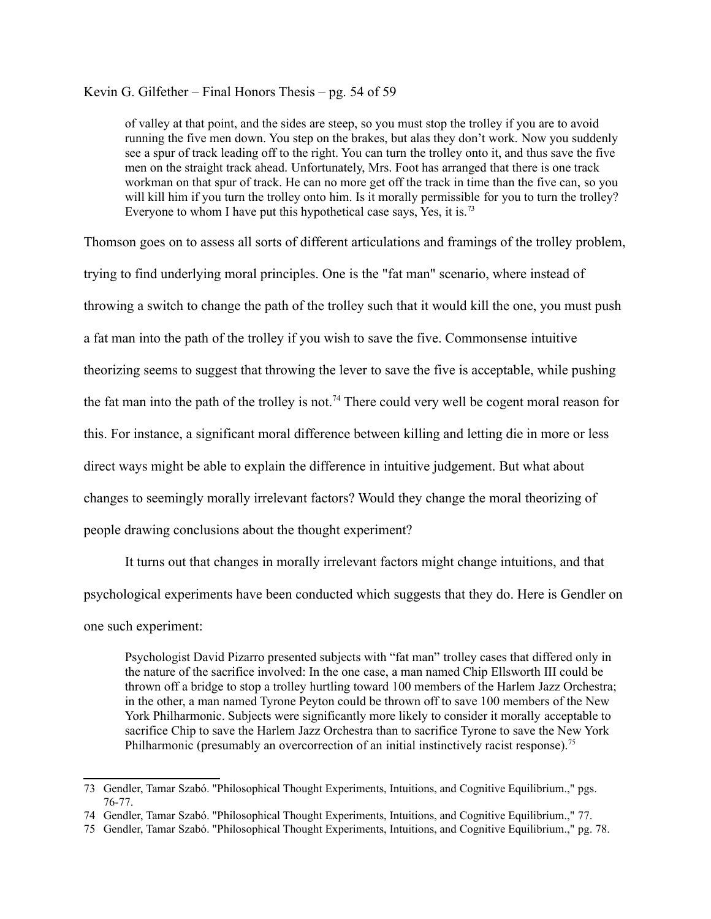#### Kevin G. Gilfether – Final Honors Thesis – pg. 54 of 59

of valley at that point, and the sides are steep, so you must stop the trolley if you are to avoid running the five men down. You step on the brakes, but alas they don't work. Now you suddenly see a spur of track leading off to the right. You can turn the trolley onto it, and thus save the five men on the straight track ahead. Unfortunately, Mrs. Foot has arranged that there is one track workman on that spur of track. He can no more get off the track in time than the five can, so you will kill him if you turn the trolley onto him. Is it morally permissible for you to turn the trolley? Everyone to whom I have put this hypothetical case says, Yes, it is.<sup>[73](#page-54-0)</sup>

Thomson goes on to assess all sorts of different articulations and framings of the trolley problem, trying to find underlying moral principles. One is the "fat man" scenario, where instead of throwing a switch to change the path of the trolley such that it would kill the one, you must push a fat man into the path of the trolley if you wish to save the five. Commonsense intuitive theorizing seems to suggest that throwing the lever to save the five is acceptable, while pushing the fat man into the path of the trolley is not.<sup>[74](#page-54-1)</sup> There could very well be cogent moral reason for this. For instance, a significant moral difference between killing and letting die in more or less direct ways might be able to explain the difference in intuitive judgement. But what about changes to seemingly morally irrelevant factors? Would they change the moral theorizing of people drawing conclusions about the thought experiment?

It turns out that changes in morally irrelevant factors might change intuitions, and that psychological experiments have been conducted which suggests that they do. Here is Gendler on one such experiment:

Psychologist David Pizarro presented subjects with "fat man" trolley cases that differed only in the nature of the sacrifice involved: In the one case, a man named Chip Ellsworth III could be thrown off a bridge to stop a trolley hurtling toward 100 members of the Harlem Jazz Orchestra; in the other, a man named Tyrone Peyton could be thrown off to save 100 members of the New York Philharmonic. Subjects were significantly more likely to consider it morally acceptable to sacrifice Chip to save the Harlem Jazz Orchestra than to sacrifice Tyrone to save the New York Philharmonic (presumably an overcorrection of an initial instinctively racist response).<sup>[75](#page-54-2)</sup>

<span id="page-54-0"></span><sup>73</sup> Gendler, Tamar Szabó. "Philosophical Thought Experiments, Intuitions, and Cognitive Equilibrium.," pgs. 76-77.

<span id="page-54-1"></span><sup>74</sup> Gendler, Tamar Szabó. "Philosophical Thought Experiments, Intuitions, and Cognitive Equilibrium.," 77.

<span id="page-54-2"></span><sup>75</sup> Gendler, Tamar Szabó. "Philosophical Thought Experiments, Intuitions, and Cognitive Equilibrium.," pg. 78.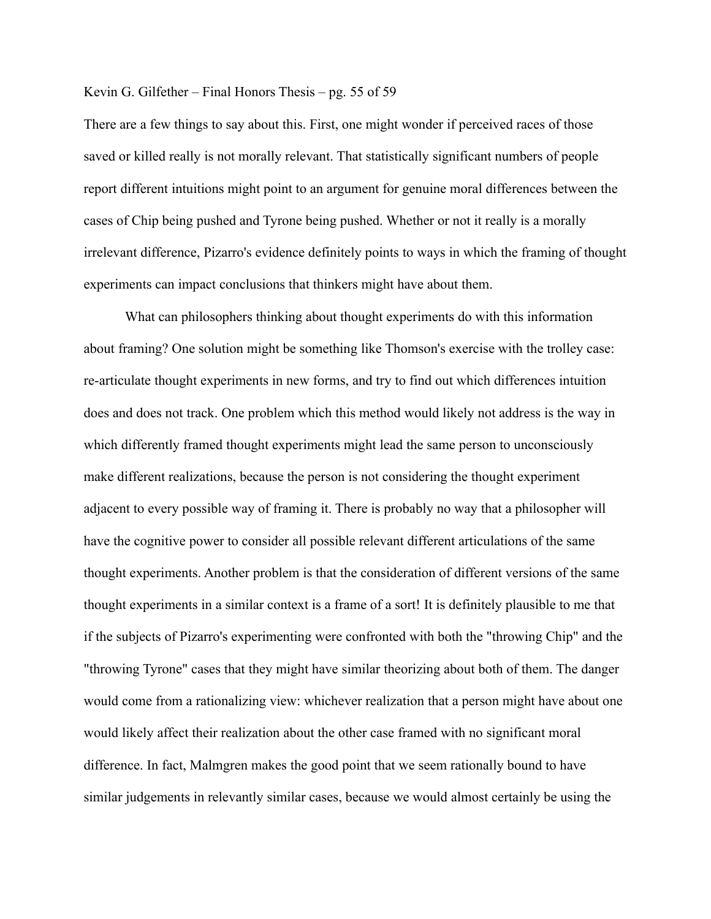#### Kevin G. Gilfether – Final Honors Thesis – pg. 55 of 59

There are a few things to say about this. First, one might wonder if perceived races of those saved or killed really is not morally relevant. That statistically significant numbers of people report different intuitions might point to an argument for genuine moral differences between the cases of Chip being pushed and Tyrone being pushed. Whether or not it really is a morally irrelevant difference, Pizarro's evidence definitely points to ways in which the framing of thought experiments can impact conclusions that thinkers might have about them.

What can philosophers thinking about thought experiments do with this information about framing? One solution might be something like Thomson's exercise with the trolley case: re-articulate thought experiments in new forms, and try to find out which differences intuition does and does not track. One problem which this method would likely not address is the way in which differently framed thought experiments might lead the same person to unconsciously make different realizations, because the person is not considering the thought experiment adjacent to every possible way of framing it. There is probably no way that a philosopher will have the cognitive power to consider all possible relevant different articulations of the same thought experiments. Another problem is that the consideration of different versions of the same thought experiments in a similar context is a frame of a sort! It is definitely plausible to me that if the subjects of Pizarro's experimenting were confronted with both the "throwing Chip" and the "throwing Tyrone" cases that they might have similar theorizing about both of them. The danger would come from a rationalizing view: whichever realization that a person might have about one would likely affect their realization about the other case framed with no significant moral difference. In fact, Malmgren makes the good point that we seem rationally bound to have similar judgements in relevantly similar cases, because we would almost certainly be using the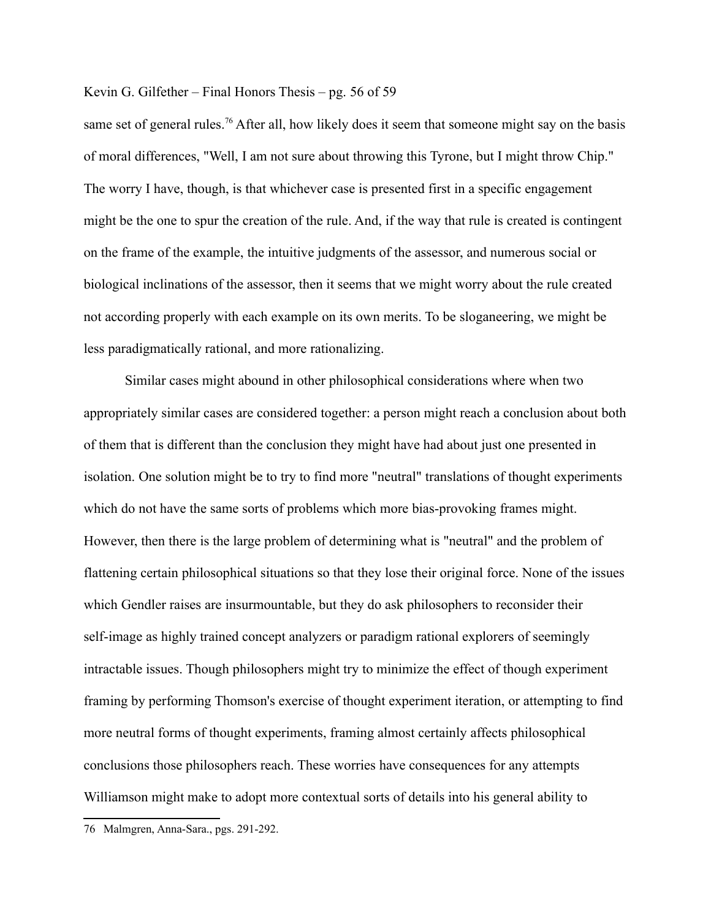#### Kevin G. Gilfether – Final Honors Thesis – pg. 56 of 59

same set of general rules.<sup>[76](#page-56-0)</sup> After all, how likely does it seem that someone might say on the basis of moral differences, "Well, I am not sure about throwing this Tyrone, but I might throw Chip." The worry I have, though, is that whichever case is presented first in a specific engagement might be the one to spur the creation of the rule. And, if the way that rule is created is contingent on the frame of the example, the intuitive judgments of the assessor, and numerous social or biological inclinations of the assessor, then it seems that we might worry about the rule created not according properly with each example on its own merits. To be sloganeering, we might be less paradigmatically rational, and more rationalizing.

Similar cases might abound in other philosophical considerations where when two appropriately similar cases are considered together: a person might reach a conclusion about both of them that is different than the conclusion they might have had about just one presented in isolation. One solution might be to try to find more "neutral" translations of thought experiments which do not have the same sorts of problems which more bias-provoking frames might. However, then there is the large problem of determining what is "neutral" and the problem of flattening certain philosophical situations so that they lose their original force. None of the issues which Gendler raises are insurmountable, but they do ask philosophers to reconsider their self-image as highly trained concept analyzers or paradigm rational explorers of seemingly intractable issues. Though philosophers might try to minimize the effect of though experiment framing by performing Thomson's exercise of thought experiment iteration, or attempting to find more neutral forms of thought experiments, framing almost certainly affects philosophical conclusions those philosophers reach. These worries have consequences for any attempts Williamson might make to adopt more contextual sorts of details into his general ability to

<span id="page-56-0"></span><sup>76</sup> Malmgren, Anna-Sara., pgs. 291-292.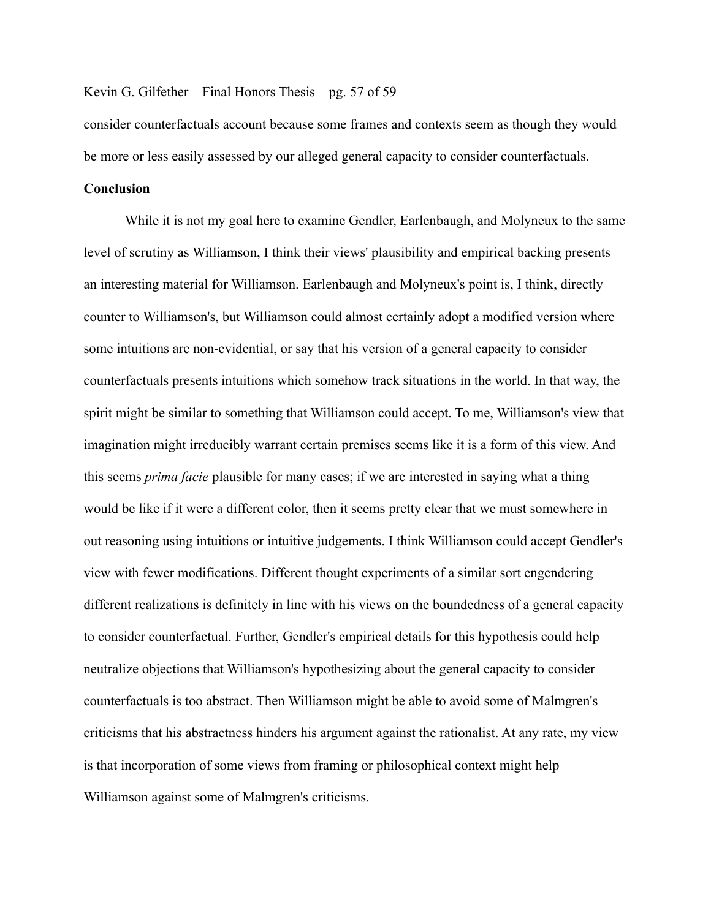Kevin G. Gilfether – Final Honors Thesis – pg. 57 of 59

consider counterfactuals account because some frames and contexts seem as though they would be more or less easily assessed by our alleged general capacity to consider counterfactuals.

# **Conclusion**

While it is not my goal here to examine Gendler, Earlenbaugh, and Molyneux to the same level of scrutiny as Williamson, I think their views' plausibility and empirical backing presents an interesting material for Williamson. Earlenbaugh and Molyneux's point is, I think, directly counter to Williamson's, but Williamson could almost certainly adopt a modified version where some intuitions are non-evidential, or say that his version of a general capacity to consider counterfactuals presents intuitions which somehow track situations in the world. In that way, the spirit might be similar to something that Williamson could accept. To me, Williamson's view that imagination might irreducibly warrant certain premises seems like it is a form of this view. And this seems *prima facie* plausible for many cases; if we are interested in saying what a thing would be like if it were a different color, then it seems pretty clear that we must somewhere in out reasoning using intuitions or intuitive judgements. I think Williamson could accept Gendler's view with fewer modifications. Different thought experiments of a similar sort engendering different realizations is definitely in line with his views on the boundedness of a general capacity to consider counterfactual. Further, Gendler's empirical details for this hypothesis could help neutralize objections that Williamson's hypothesizing about the general capacity to consider counterfactuals is too abstract. Then Williamson might be able to avoid some of Malmgren's criticisms that his abstractness hinders his argument against the rationalist. At any rate, my view is that incorporation of some views from framing or philosophical context might help Williamson against some of Malmgren's criticisms.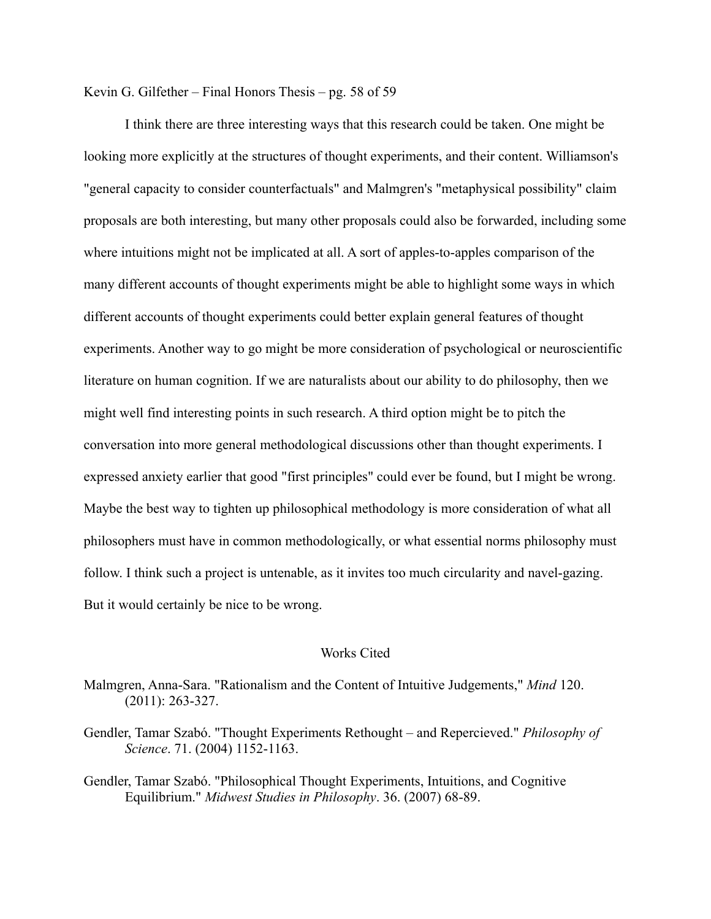Kevin G. Gilfether – Final Honors Thesis – pg. 58 of 59

I think there are three interesting ways that this research could be taken. One might be looking more explicitly at the structures of thought experiments, and their content. Williamson's "general capacity to consider counterfactuals" and Malmgren's "metaphysical possibility" claim proposals are both interesting, but many other proposals could also be forwarded, including some where intuitions might not be implicated at all. A sort of apples-to-apples comparison of the many different accounts of thought experiments might be able to highlight some ways in which different accounts of thought experiments could better explain general features of thought experiments. Another way to go might be more consideration of psychological or neuroscientific literature on human cognition. If we are naturalists about our ability to do philosophy, then we might well find interesting points in such research. A third option might be to pitch the conversation into more general methodological discussions other than thought experiments. I expressed anxiety earlier that good "first principles" could ever be found, but I might be wrong. Maybe the best way to tighten up philosophical methodology is more consideration of what all philosophers must have in common methodologically, or what essential norms philosophy must follow. I think such a project is untenable, as it invites too much circularity and navel-gazing. But it would certainly be nice to be wrong.

#### Works Cited

Malmgren, Anna-Sara. "Rationalism and the Content of Intuitive Judgements," *Mind* 120. (2011): 263-327.

Gendler, Tamar Szabó. "Thought Experiments Rethought – and Repercieved." *Philosophy of Science*. 71. (2004) 1152-1163.

Gendler, Tamar Szabó. "Philosophical Thought Experiments, Intuitions, and Cognitive Equilibrium." *Midwest Studies in Philosophy*. 36. (2007) 68-89.